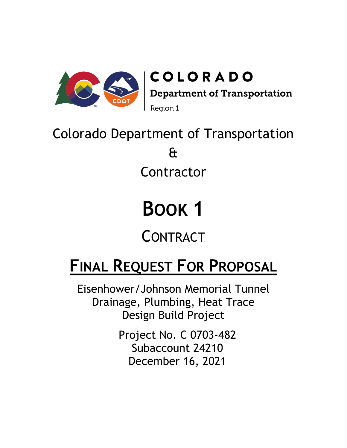

# Colorado Department of Transportation & Contractor

# **BOOK 1**

**CONTRACT** 

# **FINAL REQUEST FOR PROPOSAL**

Eisenhower/Johnson Memorial Tunnel Drainage, Plumbing, Heat Trace Design Build Project

> Project No. C 0703-482 Subaccount 24210 December 16, 2021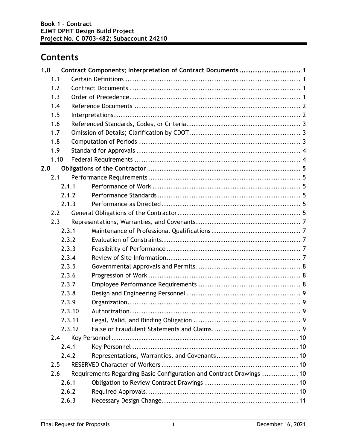# **Contents**

| 1.0  |        | Contract Components; Interpretation of Contract Documents 1          |
|------|--------|----------------------------------------------------------------------|
| 1.1  |        |                                                                      |
| 1.2  |        |                                                                      |
| 1.3  |        |                                                                      |
| 1.4  |        |                                                                      |
| 1.5  |        |                                                                      |
| 1.6  |        |                                                                      |
| 1.7  |        |                                                                      |
| 1.8  |        |                                                                      |
| 1.9  |        |                                                                      |
| 1.10 |        |                                                                      |
| 2.0  |        |                                                                      |
| 2.1  |        |                                                                      |
|      | 2.1.1  |                                                                      |
|      | 2.1.2  |                                                                      |
|      | 2.1.3  |                                                                      |
| 2.2  |        |                                                                      |
| 2.3  |        |                                                                      |
|      | 2.3.1  |                                                                      |
|      | 2.3.2  |                                                                      |
|      | 2.3.3  |                                                                      |
|      | 2.3.4  |                                                                      |
|      | 2.3.5  |                                                                      |
|      | 2.3.6  |                                                                      |
|      | 2.3.7  |                                                                      |
|      | 2.3.8  |                                                                      |
|      | 2.3.9  |                                                                      |
|      | 2.3.10 |                                                                      |
|      | 2.3.11 |                                                                      |
|      | 2.3.12 |                                                                      |
| 2.4  |        |                                                                      |
|      | 2.4.1  |                                                                      |
|      | 2.4.2  |                                                                      |
| 2.5  |        |                                                                      |
| 2.6  |        | Requirements Regarding Basic Configuration and Contract Drawings  10 |
|      | 2.6.1  |                                                                      |
|      | 2.6.2  |                                                                      |
|      | 2.6.3  |                                                                      |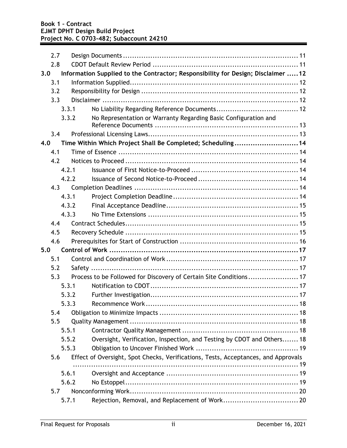| 2.7   |                                                                                    |
|-------|------------------------------------------------------------------------------------|
| 2.8   |                                                                                    |
| 3.0   | Information Supplied to the Contractor; Responsibility for Design; Disclaimer 12   |
| 3.1   |                                                                                    |
| 3.2   |                                                                                    |
| 3.3   |                                                                                    |
| 3.3.1 |                                                                                    |
| 3.3.2 | No Representation or Warranty Regarding Basic Configuration and                    |
|       |                                                                                    |
| 3.4   |                                                                                    |
| 4.0   | Time Within Which Project Shall Be Completed; Scheduling14                         |
| 4.1   |                                                                                    |
| 4.2   |                                                                                    |
| 4.2.1 |                                                                                    |
| 4.2.2 |                                                                                    |
| 4.3   |                                                                                    |
| 4.3.1 |                                                                                    |
| 4.3.2 |                                                                                    |
| 4.3.3 |                                                                                    |
| 4.4   |                                                                                    |
| 4.5   |                                                                                    |
| 4.6   |                                                                                    |
| 5.0   |                                                                                    |
| 5.1   |                                                                                    |
| 5.2   | Safety                                                                             |
| 5.3   | Process to be Followed for Discovery of Certain Site Conditions 17                 |
| 5.3.1 |                                                                                    |
| 5.3.2 |                                                                                    |
|       | 5.3.3                                                                              |
| 5.4   |                                                                                    |
| 5.5   |                                                                                    |
| 5.5.1 |                                                                                    |
| 5.5.2 | Oversight, Verification, Inspection, and Testing by CDOT and Others 18             |
| 5.5.3 |                                                                                    |
| 5.6   | Effect of Oversight, Spot Checks, Verifications, Tests, Acceptances, and Approvals |
|       |                                                                                    |
| 5.6.1 |                                                                                    |
| 5.6.2 |                                                                                    |
| 5.7   |                                                                                    |
| 5.7.1 |                                                                                    |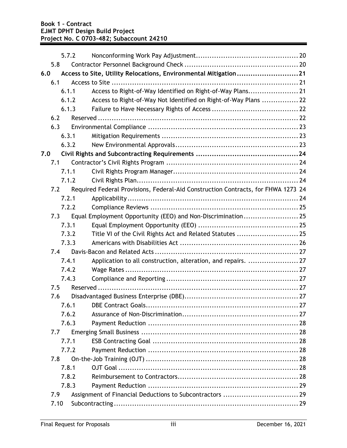|      | 5.7.2 |                                                                                   |  |
|------|-------|-----------------------------------------------------------------------------------|--|
| 5.8  |       |                                                                                   |  |
| 6.0  |       | Access to Site, Utility Relocations, Environmental Mitigation21                   |  |
| 6.1  |       |                                                                                   |  |
|      | 6.1.1 | Access to Right-of-Way Identified on Right-of-Way Plans 21                        |  |
|      | 6.1.2 | Access to Right-of-Way Not Identified on Right-of-Way Plans  22                   |  |
|      | 6.1.3 |                                                                                   |  |
| 6.2  |       |                                                                                   |  |
| 6.3  |       |                                                                                   |  |
|      | 6.3.1 |                                                                                   |  |
|      | 6.3.2 |                                                                                   |  |
| 7.0  |       |                                                                                   |  |
| 7.1  |       |                                                                                   |  |
|      | 7.1.1 |                                                                                   |  |
|      | 7.1.2 |                                                                                   |  |
| 7.2  |       | Required Federal Provisions, Federal-Aid Construction Contracts, for FHWA 1273 24 |  |
|      | 7.2.1 |                                                                                   |  |
|      | 7.2.2 |                                                                                   |  |
| 7.3  |       |                                                                                   |  |
|      | 7.3.1 |                                                                                   |  |
|      | 7.3.2 |                                                                                   |  |
|      | 7.3.3 |                                                                                   |  |
| 7.4  |       |                                                                                   |  |
|      | 7.4.1 | Application to all construction, alteration, and repairs.  27                     |  |
|      | 7.4.2 |                                                                                   |  |
|      | 7.4.3 |                                                                                   |  |
| 7.5  |       |                                                                                   |  |
| 7.6  |       |                                                                                   |  |
|      | 7.6.1 |                                                                                   |  |
|      | 7.6.2 |                                                                                   |  |
|      | 7.6.3 |                                                                                   |  |
| 7.7  |       |                                                                                   |  |
|      | 7.7.1 |                                                                                   |  |
|      | 7.7.2 |                                                                                   |  |
| 7.8  |       |                                                                                   |  |
|      | 7.8.1 |                                                                                   |  |
|      | 7.8.2 |                                                                                   |  |
|      | 7.8.3 |                                                                                   |  |
| 7.9  |       |                                                                                   |  |
| 7.10 |       |                                                                                   |  |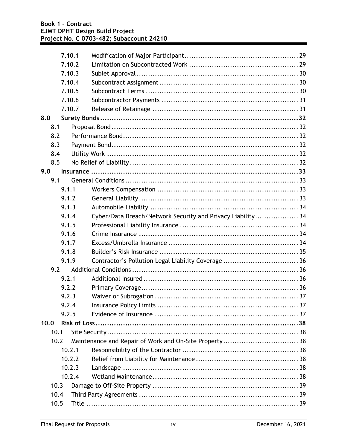|      | 7.10.1 |                                                             |  |
|------|--------|-------------------------------------------------------------|--|
|      | 7.10.2 |                                                             |  |
|      | 7.10.3 |                                                             |  |
|      | 7.10.4 |                                                             |  |
|      | 7.10.5 |                                                             |  |
|      | 7.10.6 |                                                             |  |
|      | 7.10.7 |                                                             |  |
| 8.0  |        |                                                             |  |
| 8.1  |        |                                                             |  |
| 8.2  |        |                                                             |  |
| 8.3  |        |                                                             |  |
| 8.4  |        |                                                             |  |
| 8.5  |        |                                                             |  |
| 9.0  |        |                                                             |  |
| 9.1  |        |                                                             |  |
|      | 9.1.1  |                                                             |  |
|      | 9.1.2  |                                                             |  |
|      | 9.1.3  |                                                             |  |
|      | 9.1.4  | Cyber/Data Breach/Network Security and Privacy Liability 34 |  |
|      | 9.1.5  |                                                             |  |
|      | 9.1.6  |                                                             |  |
|      | 9.1.7  |                                                             |  |
|      | 9.1.8  |                                                             |  |
|      | 9.1.9  |                                                             |  |
| 9.2  |        |                                                             |  |
|      | 9.2.1  |                                                             |  |
|      | 9.2.2  |                                                             |  |
|      | 9.2.3  |                                                             |  |
|      | 9.2.4  |                                                             |  |
|      | 9.2.5  |                                                             |  |
| 10.0 |        |                                                             |  |
| 10.1 |        |                                                             |  |
| 10.2 |        |                                                             |  |
|      | 10.2.1 |                                                             |  |
|      | 10.2.2 |                                                             |  |
|      | 10.2.3 |                                                             |  |
|      | 10.2.4 |                                                             |  |
| 10.3 |        |                                                             |  |
| 10.4 |        |                                                             |  |
| 10.5 |        |                                                             |  |
|      |        |                                                             |  |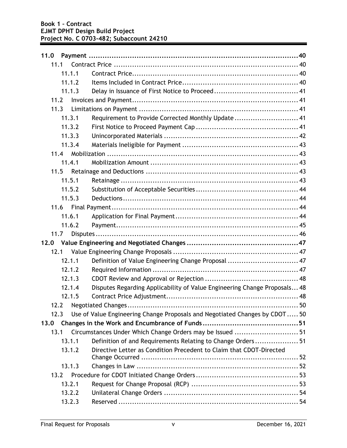| 11.0 |        |                                                                             |  |
|------|--------|-----------------------------------------------------------------------------|--|
|      | 11.1   |                                                                             |  |
|      | 11.1.1 |                                                                             |  |
|      | 11.1.2 |                                                                             |  |
|      | 11.1.3 |                                                                             |  |
| 11.2 |        |                                                                             |  |
| 11.3 |        |                                                                             |  |
|      | 11.3.1 | Requirement to Provide Corrected Monthly Update 41                          |  |
|      | 11.3.2 |                                                                             |  |
|      | 11.3.3 |                                                                             |  |
|      | 11.3.4 |                                                                             |  |
|      | 11.4   |                                                                             |  |
|      | 11.4.1 |                                                                             |  |
| 11.5 |        |                                                                             |  |
|      | 11.5.1 |                                                                             |  |
|      | 11.5.2 |                                                                             |  |
|      | 11.5.3 |                                                                             |  |
|      | 11.6   |                                                                             |  |
|      | 11.6.1 |                                                                             |  |
|      | 11.6.2 |                                                                             |  |
|      | 11.7   |                                                                             |  |
|      |        |                                                                             |  |
|      | 12.1   |                                                                             |  |
|      | 12.1.1 | Definition of Value Engineering Change Proposal  47                         |  |
|      | 12.1.2 |                                                                             |  |
|      | 12.1.3 |                                                                             |  |
|      | 12.1.4 | Disputes Regarding Applicability of Value Engineering Change Proposals 48   |  |
|      | 12.1.5 |                                                                             |  |
| 12.2 |        |                                                                             |  |
| 12.3 |        | Use of Value Engineering Change Proposals and Negotiated Changes by CDOT 50 |  |
| 13.0 |        |                                                                             |  |
| 13.1 |        | Circumstances Under Which Change Orders may be Issued  51                   |  |
|      | 13.1.1 | Definition of and Requirements Relating to Change Orders 51                 |  |
|      | 13.1.2 | Directive Letter as Condition Precedent to Claim that CDOT-Directed         |  |
|      | 13.1.3 |                                                                             |  |
|      | 13.2   |                                                                             |  |
|      | 13.2.1 |                                                                             |  |
|      | 13.2.2 |                                                                             |  |
|      | 13.2.3 |                                                                             |  |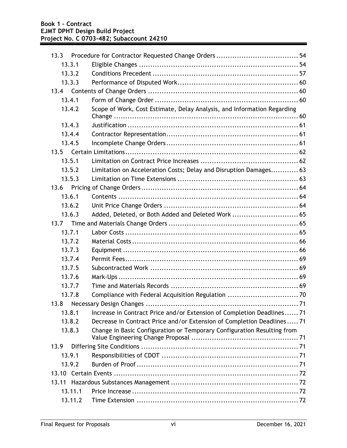| 13.3    |                                                                         |
|---------|-------------------------------------------------------------------------|
| 13.3.1  |                                                                         |
| 13.3.2  |                                                                         |
| 13.3.3  |                                                                         |
|         |                                                                         |
| 13.4.1  |                                                                         |
| 13.4.2  | Scope of Work, Cost Estimate, Delay Analysis, and Information Regarding |
|         |                                                                         |
| 13.4.3  |                                                                         |
| 13.4.4  |                                                                         |
| 13.4.5  |                                                                         |
| 13.5    |                                                                         |
| 13.5.1  |                                                                         |
| 13.5.2  | Limitation on Acceleration Costs; Delay and Disruption Damages 63       |
| 13.5.3  |                                                                         |
| 13.6    |                                                                         |
| 13.6.1  |                                                                         |
| 13.6.2  |                                                                         |
| 13.6.3  | Added, Deleted, or Both Added and Deleted Work  65                      |
| 13.7    |                                                                         |
| 13.7.1  |                                                                         |
| 13.7.2  |                                                                         |
| 13.7.3  |                                                                         |
| 13.7.4  |                                                                         |
| 13.7.5  |                                                                         |
| 13.7.6  |                                                                         |
| 13.7.7  |                                                                         |
| 13.7.8  |                                                                         |
|         |                                                                         |
| 13.8.1  | Increase in Contract Price and/or Extension of Completion Deadlines 71  |
| 13.8.2  | Decrease in Contract Price and/or Extension of Completion Deadlines 71  |
| 13.8.3  | Change in Basic Configuration or Temporary Configuration Resulting from |
| 13.9    |                                                                         |
| 13.9.1  |                                                                         |
| 13.9.2  |                                                                         |
|         |                                                                         |
| 13.11   |                                                                         |
| 13.11.1 |                                                                         |
| 13.11.2 |                                                                         |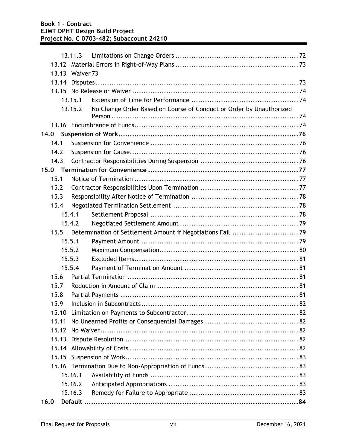|      |       | 13.11.3              |                                                                     |  |
|------|-------|----------------------|---------------------------------------------------------------------|--|
|      |       |                      |                                                                     |  |
|      | 13.13 | Waiver <sub>73</sub> |                                                                     |  |
|      | 13.14 |                      |                                                                     |  |
|      | 13.15 |                      |                                                                     |  |
|      |       | 13.15.1              |                                                                     |  |
|      |       | 13.15.2              | No Change Order Based on Course of Conduct or Order by Unauthorized |  |
|      |       |                      |                                                                     |  |
| 14.0 |       |                      |                                                                     |  |
|      | 14.1  |                      |                                                                     |  |
|      | 14.2  |                      |                                                                     |  |
|      | 14.3  |                      |                                                                     |  |
|      |       |                      |                                                                     |  |
|      | 15.1  |                      |                                                                     |  |
|      | 15.2  |                      |                                                                     |  |
|      | 15.3  |                      |                                                                     |  |
|      | 15.4  |                      |                                                                     |  |
|      |       | 15.4.1               |                                                                     |  |
|      |       | 15.4.2               |                                                                     |  |
|      | 15.5  |                      |                                                                     |  |
|      |       | 15.5.1               |                                                                     |  |
|      |       | 15.5.2               |                                                                     |  |
|      |       | 15.5.3               |                                                                     |  |
|      |       | 15.5.4               |                                                                     |  |
|      | 15.6  |                      |                                                                     |  |
|      | 15.7  |                      |                                                                     |  |
|      | 15.8  |                      |                                                                     |  |
|      | 15.9  |                      |                                                                     |  |
|      | 15.10 |                      |                                                                     |  |
|      | 15.11 |                      |                                                                     |  |
|      | 15.12 |                      |                                                                     |  |
|      | 15.13 |                      |                                                                     |  |
|      | 15.14 |                      |                                                                     |  |
|      | 15.15 |                      |                                                                     |  |
|      |       |                      |                                                                     |  |
|      |       | 15.16.1              |                                                                     |  |
|      |       | 15.16.2              |                                                                     |  |
|      |       | 15.16.3              |                                                                     |  |
| 16.0 |       |                      |                                                                     |  |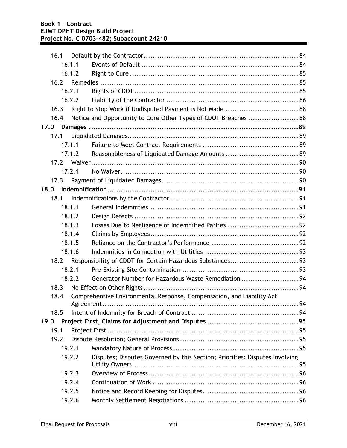|      | 16.1 |        |                                                                             |  |
|------|------|--------|-----------------------------------------------------------------------------|--|
|      |      | 16.1.1 |                                                                             |  |
|      |      | 16.1.2 |                                                                             |  |
|      | 16.2 |        |                                                                             |  |
|      |      | 16.2.1 |                                                                             |  |
|      |      | 16.2.2 |                                                                             |  |
|      | 16.3 |        | Right to Stop Work if Undisputed Payment is Not Made  88                    |  |
|      | 16.4 |        | Notice and Opportunity to Cure Other Types of CDOT Breaches  88             |  |
| 17.0 |      |        |                                                                             |  |
|      | 17.1 |        |                                                                             |  |
|      |      | 17.1.1 |                                                                             |  |
|      |      | 17.1.2 |                                                                             |  |
|      | 17.2 |        |                                                                             |  |
|      |      | 17.2.1 |                                                                             |  |
|      | 17.3 |        |                                                                             |  |
| 18.0 |      |        |                                                                             |  |
|      | 18.1 |        |                                                                             |  |
|      |      | 18.1.1 |                                                                             |  |
|      |      | 18.1.2 |                                                                             |  |
|      |      | 18.1.3 |                                                                             |  |
|      |      | 18.1.4 |                                                                             |  |
|      |      | 18.1.5 |                                                                             |  |
|      |      | 18.1.6 |                                                                             |  |
|      | 18.2 |        |                                                                             |  |
|      |      | 18.2.1 |                                                                             |  |
|      |      | 18.2.2 | Generator Number for Hazardous Waste Remediation  94                        |  |
|      | 18.3 |        |                                                                             |  |
|      | 18.4 |        | Comprehensive Environmental Response, Compensation, and Liability Act       |  |
|      |      |        |                                                                             |  |
|      | 18.5 |        |                                                                             |  |
| 19.0 |      |        |                                                                             |  |
|      | 19.1 |        |                                                                             |  |
|      | 19.2 |        |                                                                             |  |
|      |      | 19.2.1 |                                                                             |  |
|      |      | 19.2.2 | Disputes; Disputes Governed by this Section; Priorities; Disputes Involving |  |
|      |      | 19.2.3 |                                                                             |  |
|      |      | 19.2.4 |                                                                             |  |
|      |      | 19.2.5 |                                                                             |  |
|      |      | 19.2.6 |                                                                             |  |
|      |      |        |                                                                             |  |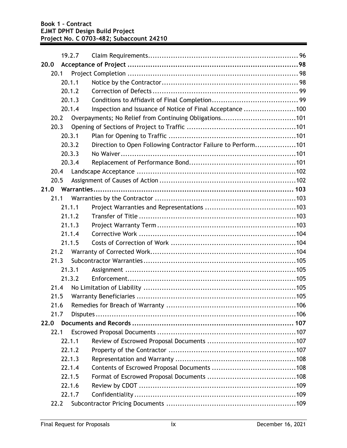|      |      | 19.2.7 |                                                              |  |
|------|------|--------|--------------------------------------------------------------|--|
| 20.0 |      |        |                                                              |  |
|      | 20.1 |        |                                                              |  |
|      |      | 20.1.1 |                                                              |  |
|      |      | 20.1.2 |                                                              |  |
|      |      | 20.1.3 |                                                              |  |
|      |      | 20.1.4 | Inspection and Issuance of Notice of Final Acceptance 100    |  |
|      | 20.2 |        | Overpayments; No Relief from Continuing Obligations101       |  |
|      | 20.3 |        |                                                              |  |
|      |      | 20.3.1 |                                                              |  |
|      |      | 20.3.2 | Direction to Open Following Contractor Failure to Perform101 |  |
|      |      | 20.3.3 |                                                              |  |
|      |      | 20.3.4 |                                                              |  |
|      | 20.4 |        |                                                              |  |
|      | 20.5 |        |                                                              |  |
| 21.0 |      |        |                                                              |  |
|      | 21.1 |        |                                                              |  |
|      |      | 21.1.1 |                                                              |  |
|      |      | 21.1.2 |                                                              |  |
|      |      | 21.1.3 |                                                              |  |
|      |      | 21.1.4 |                                                              |  |
|      |      | 21.1.5 |                                                              |  |
|      | 21.2 |        |                                                              |  |
|      | 21.3 |        |                                                              |  |
|      |      | 21.3.1 |                                                              |  |
|      |      | 21.3.2 |                                                              |  |
|      | 21.4 |        |                                                              |  |
|      | 21.5 |        |                                                              |  |
|      | 21.6 |        |                                                              |  |
|      | 21.7 |        |                                                              |  |
| 22.0 |      |        |                                                              |  |
|      | 22.1 |        |                                                              |  |
|      |      | 22.1.1 |                                                              |  |
|      |      | 22.1.2 |                                                              |  |
|      |      | 22.1.3 |                                                              |  |
|      |      | 22.1.4 |                                                              |  |
|      |      | 22.1.5 |                                                              |  |
|      |      | 22.1.6 |                                                              |  |
|      |      | 22.1.7 |                                                              |  |
|      | 22.2 |        |                                                              |  |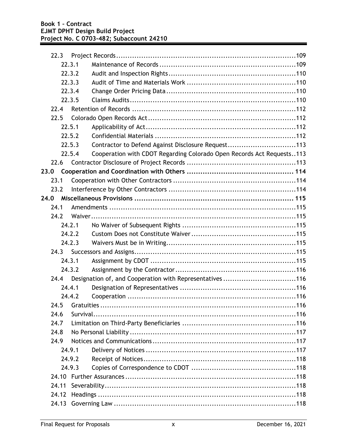| 22.3  |        |                                                                       |
|-------|--------|-----------------------------------------------------------------------|
|       | 22.3.1 |                                                                       |
|       | 22.3.2 |                                                                       |
|       | 22.3.3 |                                                                       |
|       | 22.3.4 |                                                                       |
|       | 22.3.5 |                                                                       |
| 22.4  |        |                                                                       |
| 22.5  |        |                                                                       |
|       | 22.5.1 |                                                                       |
|       | 22.5.2 |                                                                       |
|       | 22.5.3 | Contractor to Defend Against Disclosure Request113                    |
|       | 22.5.4 | Cooperation with CDOT Regarding Colorado Open Records Act Requests113 |
| 22.6  |        |                                                                       |
| 23.0  |        |                                                                       |
| 23.1  |        |                                                                       |
| 23.2  |        |                                                                       |
|       |        |                                                                       |
| 24.1  |        |                                                                       |
| 24.2  |        |                                                                       |
|       | 24.2.1 |                                                                       |
|       | 24.2.2 |                                                                       |
|       | 24.2.3 |                                                                       |
|       |        |                                                                       |
|       | 24.3.1 |                                                                       |
|       | 24.3.2 |                                                                       |
| 24.4  |        | Designation of, and Cooperation with Representatives116               |
|       | 24.4.1 |                                                                       |
|       | 24.4.2 |                                                                       |
| 24.5  |        |                                                                       |
| 24.6  |        |                                                                       |
| 24.7  |        |                                                                       |
| 24.8  |        |                                                                       |
| 24.9  |        |                                                                       |
|       | 24.9.1 |                                                                       |
|       | 24.9.2 |                                                                       |
|       | 24.9.3 |                                                                       |
| 24.10 |        |                                                                       |
| 24.11 |        |                                                                       |
| 24.12 |        |                                                                       |
| 24.13 |        |                                                                       |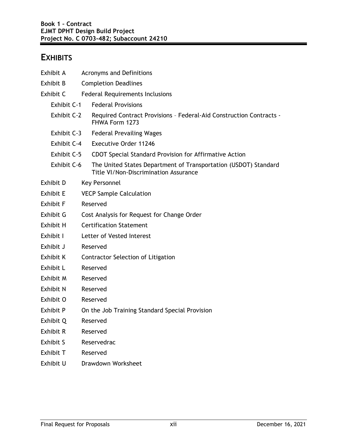### **EXHIBITS**

| Exhibit A        | <b>Acronyms and Definitions</b>                                                                                 |  |  |  |  |
|------------------|-----------------------------------------------------------------------------------------------------------------|--|--|--|--|
| Exhibit B        | <b>Completion Deadlines</b>                                                                                     |  |  |  |  |
| Exhibit C        | <b>Federal Requirements Inclusions</b>                                                                          |  |  |  |  |
| Exhibit C-1      | <b>Federal Provisions</b>                                                                                       |  |  |  |  |
| Exhibit C-2      | Required Contract Provisions - Federal-Aid Construction Contracts -<br>FHWA Form 1273                           |  |  |  |  |
| Exhibit C-3      | <b>Federal Prevailing Wages</b>                                                                                 |  |  |  |  |
| Exhibit C-4      | <b>Executive Order 11246</b>                                                                                    |  |  |  |  |
| Exhibit C-5      | CDOT Special Standard Provision for Affirmative Action                                                          |  |  |  |  |
| Exhibit C-6      | The United States Department of Transportation (USDOT) Standard<br><b>Title VI/Non-Discrimination Assurance</b> |  |  |  |  |
| Exhibit D        | Key Personnel                                                                                                   |  |  |  |  |
| <b>Exhibit E</b> | <b>VECP Sample Calculation</b>                                                                                  |  |  |  |  |
| <b>Exhibit F</b> | Reserved                                                                                                        |  |  |  |  |
| Exhibit G        | Cost Analysis for Request for Change Order                                                                      |  |  |  |  |
| Exhibit H        | <b>Certification Statement</b>                                                                                  |  |  |  |  |
| Exhibit I        | Letter of Vested Interest                                                                                       |  |  |  |  |
| Exhibit J        | Reserved                                                                                                        |  |  |  |  |
| Exhibit K        | Contractor Selection of Litigation                                                                              |  |  |  |  |
| Exhibit L        | Reserved                                                                                                        |  |  |  |  |
| Exhibit M        | Reserved                                                                                                        |  |  |  |  |
| Exhibit N        | Reserved                                                                                                        |  |  |  |  |
| Exhibit O        | Reserved                                                                                                        |  |  |  |  |
| Exhibit P        | On the Job Training Standard Special Provision                                                                  |  |  |  |  |
| Exhibit Q        | Reserved                                                                                                        |  |  |  |  |
| <b>Exhibit R</b> | Reserved                                                                                                        |  |  |  |  |
| Exhibit S        | Reservedrac                                                                                                     |  |  |  |  |
| Exhibit T        | Reserved                                                                                                        |  |  |  |  |
| Exhibit U        | Drawdown Worksheet                                                                                              |  |  |  |  |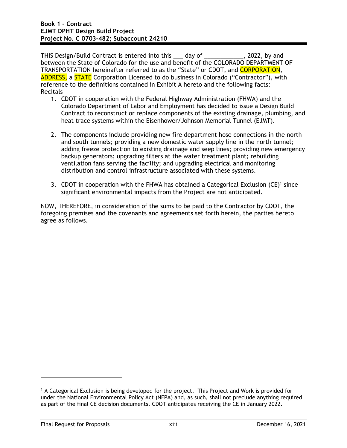THIS Design/Build Contract is entered into this \_\_\_ day of \_\_\_\_\_\_\_\_\_\_\_\_, 2022, by and between the State of Colorado for the use and benefit of the COLORADO DEPARTMENT OF TRANSPORTATION hereinafter referred to as the "State" or CDOT, and CORPORATION, ADDRESS, a STATE Corporation Licensed to do business in Colorado ("Contractor"), with reference to the definitions contained in Exhibit A hereto and the following facts: Recitals

- 1. CDOT in cooperation with the Federal Highway Administration (FHWA) and the Colorado Department of Labor and Employment has decided to issue a Design Build Contract to reconstruct or replace components of the existing drainage, plumbing, and heat trace systems within the Eisenhower/Johnson Memorial Tunnel (EJMT).
- 2. The components include providing new fire department hose connections in the north and south tunnels; providing a new domestic water supply line in the north tunnel; adding freeze protection to existing drainage and seep lines; providing new emergency backup generators; upgrading filters at the water treatment plant; rebuilding ventilation fans serving the facility; and upgrading electrical and monitoring distribution and control infrastructure associated with these systems.
- 3. CDOT in cooperation with the FHWA has obtained a Categorical Exclusion  $(CE)^1$  since significant environmental impacts from the Project are not anticipated.

NOW, THEREFORE, in consideration of the sums to be paid to the Contractor by CDOT, the foregoing premises and the covenants and agreements set forth herein, the parties hereto agree as follows.

<sup>1</sup> A Categorical Exclusion is being developed for the project. This Project and Work is provided for under the National Environmental Policy Act (NEPA) and, as such, shall not preclude anything required as part of the final CE decision documents. CDOT anticipates receiving the CE in January 2022.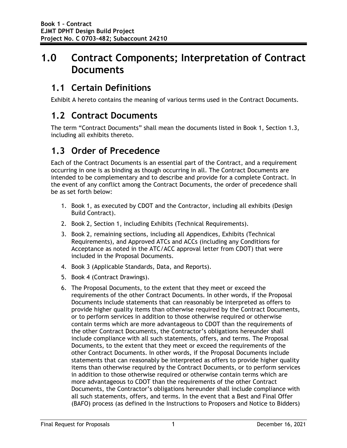# **1.0 Contract Components; Interpretation of Contract Documents**

# **1.1 Certain Definitions**

Exhibit A hereto contains the meaning of various terms used in the Contract Documents.

# **1.2 Contract Documents**

The term "Contract Documents" shall mean the documents listed in Book 1, Section 1.3, including all exhibits thereto.

# **1.3 Order of Precedence**

Each of the Contract Documents is an essential part of the Contract, and a requirement occurring in one is as binding as though occurring in all. The Contract Documents are intended to be complementary and to describe and provide for a complete Contract. In the event of any conflict among the Contract Documents, the order of precedence shall be as set forth below:

- 1. Book 1, as executed by CDOT and the Contractor, including all exhibits (Design Build Contract).
- 2. Book 2, Section 1, including Exhibits (Technical Requirements).
- 3. Book 2, remaining sections, including all Appendices, Exhibits (Technical Requirements), and Approved ATCs and ACCs (including any Conditions for Acceptance as noted in the ATC/ACC approval letter from CDOT) that were included in the Proposal Documents.
- 4. Book 3 (Applicable Standards, Data, and Reports).
- 5. Book 4 (Contract Drawings).
- 6. The Proposal Documents, to the extent that they meet or exceed the requirements of the other Contract Documents. In other words, if the Proposal Documents include statements that can reasonably be interpreted as offers to provide higher quality items than otherwise required by the Contract Documents, or to perform services in addition to those otherwise required or otherwise contain terms which are more advantageous to CDOT than the requirements of the other Contract Documents, the Contractor's obligations hereunder shall include compliance with all such statements, offers, and terms. The Proposal Documents, to the extent that they meet or exceed the requirements of the other Contract Documents. In other words, if the Proposal Documents include statements that can reasonably be interpreted as offers to provide higher quality items than otherwise required by the Contract Documents, or to perform services in addition to those otherwise required or otherwise contain terms which are more advantageous to CDOT than the requirements of the other Contract Documents, the Contractor's obligations hereunder shall include compliance with all such statements, offers, and terms. In the event that a Best and Final Offer (BAFO) process (as defined in the Instructions to Proposers and Notice to Bidders)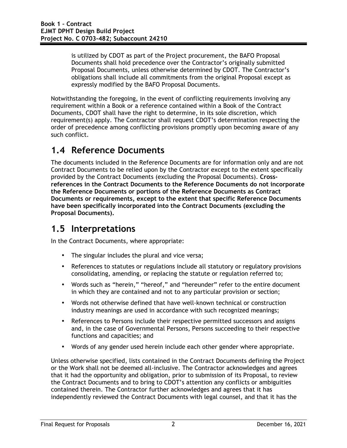is utilized by CDOT as part of the Project procurement, the BAFO Proposal Documents shall hold precedence over the Contractor's originally submitted Proposal Documents, unless otherwise determined by CDOT. The Contractor's obligations shall include all commitments from the original Proposal except as expressly modified by the BAFO Proposal Documents.

Notwithstanding the foregoing, in the event of conflicting requirements involving any requirement within a Book or a reference contained within a Book of the Contract Documents, CDOT shall have the right to determine, in its sole discretion, which requirement(s) apply. The Contractor shall request CDOT's determination respecting the order of precedence among conflicting provisions promptly upon becoming aware of any such conflict.

# **1.4 Reference Documents**

The documents included in the Reference Documents are for information only and are not Contract Documents to be relied upon by the Contractor except to the extent specifically provided by the Contract Documents (excluding the Proposal Documents). **Crossreferences in the Contract Documents to the Reference Documents do not incorporate the Reference Documents or portions of the Reference Documents as Contract Documents or requirements, except to the extent that specific Reference Documents have been specifically incorporated into the Contract Documents (excluding the Proposal Documents).** 

## **1.5 Interpretations**

In the Contract Documents, where appropriate:

- The singular includes the plural and vice versa;
- References to statutes or regulations include all statutory or regulatory provisions consolidating, amending, or replacing the statute or regulation referred to;
- Words such as "herein," "hereof," and "hereunder" refer to the entire document in which they are contained and not to any particular provision or section;
- Words not otherwise defined that have well-known technical or construction industry meanings are used in accordance with such recognized meanings;
- References to Persons include their respective permitted successors and assigns and, in the case of Governmental Persons, Persons succeeding to their respective functions and capacities; and
- Words of any gender used herein include each other gender where appropriate.

Unless otherwise specified, lists contained in the Contract Documents defining the Project or the Work shall not be deemed all-inclusive. The Contractor acknowledges and agrees that it had the opportunity and obligation, prior to submission of its Proposal, to review the Contract Documents and to bring to CDOT's attention any conflicts or ambiguities contained therein. The Contractor further acknowledges and agrees that it has independently reviewed the Contract Documents with legal counsel, and that it has the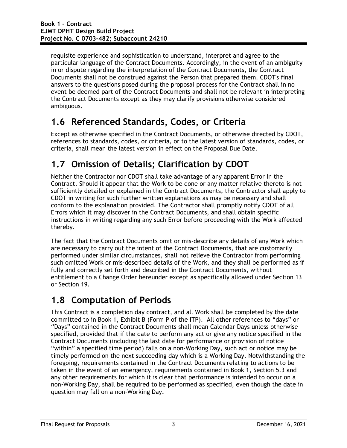requisite experience and sophistication to understand, interpret and agree to the particular language of the Contract Documents. Accordingly, in the event of an ambiguity in or dispute regarding the interpretation of the Contract Documents, the Contract Documents shall not be construed against the Person that prepared them. CDOT's final answers to the questions posed during the proposal process for the Contract shall in no event be deemed part of the Contract Documents and shall not be relevant in interpreting the Contract Documents except as they may clarify provisions otherwise considered ambiguous.

# **1.6 Referenced Standards, Codes, or Criteria**

Except as otherwise specified in the Contract Documents, or otherwise directed by CDOT, references to standards, codes, or criteria, or to the latest version of standards, codes, or criteria, shall mean the latest version in effect on the Proposal Due Date.

# **1.7 Omission of Details; Clarification by CDOT**

Neither the Contractor nor CDOT shall take advantage of any apparent Error in the Contract. Should it appear that the Work to be done or any matter relative thereto is not sufficiently detailed or explained in the Contract Documents, the Contractor shall apply to CDOT in writing for such further written explanations as may be necessary and shall conform to the explanation provided. The Contractor shall promptly notify CDOT of all Errors which it may discover in the Contract Documents, and shall obtain specific instructions in writing regarding any such Error before proceeding with the Work affected thereby.

The fact that the Contract Documents omit or mis-describe any details of any Work which are necessary to carry out the intent of the Contract Documents, that are customarily performed under similar circumstances, shall not relieve the Contractor from performing such omitted Work or mis-described details of the Work, and they shall be performed as if fully and correctly set forth and described in the Contract Documents, without entitlement to a Change Order hereunder except as specifically allowed under Section 13 or Section 19.

# **1.8 Computation of Periods**

This Contract is a completion day contract, and all Work shall be completed by the date committed to in Book 1, Exhibit B (Form P of the ITP). All other references to "days" or "Days" contained in the Contract Documents shall mean Calendar Days unless otherwise specified, provided that if the date to perform any act or give any notice specified in the Contract Documents (including the last date for performance or provision of notice "within" a specified time period) falls on a non-Working Day, such act or notice may be timely performed on the next succeeding day which is a Working Day. Notwithstanding the foregoing, requirements contained in the Contract Documents relating to actions to be taken in the event of an emergency, requirements contained in Book 1, Section 5.3 and any other requirements for which it is clear that performance is intended to occur on a non-Working Day, shall be required to be performed as specified, even though the date in question may fall on a non-Working Day.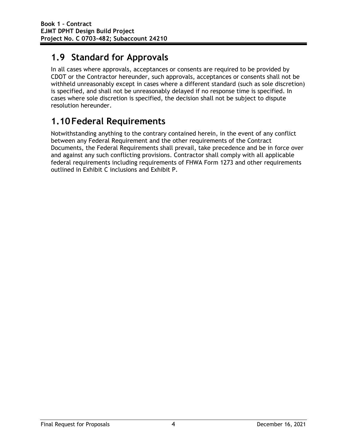# **1.9 Standard for Approvals**

In all cases where approvals, acceptances or consents are required to be provided by CDOT or the Contractor hereunder, such approvals, acceptances or consents shall not be withheld unreasonably except in cases where a different standard (such as sole discretion) is specified, and shall not be unreasonably delayed if no response time is specified. In cases where sole discretion is specified, the decision shall not be subject to dispute resolution hereunder.

# **1.10Federal Requirements**

Notwithstanding anything to the contrary contained herein, in the event of any conflict between any Federal Requirement and the other requirements of the Contract Documents, the Federal Requirements shall prevail, take precedence and be in force over and against any such conflicting provisions. Contractor shall comply with all applicable federal requirements including requirements of FHWA Form 1273 and other requirements outlined in Exhibit C inclusions and Exhibit P.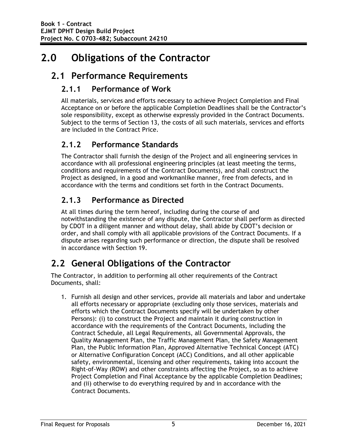# **2.0 Obligations of the Contractor**

# **2.1 Performance Requirements**

#### **2.1.1 Performance of Work**

All materials, services and efforts necessary to achieve Project Completion and Final Acceptance on or before the applicable Completion Deadlines shall be the Contractor's sole responsibility, except as otherwise expressly provided in the Contract Documents. Subject to the terms of Section 13, the costs of all such materials, services and efforts are included in the Contract Price.

### **2.1.2 Performance Standards**

The Contractor shall furnish the design of the Project and all engineering services in accordance with all professional engineering principles (at least meeting the terms, conditions and requirements of the Contract Documents), and shall construct the Project as designed, in a good and workmanlike manner, free from defects, and in accordance with the terms and conditions set forth in the Contract Documents.

### **2.1.3 Performance as Directed**

At all times during the term hereof, including during the course of and notwithstanding the existence of any dispute, the Contractor shall perform as directed by CDOT in a diligent manner and without delay, shall abide by CDOT's decision or order, and shall comply with all applicable provisions of the Contract Documents. If a dispute arises regarding such performance or direction, the dispute shall be resolved in accordance with Section 19.

# **2.2 General Obligations of the Contractor**

The Contractor, in addition to performing all other requirements of the Contract Documents, shall:

1. Furnish all design and other services, provide all materials and labor and undertake all efforts necessary or appropriate (excluding only those services, materials and efforts which the Contract Documents specify will be undertaken by other Persons): (i) to construct the Project and maintain it during construction in accordance with the requirements of the Contract Documents, including the Contract Schedule, all Legal Requirements, all Governmental Approvals, the Quality Management Plan, the Traffic Management Plan, the Safety Management Plan, the Public Information Plan, Approved Alternative Technical Concept (ATC) or Alternative Configuration Concept (ACC) Conditions, and all other applicable safety, environmental, licensing and other requirements, taking into account the Right-of-Way (ROW) and other constraints affecting the Project, so as to achieve Project Completion and Final Acceptance by the applicable Completion Deadlines; and (ii) otherwise to do everything required by and in accordance with the Contract Documents.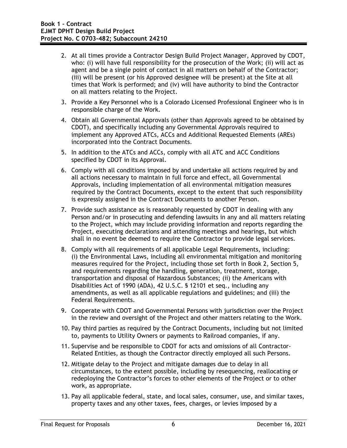- 2. At all times provide a Contractor Design Build Project Manager, Approved by CDOT, who: (i) will have full responsibility for the prosecution of the Work; (ii) will act as agent and be a single point of contact in all matters on behalf of the Contractor; (iii) will be present (or his Approved designee will be present) at the Site at all times that Work is performed; and (iv) will have authority to bind the Contractor on all matters relating to the Project.
- 3. Provide a Key Personnel who is a Colorado Licensed Professional Engineer who is in responsible charge of the Work.
- 4. Obtain all Governmental Approvals (other than Approvals agreed to be obtained by CDOT), and specifically including any Governmental Approvals required to implement any Approved ATCs, ACCs and Additional Requested Elements (AREs) incorporated into the Contract Documents.
- 5. In addition to the ATCs and ACCs, comply with all ATC and ACC Conditions specified by CDOT in its Approval.
- 6. Comply with all conditions imposed by and undertake all actions required by and all actions necessary to maintain in full force and effect, all Governmental Approvals, including implementation of all environmental mitigation measures required by the Contract Documents, except to the extent that such responsibility is expressly assigned in the Contract Documents to another Person.
- 7. Provide such assistance as is reasonably requested by CDOT in dealing with any Person and/or in prosecuting and defending lawsuits in any and all matters relating to the Project, which may include providing information and reports regarding the Project, executing declarations and attending meetings and hearings, but which shall in no event be deemed to require the Contractor to provide legal services.
- 8. Comply with all requirements of all applicable Legal Requirements, including: (i) the Environmental Laws, including all environmental mitigation and monitoring measures required for the Project, including those set forth in Book 2, Section 5, and requirements regarding the handling, generation, treatment, storage, transportation and disposal of Hazardous Substances; (ii) the Americans with Disabilities Act of 1990 (ADA), 42 U.S.C. § 12101 et seq., including any amendments, as well as all applicable regulations and guidelines; and (iii) the Federal Requirements.
- 9. Cooperate with CDOT and Governmental Persons with jurisdiction over the Project in the review and oversight of the Project and other matters relating to the Work.
- 10. Pay third parties as required by the Contract Documents, including but not limited to, payments to Utility Owners or payments to Railroad companies, if any.
- 11. Supervise and be responsible to CDOT for acts and omissions of all Contractor-Related Entities, as though the Contractor directly employed all such Persons.
- 12. Mitigate delay to the Project and mitigate damages due to delay in all circumstances, to the extent possible, including by resequencing, reallocating or redeploying the Contractor's forces to other elements of the Project or to other work, as appropriate.
- 13. Pay all applicable federal, state, and local sales, consumer, use, and similar taxes, property taxes and any other taxes, fees, charges, or levies imposed by a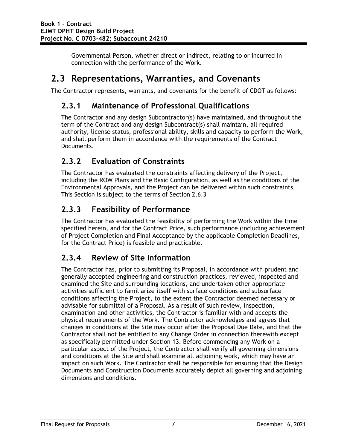Governmental Person, whether direct or indirect, relating to or incurred in connection with the performance of the Work.

## **2.3 Representations, Warranties, and Covenants**

The Contractor represents, warrants, and covenants for the benefit of CDOT as follows:

#### **2.3.1 Maintenance of Professional Qualifications**

The Contractor and any design Subcontractor(s) have maintained, and throughout the term of the Contract and any design Subcontract(s) shall maintain, all required authority, license status, professional ability, skills and capacity to perform the Work, and shall perform them in accordance with the requirements of the Contract Documents.

### **2.3.2 Evaluation of Constraints**

The Contractor has evaluated the constraints affecting delivery of the Project, including the ROW Plans and the Basic Configuration, as well as the conditions of the Environmental Approvals, and the Project can be delivered within such constraints. This Section is subject to the terms of Section 2.6.3

#### **2.3.3 Feasibility of Performance**

The Contractor has evaluated the feasibility of performing the Work within the time specified herein, and for the Contract Price, such performance (including achievement of Project Completion and Final Acceptance by the applicable Completion Deadlines, for the Contract Price) is feasible and practicable.

#### **2.3.4 Review of Site Information**

The Contractor has, prior to submitting its Proposal, in accordance with prudent and generally accepted engineering and construction practices, reviewed, inspected and examined the Site and surrounding locations, and undertaken other appropriate activities sufficient to familiarize itself with surface conditions and subsurface conditions affecting the Project, to the extent the Contractor deemed necessary or advisable for submittal of a Proposal. As a result of such review, inspection, examination and other activities, the Contractor is familiar with and accepts the physical requirements of the Work. The Contractor acknowledges and agrees that changes in conditions at the Site may occur after the Proposal Due Date, and that the Contractor shall not be entitled to any Change Order in connection therewith except as specifically permitted under Section 13. Before commencing any Work on a particular aspect of the Project, the Contractor shall verify all governing dimensions and conditions at the Site and shall examine all adjoining work, which may have an impact on such Work. The Contractor shall be responsible for ensuring that the Design Documents and Construction Documents accurately depict all governing and adjoining dimensions and conditions.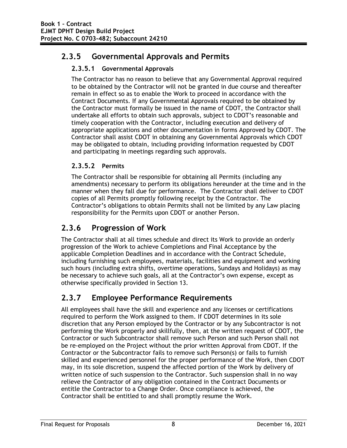#### **2.3.5 Governmental Approvals and Permits**

#### **2.3.5.1 Governmental Approvals**

The Contractor has no reason to believe that any Governmental Approval required to be obtained by the Contractor will not be granted in due course and thereafter remain in effect so as to enable the Work to proceed in accordance with the Contract Documents. If any Governmental Approvals required to be obtained by the Contractor must formally be issued in the name of CDOT, the Contractor shall undertake all efforts to obtain such approvals, subject to CDOT's reasonable and timely cooperation with the Contractor, including execution and delivery of appropriate applications and other documentation in forms Approved by CDOT. The Contractor shall assist CDOT in obtaining any Governmental Approvals which CDOT may be obligated to obtain, including providing information requested by CDOT and participating in meetings regarding such approvals.

#### **2.3.5.2 Permits**

The Contractor shall be responsible for obtaining all Permits (including any amendments) necessary to perform its obligations hereunder at the time and in the manner when they fall due for performance. The Contractor shall deliver to CDOT copies of all Permits promptly following receipt by the Contractor. The Contractor's obligations to obtain Permits shall not be limited by any Law placing responsibility for the Permits upon CDOT or another Person.

#### **2.3.6 Progression of Work**

The Contractor shall at all times schedule and direct its Work to provide an orderly progression of the Work to achieve Completions and Final Acceptance by the applicable Completion Deadlines and in accordance with the Contract Schedule, including furnishing such employees, materials, facilities and equipment and working such hours (including extra shifts, overtime operations, Sundays and Holidays) as may be necessary to achieve such goals, all at the Contractor's own expense, except as otherwise specifically provided in Section 13.

### **2.3.7 Employee Performance Requirements**

All employees shall have the skill and experience and any licenses or certifications required to perform the Work assigned to them. If CDOT determines in its sole discretion that any Person employed by the Contractor or by any Subcontractor is not performing the Work properly and skillfully, then, at the written request of CDOT, the Contractor or such Subcontractor shall remove such Person and such Person shall not be re-employed on the Project without the prior written Approval from CDOT. If the Contractor or the Subcontractor fails to remove such Person(s) or fails to furnish skilled and experienced personnel for the proper performance of the Work, then CDOT may, in its sole discretion, suspend the affected portion of the Work by delivery of written notice of such suspension to the Contractor. Such suspension shall in no way relieve the Contractor of any obligation contained in the Contract Documents or entitle the Contractor to a Change Order. Once compliance is achieved, the Contractor shall be entitled to and shall promptly resume the Work.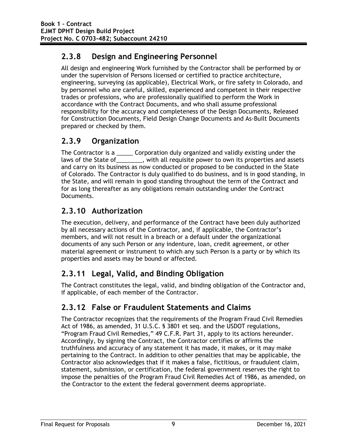### **2.3.8 Design and Engineering Personnel**

All design and engineering Work furnished by the Contractor shall be performed by or under the supervision of Persons licensed or certified to practice architecture, engineering, surveying (as applicable), Electrical Work, or fire safety in Colorado, and by personnel who are careful, skilled, experienced and competent in their respective trades or professions, who are professionally qualified to perform the Work in accordance with the Contract Documents, and who shall assume professional responsibility for the accuracy and completeness of the Design Documents, Released for Construction Documents, Field Design Change Documents and As-Built Documents prepared or checked by them.

### **2.3.9 Organization**

The Contractor is a **Example 2** Corporation duly organized and validly existing under the laws of the State of \_\_\_\_\_\_\_, with all requisite power to own its properties and assets and carry on its business as now conducted or proposed to be conducted in the State of Colorado. The Contractor is duly qualified to do business, and is in good standing, in the State, and will remain in good standing throughout the term of the Contract and for as long thereafter as any obligations remain outstanding under the Contract Documents.

### **2.3.10 Authorization**

The execution, delivery, and performance of the Contract have been duly authorized by all necessary actions of the Contractor, and, if applicable, the Contractor's members, and will not result in a breach or a default under the organizational documents of any such Person or any indenture, loan, credit agreement, or other material agreement or instrument to which any such Person is a party or by which its properties and assets may be bound or affected.

# **2.3.11 Legal, Valid, and Binding Obligation**

The Contract constitutes the legal, valid, and binding obligation of the Contractor and, if applicable, of each member of the Contractor.

### **2.3.12 False or Fraudulent Statements and Claims**

The Contractor recognizes that the requirements of the Program Fraud Civil Remedies Act of 1986, as amended, 31 U.S.C. § 3801 et seq. and the USDOT regulations, "Program Fraud Civil Remedies," 49 C.F.R. Part 31, apply to its actions hereunder. Accordingly, by signing the Contract, the Contractor certifies or affirms the truthfulness and accuracy of any statement it has made, it makes, or it may make pertaining to the Contract. In addition to other penalties that may be applicable, the Contractor also acknowledges that if it makes a false, fictitious, or fraudulent claim, statement, submission, or certification, the federal government reserves the right to impose the penalties of the Program Fraud Civil Remedies Act of 1986, as amended, on the Contractor to the extent the federal government deems appropriate.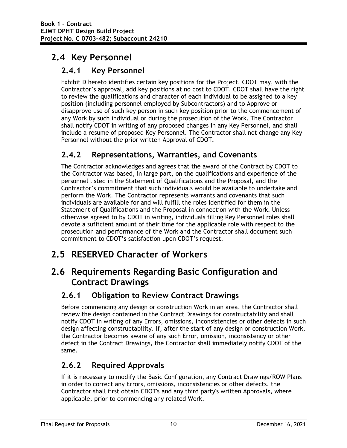# **2.4 Key Personnel**

### **2.4.1 Key Personnel**

Exhibit D hereto identifies certain key positions for the Project. CDOT may, with the Contractor's approval, add key positions at no cost to CDOT. CDOT shall have the right to review the qualifications and character of each individual to be assigned to a key position (including personnel employed by Subcontractors) and to Approve or disapprove use of such key person in such key position prior to the commencement of any Work by such individual or during the prosecution of the Work. The Contractor shall notify CDOT in writing of any proposed changes in any Key Personnel, and shall include a resume of proposed Key Personnel. The Contractor shall not change any Key Personnel without the prior written Approval of CDOT.

### **2.4.2 Representations, Warranties, and Covenants**

The Contractor acknowledges and agrees that the award of the Contract by CDOT to the Contractor was based, in large part, on the qualifications and experience of the personnel listed in the Statement of Qualifications and the Proposal, and the Contractor's commitment that such individuals would be available to undertake and perform the Work. The Contractor represents warrants and covenants that such individuals are available for and will fulfill the roles identified for them in the Statement of Qualifications and the Proposal in connection with the Work. Unless otherwise agreed to by CDOT in writing, individuals filling Key Personnel roles shall devote a sufficient amount of their time for the applicable role with respect to the prosecution and performance of the Work and the Contractor shall document such commitment to CDOT's satisfaction upon CDOT's request.

# **2.5 RESERVED Character of Workers**

# **2.6 Requirements Regarding Basic Configuration and Contract Drawings**

### **2.6.1 Obligation to Review Contract Drawings**

Before commencing any design or construction Work in an area, the Contractor shall review the design contained in the Contract Drawings for constructability and shall notify CDOT in writing of any Errors, omissions, inconsistencies or other defects in such design affecting constructability. If, after the start of any design or construction Work, the Contractor becomes aware of any such Error, omission, inconsistency or other defect in the Contract Drawings, the Contractor shall immediately notify CDOT of the same.

### **2.6.2 Required Approvals**

If it is necessary to modify the Basic Configuration, any Contract Drawings/ROW Plans in order to correct any Errors, omissions, inconsistencies or other defects, the Contractor shall first obtain CDOT's and any third party's written Approvals, where applicable, prior to commencing any related Work.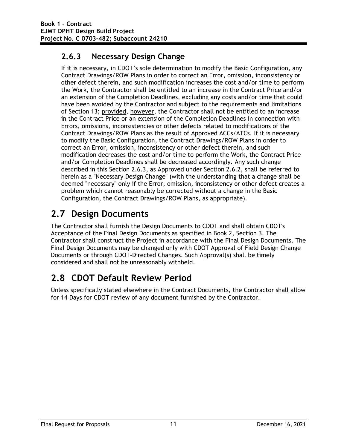### **2.6.3 Necessary Design Change**

If it is necessary, in CDOT's sole determination to modify the Basic Configuration, any Contract Drawings/ROW Plans in order to correct an Error, omission, inconsistency or other defect therein, and such modification increases the cost and/or time to perform the Work, the Contractor shall be entitled to an increase in the Contract Price and/or an extension of the Completion Deadlines, excluding any costs and/or time that could have been avoided by the Contractor and subject to the requirements and limitations of Section 13; provided, however, the Contractor shall not be entitled to an increase in the Contract Price or an extension of the Completion Deadlines in connection with Errors, omissions, inconsistencies or other defects related to modifications of the Contract Drawings/ROW Plans as the result of Approved ACCs/ATCs. If it is necessary to modify the Basic Configuration, the Contract Drawings/ROW Plans in order to correct an Error, omission, inconsistency or other defect therein, and such modification decreases the cost and/or time to perform the Work, the Contract Price and/or Completion Deadlines shall be decreased accordingly. Any such change described in this Section 2.6.3, as Approved under Section 2.6.2, shall be referred to herein as a "Necessary Design Change" (with the understanding that a change shall be deemed "necessary" only if the Error, omission, inconsistency or other defect creates a problem which cannot reasonably be corrected without a change in the Basic Configuration, the Contract Drawings/ROW Plans, as appropriate).

# **2.7 Design Documents**

The Contractor shall furnish the Design Documents to CDOT and shall obtain CDOT's Acceptance of the Final Design Documents as specified in Book 2, Section 3. The Contractor shall construct the Project in accordance with the Final Design Documents. The Final Design Documents may be changed only with CDOT Approval of Field Design Change Documents or through CDOT-Directed Changes. Such Approval(s) shall be timely considered and shall not be unreasonably withheld.

# **2.8 CDOT Default Review Period**

Unless specifically stated elsewhere in the Contract Documents, the Contractor shall allow for 14 Days for CDOT review of any document furnished by the Contractor.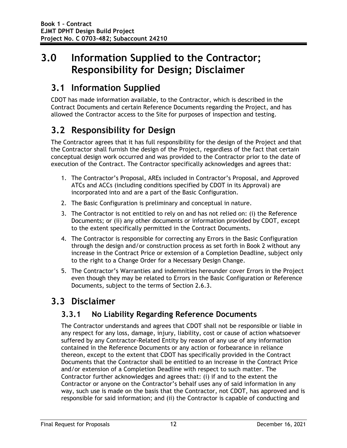# **3.0 Information Supplied to the Contractor; Responsibility for Design; Disclaimer**

# **3.1 Information Supplied**

CDOT has made information available, to the Contractor, which is described in the Contract Documents and certain Reference Documents regarding the Project, and has allowed the Contractor access to the Site for purposes of inspection and testing.

# **3.2 Responsibility for Design**

The Contractor agrees that it has full responsibility for the design of the Project and that the Contractor shall furnish the design of the Project, regardless of the fact that certain conceptual design work occurred and was provided to the Contractor prior to the date of execution of the Contract. The Contractor specifically acknowledges and agrees that:

- 1. The Contractor's Proposal, AREs included in Contractor's Proposal, and Approved ATCs and ACCs (including conditions specified by CDOT in its Approval) are incorporated into and are a part of the Basic Configuration.
- 2. The Basic Configuration is preliminary and conceptual in nature.
- 3. The Contractor is not entitled to rely on and has not relied on: (i) the Reference Documents; or (ii) any other documents or information provided by CDOT, except to the extent specifically permitted in the Contract Documents.
- 4. The Contractor is responsible for correcting any Errors in the Basic Configuration through the design and/or construction process as set forth in Book 2 without any increase in the Contract Price or extension of a Completion Deadline, subject only to the right to a Change Order for a Necessary Design Change.
- 5. The Contractor's Warranties and indemnities hereunder cover Errors in the Project even though they may be related to Errors in the Basic Configuration or Reference Documents, subject to the terms of Section 2.6.3.

# **3.3 Disclaimer**

### **3.3.1 No Liability Regarding Reference Documents**

The Contractor understands and agrees that CDOT shall not be responsible or liable in any respect for any loss, damage, injury, liability, cost or cause of action whatsoever suffered by any Contractor-Related Entity by reason of any use of any information contained in the Reference Documents or any action or forbearance in reliance thereon, except to the extent that CDOT has specifically provided in the Contract Documents that the Contractor shall be entitled to an increase in the Contract Price and/or extension of a Completion Deadline with respect to such matter. The Contractor further acknowledges and agrees that: (i) if and to the extent the Contractor or anyone on the Contractor's behalf uses any of said information in any way, such use is made on the basis that the Contractor, not CDOT, has approved and is responsible for said information; and (ii) the Contractor is capable of conducting and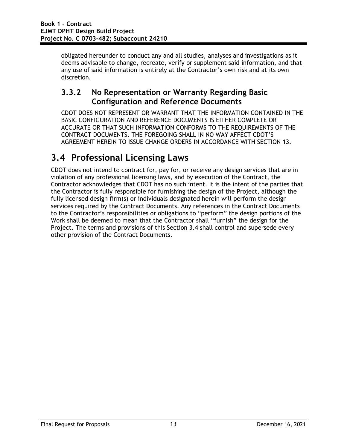obligated hereunder to conduct any and all studies, analyses and investigations as it deems advisable to change, recreate, verify or supplement said information, and that any use of said information is entirely at the Contractor's own risk and at its own discretion.

#### **3.3.2 No Representation or Warranty Regarding Basic Configuration and Reference Documents**

CDOT DOES NOT REPRESENT OR WARRANT THAT THE INFORMATION CONTAINED IN THE BASIC CONFIGURATION AND REFERENCE DOCUMENTS IS EITHER COMPLETE OR ACCURATE OR THAT SUCH INFORMATION CONFORMS TO THE REQUIREMENTS OF THE CONTRACT DOCUMENTS. THE FOREGOING SHALL IN NO WAY AFFECT CDOT'S AGREEMENT HEREIN TO ISSUE CHANGE ORDERS IN ACCORDANCE WITH SECTION 13.

# **3.4 Professional Licensing Laws**

CDOT does not intend to contract for, pay for, or receive any design services that are in violation of any professional licensing laws, and by execution of the Contract, the Contractor acknowledges that CDOT has no such intent. It is the intent of the parties that the Contractor is fully responsible for furnishing the design of the Project, although the fully licensed design firm(s) or individuals designated herein will perform the design services required by the Contract Documents. Any references in the Contract Documents to the Contractor's responsibilities or obligations to "perform" the design portions of the Work shall be deemed to mean that the Contractor shall "furnish" the design for the Project. The terms and provisions of this Section 3.4 shall control and supersede every other provision of the Contract Documents.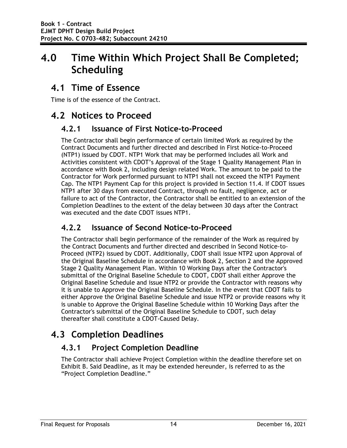# **4.0 Time Within Which Project Shall Be Completed; Scheduling**

## **4.1 Time of Essence**

Time is of the essence of the Contract.

# **4.2 Notices to Proceed**

#### **4.2.1 Issuance of First Notice-to-Proceed**

The Contractor shall begin performance of certain limited Work as required by the Contract Documents and further directed and described in First Notice-to-Proceed (NTP1) issued by CDOT. NTP1 Work that may be performed includes all Work and Activities consistent with CDOT's Approval of the Stage 1 Quality Management Plan in accordance with Book 2, including design related Work. The amount to be paid to the Contractor for Work performed pursuant to NTP1 shall not exceed the NTP1 Payment Cap. The NTP1 Payment Cap for this project is provided in Section 11.4. If CDOT issues NTP1 after 30 days from executed Contract, through no fault, negligence, act or failure to act of the Contractor, the Contractor shall be entitled to an extension of the Completion Deadlines to the extent of the delay between 30 days after the Contract was executed and the date CDOT issues NTP1.

#### **4.2.2 Issuance of Second Notice-to-Proceed**

The Contractor shall begin performance of the remainder of the Work as required by the Contract Documents and further directed and described in Second Notice-to-Proceed (NTP2) issued by CDOT. Additionally, CDOT shall issue NTP2 upon Approval of the Original Baseline Schedule in accordance with Book 2, Section 2 and the Approved Stage 2 Quality Management Plan. Within 10 Working Days after the Contractor's submittal of the Original Baseline Schedule to CDOT, CDOT shall either Approve the Original Baseline Schedule and issue NTP2 or provide the Contractor with reasons why it is unable to Approve the Original Baseline Schedule. In the event that CDOT fails to either Approve the Original Baseline Schedule and issue NTP2 or provide reasons why it is unable to Approve the Original Baseline Schedule within 10 Working Days after the Contractor's submittal of the Original Baseline Schedule to CDOT, such delay thereafter shall constitute a CDOT-Caused Delay.

# **4.3 Completion Deadlines**

### **4.3.1 Project Completion Deadline**

The Contractor shall achieve Project Completion within the deadline therefore set on Exhibit B. Said Deadline, as it may be extended hereunder, is referred to as the "Project Completion Deadline."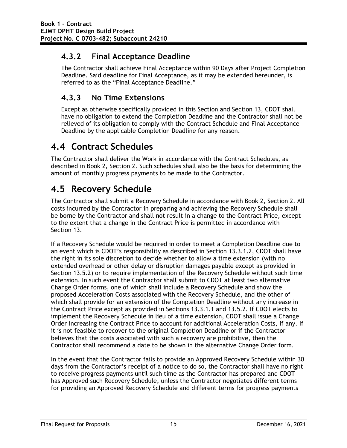#### **4.3.2 Final Acceptance Deadline**

The Contractor shall achieve Final Acceptance within 90 Days after Project Completion Deadline. Said deadline for Final Acceptance, as it may be extended hereunder, is referred to as the "Final Acceptance Deadline."

#### **4.3.3 No Time Extensions**

Except as otherwise specifically provided in this Section and Section 13, CDOT shall have no obligation to extend the Completion Deadline and the Contractor shall not be relieved of its obligation to comply with the Contract Schedule and Final Acceptance Deadline by the applicable Completion Deadline for any reason.

# **4.4 Contract Schedules**

The Contractor shall deliver the Work in accordance with the Contract Schedules, as described in Book 2, Section 2. Such schedules shall also be the basis for determining the amount of monthly progress payments to be made to the Contractor.

# **4.5 Recovery Schedule**

The Contractor shall submit a Recovery Schedule in accordance with Book 2, Section 2. All costs incurred by the Contractor in preparing and achieving the Recovery Schedule shall be borne by the Contractor and shall not result in a change to the Contract Price, except to the extent that a change in the Contract Price is permitted in accordance with Section 13.

If a Recovery Schedule would be required in order to meet a Completion Deadline due to an event which is CDOT's responsibility as described in Section 13.3.1.2, CDOT shall have the right in its sole discretion to decide whether to allow a time extension (with no extended overhead or other delay or disruption damages payable except as provided in Section 13.5.2) or to require implementation of the Recovery Schedule without such time extension. In such event the Contractor shall submit to CDOT at least two alternative Change Order forms, one of which shall include a Recovery Schedule and show the proposed Acceleration Costs associated with the Recovery Schedule, and the other of which shall provide for an extension of the Completion Deadline without any increase in the Contract Price except as provided in Sections 13.3.1.1 and 13.5.2. If CDOT elects to implement the Recovery Schedule in lieu of a time extension, CDOT shall issue a Change Order increasing the Contract Price to account for additional Acceleration Costs, if any. If it is not feasible to recover to the original Completion Deadline or if the Contractor believes that the costs associated with such a recovery are prohibitive, then the Contractor shall recommend a date to be shown in the alternative Change Order form.

In the event that the Contractor fails to provide an Approved Recovery Schedule within 30 days from the Contractor's receipt of a notice to do so, the Contractor shall have no right to receive progress payments until such time as the Contractor has prepared and CDOT has Approved such Recovery Schedule, unless the Contractor negotiates different terms for providing an Approved Recovery Schedule and different terms for progress payments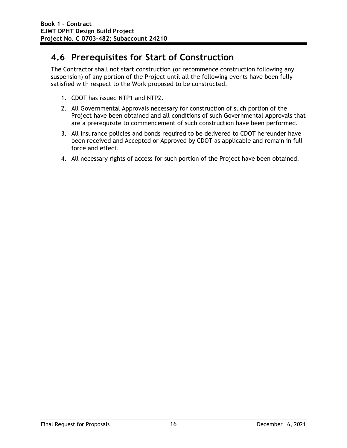# **4.6 Prerequisites for Start of Construction**

The Contractor shall not start construction (or recommence construction following any suspension) of any portion of the Project until all the following events have been fully satisfied with respect to the Work proposed to be constructed.

- 1. CDOT has issued NTP1 and NTP2.
- 2. All Governmental Approvals necessary for construction of such portion of the Project have been obtained and all conditions of such Governmental Approvals that are a prerequisite to commencement of such construction have been performed.
- 3. All insurance policies and bonds required to be delivered to CDOT hereunder have been received and Accepted or Approved by CDOT as applicable and remain in full force and effect.
- 4. All necessary rights of access for such portion of the Project have been obtained.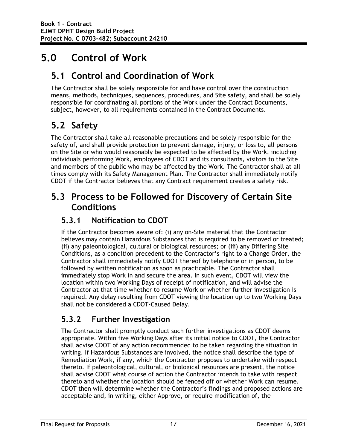# **5.0 Control of Work**

# **5.1 Control and Coordination of Work**

The Contractor shall be solely responsible for and have control over the construction means, methods, techniques, sequences, procedures, and Site safety, and shall be solely responsible for coordinating all portions of the Work under the Contract Documents, subject, however, to all requirements contained in the Contract Documents.

# **5.2 Safety**

The Contractor shall take all reasonable precautions and be solely responsible for the safety of, and shall provide protection to prevent damage, injury, or loss to, all persons on the Site or who would reasonably be expected to be affected by the Work, including individuals performing Work, employees of CDOT and its consultants, visitors to the Site and members of the public who may be affected by the Work. The Contractor shall at all times comply with its Safety Management Plan. The Contractor shall immediately notify CDOT if the Contractor believes that any Contract requirement creates a safety risk.

# **5.3 Process to be Followed for Discovery of Certain Site Conditions**

#### **5.3.1 Notification to CDOT**

If the Contractor becomes aware of: (i) any on-Site material that the Contractor believes may contain Hazardous Substances that is required to be removed or treated; (ii) any paleontological, cultural or biological resources; or (iii) any Differing Site Conditions, as a condition precedent to the Contractor's right to a Change Order, the Contractor shall immediately notify CDOT thereof by telephone or in person, to be followed by written notification as soon as practicable. The Contractor shall immediately stop Work in and secure the area. In such event, CDOT will view the location within two Working Days of receipt of notification, and will advise the Contractor at that time whether to resume Work or whether further investigation is required. Any delay resulting from CDOT viewing the location up to two Working Days shall not be considered a CDOT-Caused Delay.

### **5.3.2 Further Investigation**

The Contractor shall promptly conduct such further investigations as CDOT deems appropriate. Within five Working Days after its initial notice to CDOT, the Contractor shall advise CDOT of any action recommended to be taken regarding the situation in writing. If Hazardous Substances are involved, the notice shall describe the type of Remediation Work, if any, which the Contractor proposes to undertake with respect thereto. If paleontological, cultural, or biological resources are present, the notice shall advise CDOT what course of action the Contractor intends to take with respect thereto and whether the location should be fenced off or whether Work can resume. CDOT then will determine whether the Contractor's findings and proposed actions are acceptable and, in writing, either Approve, or require modification of, the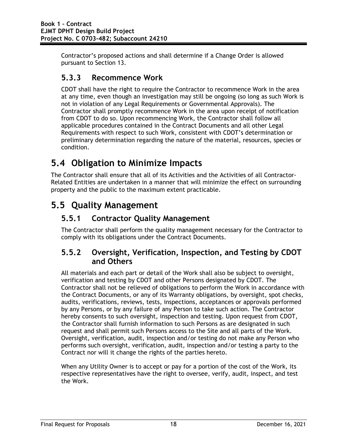Contractor's proposed actions and shall determine if a Change Order is allowed pursuant to Section 13.

#### **5.3.3 Recommence Work**

CDOT shall have the right to require the Contractor to recommence Work in the area at any time, even though an investigation may still be ongoing (so long as such Work is not in violation of any Legal Requirements or Governmental Approvals). The Contractor shall promptly recommence Work in the area upon receipt of notification from CDOT to do so. Upon recommencing Work, the Contractor shall follow all applicable procedures contained in the Contract Documents and all other Legal Requirements with respect to such Work, consistent with CDOT's determination or preliminary determination regarding the nature of the material, resources, species or condition.

# **5.4 Obligation to Minimize Impacts**

The Contractor shall ensure that all of its Activities and the Activities of all Contractor-Related Entities are undertaken in a manner that will minimize the effect on surrounding property and the public to the maximum extent practicable.

# **5.5 Quality Management**

#### **5.5.1 Contractor Quality Management**

The Contractor shall perform the quality management necessary for the Contractor to comply with its obligations under the Contract Documents.

#### **5.5.2 Oversight, Verification, Inspection, and Testing by CDOT and Others**

All materials and each part or detail of the Work shall also be subject to oversight, verification and testing by CDOT and other Persons designated by CDOT. The Contractor shall not be relieved of obligations to perform the Work in accordance with the Contract Documents, or any of its Warranty obligations, by oversight, spot checks, audits, verifications, reviews, tests, inspections, acceptances or approvals performed by any Persons, or by any failure of any Person to take such action. The Contractor hereby consents to such oversight, inspection and testing. Upon request from CDOT, the Contractor shall furnish information to such Persons as are designated in such request and shall permit such Persons access to the Site and all parts of the Work. Oversight, verification, audit, inspection and/or testing do not make any Person who performs such oversight, verification, audit, inspection and/or testing a party to the Contract nor will it change the rights of the parties hereto.

When any Utility Owner is to accept or pay for a portion of the cost of the Work, its respective representatives have the right to oversee, verify, audit, inspect, and test the Work.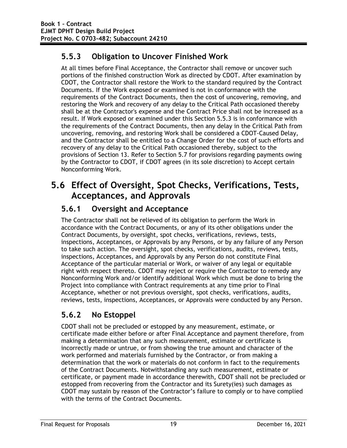### **5.5.3 Obligation to Uncover Finished Work**

At all times before Final Acceptance, the Contractor shall remove or uncover such portions of the finished construction Work as directed by CDOT. After examination by CDOT, the Contractor shall restore the Work to the standard required by the Contract Documents. If the Work exposed or examined is not in conformance with the requirements of the Contract Documents, then the cost of uncovering, removing, and restoring the Work and recovery of any delay to the Critical Path occasioned thereby shall be at the Contractor's expense and the Contract Price shall not be increased as a result. If Work exposed or examined under this Section 5.5.3 is in conformance with the requirements of the Contract Documents, then any delay in the Critical Path from uncovering, removing, and restoring Work shall be considered a CDOT-Caused Delay, and the Contractor shall be entitled to a Change Order for the cost of such efforts and recovery of any delay to the Critical Path occasioned thereby, subject to the provisions of Section 13. Refer to Section 5.7 for provisions regarding payments owing by the Contractor to CDOT, if CDOT agrees (in its sole discretion) to Accept certain Nonconforming Work.

## **5.6 Effect of Oversight, Spot Checks, Verifications, Tests, Acceptances, and Approvals**

### **5.6.1 Oversight and Acceptance**

The Contractor shall not be relieved of its obligation to perform the Work in accordance with the Contract Documents, or any of its other obligations under the Contract Documents, by oversight, spot checks, verifications, reviews, tests, inspections, Acceptances, or Approvals by any Persons, or by any failure of any Person to take such action. The oversight, spot checks, verifications, audits, reviews, tests, inspections, Acceptances, and Approvals by any Person do not constitute Final Acceptance of the particular material or Work, or waiver of any legal or equitable right with respect thereto. CDOT may reject or require the Contractor to remedy any Nonconforming Work and/or identify additional Work which must be done to bring the Project into compliance with Contract requirements at any time prior to Final Acceptance, whether or not previous oversight, spot checks, verifications, audits, reviews, tests, inspections, Acceptances, or Approvals were conducted by any Person.

### **5.6.2 No Estoppel**

CDOT shall not be precluded or estopped by any measurement, estimate, or certificate made either before or after Final Acceptance and payment therefore, from making a determination that any such measurement, estimate or certificate is incorrectly made or untrue, or from showing the true amount and character of the work performed and materials furnished by the Contractor, or from making a determination that the work or materials do not conform in fact to the requirements of the Contract Documents. Notwithstanding any such measurement, estimate or certificate, or payment made in accordance therewith, CDOT shall not be precluded or estopped from recovering from the Contractor and its Surety(ies) such damages as CDOT may sustain by reason of the Contractor's failure to comply or to have complied with the terms of the Contract Documents.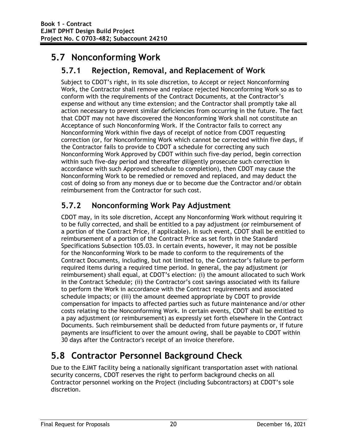# **5.7 Nonconforming Work**

#### **5.7.1 Rejection, Removal, and Replacement of Work**

Subject to CDOT's right, in its sole discretion, to Accept or reject Nonconforming Work, the Contractor shall remove and replace rejected Nonconforming Work so as to conform with the requirements of the Contract Documents, at the Contractor's expense and without any time extension; and the Contractor shall promptly take all action necessary to prevent similar deficiencies from occurring in the future. The fact that CDOT may not have discovered the Nonconforming Work shall not constitute an Acceptance of such Nonconforming Work. If the Contractor fails to correct any Nonconforming Work within five days of receipt of notice from CDOT requesting correction (or, for Nonconforming Work which cannot be corrected within five days, if the Contractor fails to provide to CDOT a schedule for correcting any such Nonconforming Work Approved by CDOT within such five-day period, begin correction within such five-day period and thereafter diligently prosecute such correction in accordance with such Approved schedule to completion), then CDOT may cause the Nonconforming Work to be remedied or removed and replaced, and may deduct the cost of doing so from any moneys due or to become due the Contractor and/or obtain reimbursement from the Contractor for such cost.

#### **5.7.2 Nonconforming Work Pay Adjustment**

CDOT may, in its sole discretion, Accept any Nonconforming Work without requiring it to be fully corrected, and shall be entitled to a pay adjustment (or reimbursement of a portion of the Contract Price, if applicable). In such event, CDOT shall be entitled to reimbursement of a portion of the Contract Price as set forth in the Standard Specifications Subsection 105.03. In certain events, however, it may not be possible for the Nonconforming Work to be made to conform to the requirements of the Contract Documents, including, but not limited to, the Contractor's failure to perform required items during a required time period. In general, the pay adjustment (or reimbursement) shall equal, at CDOT's election: (i) the amount allocated to such Work in the Contract Schedule; (ii) the Contractor's cost savings associated with its failure to perform the Work in accordance with the Contract requirements and associated schedule impacts; or (iii) the amount deemed appropriate by CDOT to provide compensation for impacts to affected parties such as future maintenance and/or other costs relating to the Nonconforming Work. In certain events, CDOT shall be entitled to a pay adjustment (or reimbursement) as expressly set forth elsewhere in the Contract Documents. Such reimbursement shall be deducted from future payments or, if future payments are insufficient to over the amount owing, shall be payable to CDOT within 30 days after the Contractor's receipt of an invoice therefore.

# **5.8 Contractor Personnel Background Check**

Due to the EJMT facility being a nationally significant transportation asset with national security concerns, CDOT reserves the right to perform background checks on all Contractor personnel working on the Project (including Subcontractors) at CDOT's sole discretion.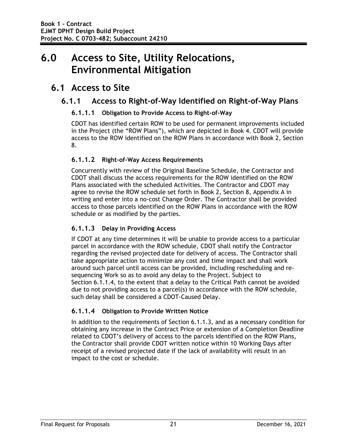# **6.0 Access to Site, Utility Relocations, Environmental Mitigation**

### **6.1 Access to Site**

#### **6.1.1 Access to Right-of-Way Identified on Right-of-Way Plans**

#### **6.1.1.1 Obligation to Provide Access to Right-of-Way**

CDOT has identified certain ROW to be used for permanent improvements included in the Project (the "ROW Plans"), which are depicted in Book 4. CDOT will provide access to the ROW identified on the ROW Plans in accordance with Book 2, Section 8.

#### **6.1.1.2 Right-of-Way Access Requirements**

Concurrently with review of the Original Baseline Schedule, the Contractor and CDOT shall discuss the access requirements for the ROW identified on the ROW Plans associated with the scheduled Activities. The Contractor and CDOT may agree to revise the ROW schedule set forth in Book 2, Section 8, Appendix A in writing and enter into a no-cost Change Order. The Contractor shall be provided access to those parcels identified on the ROW Plans in accordance with the ROW schedule or as modified by the parties.

#### **6.1.1.3 Delay in Providing Access**

If CDOT at any time determines it will be unable to provide access to a particular parcel in accordance with the ROW schedule, CDOT shall notify the Contractor regarding the revised projected date for delivery of access. The Contractor shall take appropriate action to minimize any cost and time impact and shall work around such parcel until access can be provided, including rescheduling and resequencing Work so as to avoid any delay to the Project. Subject to Section 6.1.1.4, to the extent that a delay to the Critical Path cannot be avoided due to not providing access to a parcel(s) in accordance with the ROW schedule, such delay shall be considered a CDOT-Caused Delay.

#### **6.1.1.4 Obligation to Provide Written Notice**

In addition to the requirements of Section 6.1.1.3, and as a necessary condition for obtaining any increase in the Contract Price or extension of a Completion Deadline related to CDOT's delivery of access to the parcels identified on the ROW Plans, the Contractor shall provide CDOT written notice within 10 Working Days after receipt of a revised projected date if the lack of availability will result in an impact to the cost or schedule.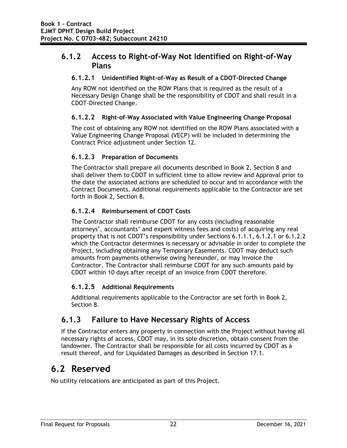#### **6.1.2 Access to Right-of-Way Not Identified on Right-of-Way Plans**

#### **6.1.2.1 Unidentified Right-of-Way as Result of a CDOT-Directed Change**

Any ROW not identified on the ROW Plans that is required as the result of a Necessary Design Change shall be the responsibility of CDOT and shall result in a CDOT-Directed Change.

#### **6.1.2.2 Right-of-Way Associated with Value Engineering Change Proposal**

The cost of obtaining any ROW not identified on the ROW Plans associated with a Value Engineering Change Proposal (VECP) will be included in determining the Contract Price adjustment under Section 12.

#### **6.1.2.3 Preparation of Documents**

The Contractor shall prepare all documents described in Book 2, Section 8 and shall deliver them to CDOT in sufficient time to allow review and Approval prior to the date the associated actions are scheduled to occur and in accordance with the Contract Documents. Additional requirements applicable to the Contractor are set forth in Book 2, Section 8.

#### **6.1.2.4 Reimbursement of CDOT Costs**

The Contractor shall reimburse CDOT for any costs (including reasonable attorneys', accountants' and expert witness fees and costs) of acquiring any real property that is not CDOT's responsibility under Sections 6.1.1.1, 6.1.2.1 or 6.1.2.2 which the Contractor determines is necessary or advisable in order to complete the Project, including obtaining any Temporary Easements. CDOT may deduct such amounts from payments otherwise owing hereunder, or may invoice the Contractor. The Contractor shall reimburse CDOT for any such amounts paid by CDOT within 10 days after receipt of an invoice from CDOT therefore.

#### **6.1.2.5 Additional Requirements**

Additional requirements applicable to the Contractor are set forth in Book 2, Section 8.

#### **6.1.3 Failure to Have Necessary Rights of Access**

If the Contractor enters any property in connection with the Project without having all necessary rights of access, CDOT may, in its sole discretion, obtain consent from the landowner. The Contractor shall be responsible for all costs incurred by CDOT as a result thereof, and for Liquidated Damages as described in Section 17.1.

### **6.2 Reserved**

No utility relocations are anticipated as part of this Project.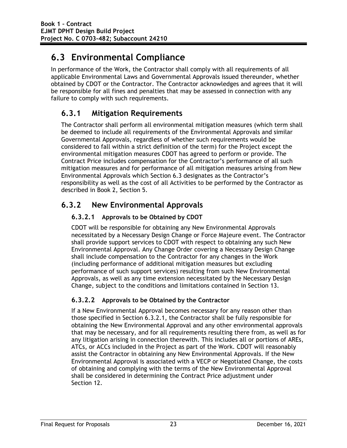# **6.3 Environmental Compliance**

In performance of the Work, the Contractor shall comply with all requirements of all applicable Environmental Laws and Governmental Approvals issued thereunder, whether obtained by CDOT or the Contractor. The Contractor acknowledges and agrees that it will be responsible for all fines and penalties that may be assessed in connection with any failure to comply with such requirements.

## **6.3.1 Mitigation Requirements**

The Contractor shall perform all environmental mitigation measures (which term shall be deemed to include all requirements of the Environmental Approvals and similar Governmental Approvals, regardless of whether such requirements would be considered to fall within a strict definition of the term) for the Project except the environmental mitigation measures CDOT has agreed to perform or provide. The Contract Price includes compensation for the Contractor's performance of all such mitigation measures and for performance of all mitigation measures arising from New Environmental Approvals which Section 6.3 designates as the Contractor's responsibility as well as the cost of all Activities to be performed by the Contractor as described in Book 2, Section 5.

## **6.3.2 New Environmental Approvals**

#### **6.3.2.1 Approvals to be Obtained by CDOT**

CDOT will be responsible for obtaining any New Environmental Approvals necessitated by a Necessary Design Change or Force Majeure event. The Contractor shall provide support services to CDOT with respect to obtaining any such New Environmental Approval. Any Change Order covering a Necessary Design Change shall include compensation to the Contractor for any changes in the Work (including performance of additional mitigation measures but excluding performance of such support services) resulting from such New Environmental Approvals, as well as any time extension necessitated by the Necessary Design Change, subject to the conditions and limitations contained in Section 13.

#### **6.3.2.2 Approvals to be Obtained by the Contractor**

If a New Environmental Approval becomes necessary for any reason other than those specified in Section 6.3.2.1, the Contractor shall be fully responsible for obtaining the New Environmental Approval and any other environmental approvals that may be necessary, and for all requirements resulting there from, as well as for any litigation arising in connection therewith. This includes all or portions of AREs, ATCs, or ACCs included in the Project as part of the Work. CDOT will reasonably assist the Contractor in obtaining any New Environmental Approvals. If the New Environmental Approval is associated with a VECP or Negotiated Change, the costs of obtaining and complying with the terms of the New Environmental Approval shall be considered in determining the Contract Price adjustment under Section 12.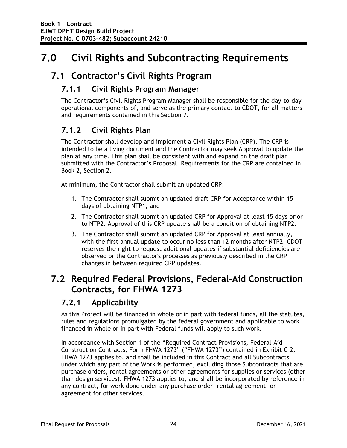# **7.0 Civil Rights and Subcontracting Requirements**

## **7.1 Contractor's Civil Rights Program**

### **7.1.1 Civil Rights Program Manager**

The Contractor's Civil Rights Program Manager shall be responsible for the day-to-day operational components of, and serve as the primary contact to CDOT, for all matters and requirements contained in this Section 7.

## **7.1.2 Civil Rights Plan**

The Contractor shall develop and implement a Civil Rights Plan (CRP). The CRP is intended to be a living document and the Contractor may seek Approval to update the plan at any time. This plan shall be consistent with and expand on the draft plan submitted with the Contractor's Proposal. Requirements for the CRP are contained in Book 2, Section 2.

At minimum, the Contractor shall submit an updated CRP:

- 1. The Contractor shall submit an updated draft CRP for Acceptance within 15 days of obtaining NTP1; and
- 2. The Contractor shall submit an updated CRP for Approval at least 15 days prior to NTP2. Approval of this CRP update shall be a condition of obtaining NTP2.
- 3. The Contractor shall submit an updated CRP for Approval at least annually, with the first annual update to occur no less than 12 months after NTP2. CDOT reserves the right to request additional updates if substantial deficiencies are observed or the Contractor's processes as previously described in the CRP changes in between required CRP updates.

## **7.2 Required Federal Provisions, Federal-Aid Construction Contracts, for FHWA 1273**

### **7.2.1 Applicability**

As this Project will be financed in whole or in part with federal funds, all the statutes, rules and regulations promulgated by the federal government and applicable to work financed in whole or in part with Federal funds will apply to such work.

In accordance with Section 1 of the "Required Contract Provisions, Federal-Aid Construction Contracts, Form FHWA 1273" ("FHWA 1273") contained in Exhibit C-2, FHWA 1273 applies to, and shall be included in this Contract and all Subcontracts under which any part of the Work is performed, excluding those Subcontracts that are purchase orders, rental agreements or other agreements for supplies or services (other than design services). FHWA 1273 applies to, and shall be incorporated by reference in any contract, for work done under any purchase order, rental agreement, or agreement for other services.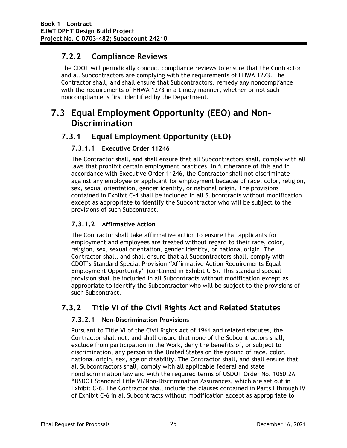## **7.2.2 Compliance Reviews**

The CDOT will periodically conduct compliance reviews to ensure that the Contractor and all Subcontractors are complying with the requirements of FHWA 1273. The Contractor shall, and shall ensure that Subcontractors, remedy any noncompliance with the requirements of FHWA 1273 in a timely manner, whether or not such noncompliance is first identified by the Department.

# **7.3 Equal Employment Opportunity (EEO) and Non-Discrimination**

## **7.3.1 Equal Employment Opportunity (EEO)**

### **7.3.1.1 Executive Order 11246**

The Contractor shall, and shall ensure that all Subcontractors shall, comply with all laws that prohibit certain employment practices. In furtherance of this and in accordance with Executive Order 11246, the Contractor shall not discriminate against any employee or applicant for employment because of race, color, religion, sex, sexual orientation, gender identity, or national origin. The provisions contained in Exhibit C-4 shall be included in all Subcontracts without modification except as appropriate to identify the Subcontractor who will be subject to the provisions of such Subcontract.

### **7.3.1.2 Affirmative Action**

The Contractor shall take affirmative action to ensure that applicants for employment and employees are treated without regard to their race, color, religion, sex, sexual orientation, gender identity, or national origin. The Contractor shall, and shall ensure that all Subcontractors shall, comply with CDOT's Standard Special Provision "Affirmative Action Requirements Equal Employment Opportunity" (contained in Exhibit C-5). This standard special provision shall be included in all Subcontracts without modification except as appropriate to identify the Subcontractor who will be subject to the provisions of such Subcontract.

## **7.3.2 Title VI of the Civil Rights Act and Related Statutes**

### **7.3.2.1 Non-Discrimination Provisions**

Pursuant to Title VI of the Civil Rights Act of 1964 and related statutes, the Contractor shall not, and shall ensure that none of the Subcontractors shall, exclude from participation in the Work, deny the benefits of, or subject to discrimination, any person in the United States on the ground of race, color, national origin, sex, age or disability. The Contractor shall, and shall ensure that all Subcontractors shall, comply with all applicable federal and state nondiscrimination law and with the required terms of USDOT Order No. 1050.2A "USDOT Standard Title VI/Non-Discrimination Assurances, which are set out in Exhibit C-6. The Contractor shall include the clauses contained in Parts I through IV of Exhibit C-6 in all Subcontracts without modification accept as appropriate to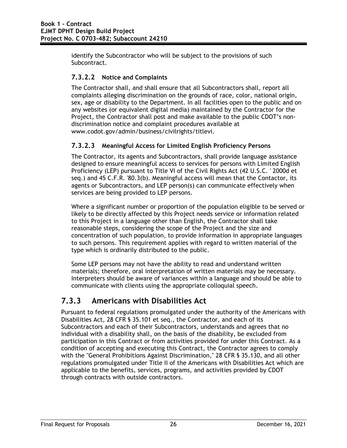identify the Subcontractor who will be subject to the provisions of such Subcontract.

#### **7.3.2.2 Notice and Complaints**

The Contractor shall, and shall ensure that all Subcontractors shall, report all complaints alleging discrimination on the grounds of race, color, national origin, sex, age or disability to the Department. In all facilities open to the public and on any websites (or equivalent digital media) maintained by the Contractor for the Project, the Contractor shall post and make available to the public CDOT's nondiscrimination notice and complaint procedures available at www.codot.gov/admin/business/civilrights/titlevi.

#### **7.3.2.3 Meaningful Access for Limited English Proficiency Persons**

The Contractor, its agents and Subcontractors, shall provide language assistance designed to ensure meaningful access to services for persons with Limited English Proficiency (LEP) pursuant to Title VI of the Civil Rights Act (42 U.S.C. ' 2000d et seq.) and 45 C.F.R. '80.3(b). Meaningful access will mean that the Contactor, its agents or Subcontractors, and LEP person(s) can communicate effectively when services are being provided to LEP persons.

Where a significant number or proportion of the population eligible to be served or likely to be directly affected by this Project needs service or information related to this Project in a language other than English, the Contractor shall take reasonable steps, considering the scope of the Project and the size and concentration of such population, to provide information in appropriate languages to such persons. This requirement applies with regard to written material of the type which is ordinarily distributed to the public.

Some LEP persons may not have the ability to read and understand written materials; therefore, oral interpretation of written materials may be necessary. Interpreters should be aware of variances within a language and should be able to communicate with clients using the appropriate colloquial speech.

### **7.3.3 Americans with Disabilities Act**

Pursuant to federal regulations promulgated under the authority of the Americans with Disabilities Act, 28 CFR § 35.101 et seq., the Contractor, and each of its Subcontractors and each of their Subcontractors, understands and agrees that no individual with a disability shall, on the basis of the disability, be excluded from participation in this Contract or from activities provided for under this Contract. As a condition of accepting and executing this Contract, the Contractor agrees to comply with the "General Prohibitions Against Discrimination," 28 CFR § 35.130, and all other regulations promulgated under Title II of the Americans with Disabilities Act which are applicable to the benefits, services, programs, and activities provided by CDOT through contracts with outside contractors.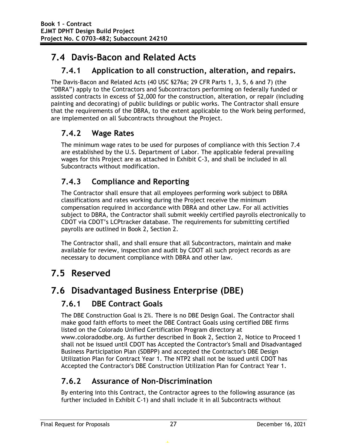# **7.4 Davis-Bacon and Related Acts**

## **7.4.1 Application to all construction, alteration, and repairs.**

The Davis-Bacon and Related Acts (40 USC §276a; 29 CFR Parts 1, 3, 5, 6 and 7) (the "DBRA") apply to the Contractors and Subcontractors performing on federally funded or assisted contracts in excess of \$2,000 for the construction, alteration, or repair (including painting and decorating) of public buildings or public works. The Contractor shall ensure that the requirements of the DBRA, to the extent applicable to the Work being performed, are implemented on all Subcontracts throughout the Project.

## **7.4.2 Wage Rates**

The minimum wage rates to be used for purposes of compliance with this Section 7.4 are established by the U.S. Department of Labor. The applicable federal prevailing wages for this Project are as attached in Exhibit C-3, and shall be included in all Subcontracts without modification.

## **7.4.3 Compliance and Reporting**

The Contractor shall ensure that all employees performing work subject to DBRA classifications and rates working during the Project receive the minimum compensation required in accordance with DBRA and other Law. For all activities subject to DBRA, the Contractor shall submit weekly certified payrolls electronically to CDOT via CDOT's LCPtracker database. The requirements for submitting certified payrolls are outlined in Book 2, Section 2.

The Contractor shall, and shall ensure that all Subcontractors, maintain and make available for review, inspection and audit by CDOT all such project records as are necessary to document compliance with DBRA and other law.

# **7.5 Reserved**

# **7.6 Disadvantaged Business Enterprise (DBE)**

## **7.6.1 DBE Contract Goals**

The DBE Construction Goal is 2%. There is no DBE Design Goal. The Contractor shall make good faith efforts to meet the DBE Contract Goals using certified DBE firms listed on the Colorado Unified Certification Program directory at www.coloradodbe.org. As further described in Book 2, Section 2, Notice to Proceed 1 shall not be issued until CDOT has Accepted the Contractor's Small and Disadvantaged Business Participation Plan (SDBPP) and accepted the Contractor's DBE Design Utilization Plan for Contract Year 1. The NTP2 shall not be issued until CDOT has Accepted the Contractor's DBE Construction Utilization Plan for Contract Year 1.

## **7.6.2 Assurance of Non-Discrimination**

By entering into this Contract, the Contractor agrees to the following assurance (as further included in Exhibit C-1) and shall include it in all Subcontracts without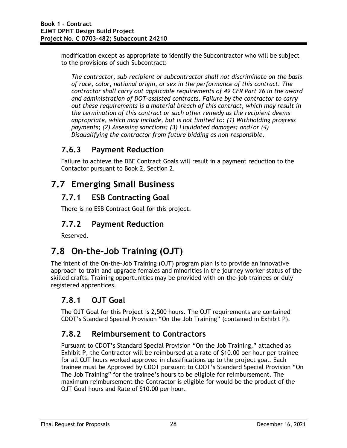modification except as appropriate to identify the Subcontractor who will be subject to the provisions of such Subcontract:

*The contractor, sub-recipient or subcontractor shall not discriminate on the basis of race, color, national origin, or sex in the performance of this contract. The contractor shall carry out applicable requirements of 49 CFR Part 26 in the award and administration of DOT-assisted contracts. Failure by the contractor to carry out these requirements is a material breach of this contract, which may result in the termination of this contract or such other remedy as the recipient deems appropriate, which may include, but is not limited to: (1) Withholding progress payments; (2) Assessing sanctions; (3) Liquidated damages; and/or (4) Disqualifying the contractor from future bidding as non-responsible.* 

### **7.6.3 Payment Reduction**

Failure to achieve the DBE Contract Goals will result in a payment reduction to the Contactor pursuant to Book 2, Section 2.

# **7.7 Emerging Small Business**

## **7.7.1 ESB Contracting Goal**

There is no ESB Contract Goal for this project.

## **7.7.2 Payment Reduction**

Reserved.

# **7.8 On-the-Job Training (OJT)**

The intent of the On-the-Job Training (OJT) program plan is to provide an innovative approach to train and upgrade females and minorities in the journey worker status of the skilled crafts. Training opportunities may be provided with on-the-job trainees or duly registered apprentices.

## **7.8.1 OJT Goal**

The OJT Goal for this Project is 2,500 hours. The OJT requirements are contained CDOT's Standard Special Provision "On the Job Training" (contained in Exhibit P).

## **7.8.2 Reimbursement to Contractors**

Pursuant to CDOT's Standard Special Provision "On the Job Training," attached as Exhibit P, the Contractor will be reimbursed at a rate of \$10.00 per hour per trainee for all OJT hours worked approved in classifications up to the project goal. Each trainee must be Approved by CDOT pursuant to CDOT's Standard Special Provision "On The Job Training" for the trainee's hours to be eligible for reimbursement. The maximum reimbursement the Contractor is eligible for would be the product of the OJT Goal hours and Rate of \$10.00 per hour.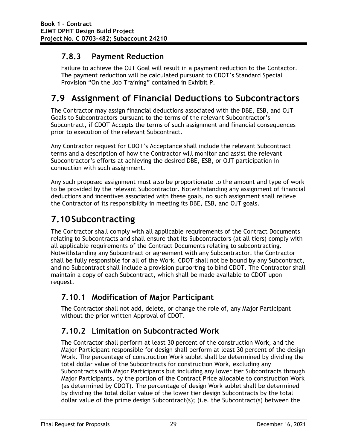## **7.8.3 Payment Reduction**

Failure to achieve the OJT Goal will result in a payment reduction to the Contactor. The payment reduction will be calculated pursuant to CDOT's Standard Special Provision "On the Job Training" contained in Exhibit P.

# **7.9 Assignment of Financial Deductions to Subcontractors**

The Contractor may assign financial deductions associated with the DBE, ESB, and OJT Goals to Subcontractors pursuant to the terms of the relevant Subcontractor's Subcontract, if CDOT Accepts the terms of such assignment and financial consequences prior to execution of the relevant Subcontract.

Any Contractor request for CDOT's Acceptance shall include the relevant Subcontract terms and a description of how the Contractor will monitor and assist the relevant Subcontractor's efforts at achieving the desired DBE, ESB, or OJT participation in connection with such assignment.

Any such proposed assignment must also be proportionate to the amount and type of work to be provided by the relevant Subcontractor. Notwithstanding any assignment of financial deductions and incentives associated with these goals, no such assignment shall relieve the Contractor of its responsibility in meeting its DBE, ESB, and OJT goals.

# **7.10Subcontracting**

The Contractor shall comply with all applicable requirements of the Contract Documents relating to Subcontracts and shall ensure that its Subcontractors (at all tiers) comply with all applicable requirements of the Contract Documents relating to subcontracting. Notwithstanding any Subcontract or agreement with any Subcontractor, the Contractor shall be fully responsible for all of the Work. CDOT shall not be bound by any Subcontract, and no Subcontract shall include a provision purporting to bind CDOT. The Contractor shall maintain a copy of each Subcontract, which shall be made available to CDOT upon request.

## **7.10.1 Modification of Major Participant**

The Contractor shall not add, delete, or change the role of, any Major Participant without the prior written Approval of CDOT.

## **7.10.2 Limitation on Subcontracted Work**

The Contractor shall perform at least 30 percent of the construction Work, and the Major Participant responsible for design shall perform at least 30 percent of the design Work. The percentage of construction Work sublet shall be determined by dividing the total dollar value of the Subcontracts for construction Work, excluding any Subcontracts with Major Participants but including any lower tier Subcontracts through Major Participants, by the portion of the Contract Price allocable to construction Work (as determined by CDOT). The percentage of design Work sublet shall be determined by dividing the total dollar value of the lower tier design Subcontracts by the total dollar value of the prime design Subcontract(s); (i.e. the Subcontract(s) between the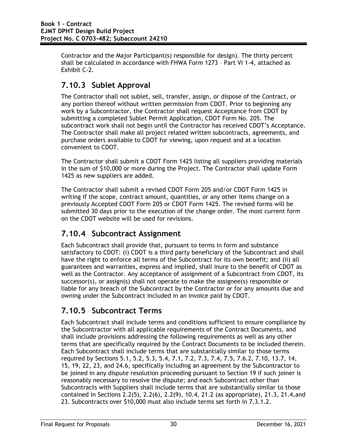Contractor and the Major Participant(s) responsible for design). The thirty percent shall be calculated in accordance with FHWA Form 1273 – Part VI 1-4, attached as Exhibit C-2.

## **7.10.3 Sublet Approval**

The Contractor shall not sublet, sell, transfer, assign, or dispose of the Contract, or any portion thereof without written permission from CDOT. Prior to beginning any work by a Subcontractor, the Contractor shall request Acceptance from CDOT by submitting a completed Sublet Permit Application, CDOT Form No. 205. The subcontract work shall not begin until the Contractor has received CDOT's Acceptance. The Contractor shall make all project related written subcontracts, agreements, and purchase orders available to CDOT for viewing, upon request and at a location convenient to CDOT.

The Contractor shall submit a CDOT Form 1425 listing all suppliers providing materials in the sum of \$10,000 or more during the Project. The Contractor shall update Form 1425 as new suppliers are added.

The Contractor shall submit a revised CDOT Form 205 and/or CDOT Form 1425 in writing if the scope, contract amount, quantities, or any other items change on a previously Accepted CDOT Form 205 or CDOT Form 1425. The revised forms will be submitted 30 days prior to the execution of the change order. The most current form on the CDOT website will be used for revisions.

## **7.10.4 Subcontract Assignment**

Each Subcontract shall provide that, pursuant to terms in form and substance satisfactory to CDOT: (i) CDOT is a third party beneficiary of the Subcontract and shall have the right to enforce all terms of the Subcontract for its own benefit; and (ii) all guarantees and warranties, express and implied, shall inure to the benefit of CDOT as well as the Contractor. Any acceptance of assignment of a Subcontract from CDOT, its successor(s), or assign(s) shall not operate to make the assignee(s) responsible or liable for any breach of the Subcontract by the Contractor or for any amounts due and owning under the Subcontract included in an invoice paid by CDOT.

## **7.10.5 Subcontract Terms**

Each Subcontract shall include terms and conditions sufficient to ensure compliance by the Subcontractor with all applicable requirements of the Contract Documents, and shall include provisions addressing the following requirements as well as any other terms that are specifically required by the Contract Documents to be included therein. Each Subcontract shall include terms that are substantially similar to those terms required by Sections 5.1, 5.2, 5.3, 5.4, 7.1, 7.2, 7.3, 7.4, 7.5, 7.6.2, 7.10, 13.7, 14, 15, 19, 22, 23, and 24.6, specifically including an agreement by the Subcontractor to be joined in any dispute resolution proceeding pursuant to Section 19 if such joiner is reasonably necessary to resolve the dispute; and each Subcontract other than Subcontracts with Suppliers shall include terms that are substantially similar to those contained in Sections 2.2(5), 2.2(6), 2.2(9), 10.4, 21.2 (as appropriate), 21.3, 21.4,and 23. Subcontracts over \$10,000 must also include terms set forth in 7.3.1.2.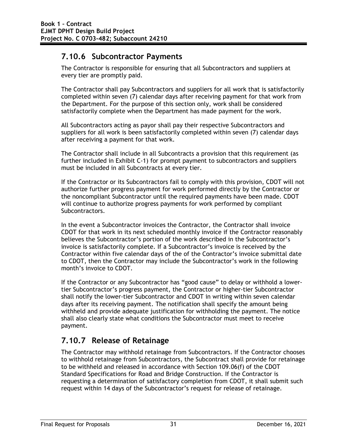### **7.10.6 Subcontractor Payments**

The Contractor is responsible for ensuring that all Subcontractors and suppliers at every tier are promptly paid.

The Contractor shall pay Subcontractors and suppliers for all work that is satisfactorily completed within seven (7) calendar days after receiving payment for that work from the Department. For the purpose of this section only, work shall be considered satisfactorily complete when the Department has made payment for the work.

All Subcontractors acting as payor shall pay their respective Subcontractors and suppliers for all work is been satisfactorily completed within seven (7) calendar days after receiving a payment for that work.

The Contractor shall include in all Subcontracts a provision that this requirement (as further included in Exhibit C-1) for prompt payment to subcontractors and suppliers must be included in all Subcontracts at every tier.

If the Contractor or its Subcontractors fail to comply with this provision, CDOT will not authorize further progress payment for work performed directly by the Contractor or the noncompliant Subcontractor until the required payments have been made. CDOT will continue to authorize progress payments for work performed by compliant Subcontractors.

In the event a Subcontractor invoices the Contractor, the Contractor shall invoice CDOT for that work in its next scheduled monthly invoice if the Contractor reasonably believes the Subcontractor's portion of the work described in the Subcontractor's invoice is satisfactorily complete. If a Subcontractor's invoice is received by the Contractor within five calendar days of the of the Contractor's invoice submittal date to CDOT, then the Contractor may include the Subcontractor's work in the following month's invoice to CDOT.

If the Contractor or any Subcontractor has "good cause" to delay or withhold a lowertier Subcontractor's progress payment, the Contractor or higher-tier Subcontractor shall notify the lower-tier Subcontractor and CDOT in writing within seven calendar days after its receiving payment. The notification shall specify the amount being withheld and provide adequate justification for withholding the payment. The notice shall also clearly state what conditions the Subcontractor must meet to receive payment.

## **7.10.7 Release of Retainage**

The Contractor may withhold retainage from Subcontractors. If the Contractor chooses to withhold retainage from Subcontractors, the Subcontract shall provide for retainage to be withheld and released in accordance with Section 109.06(f) of the CDOT Standard Specifications for Road and Bridge Construction. If the Contractor is requesting a determination of satisfactory completion from CDOT, it shall submit such request within 14 days of the Subcontractor's request for release of retainage.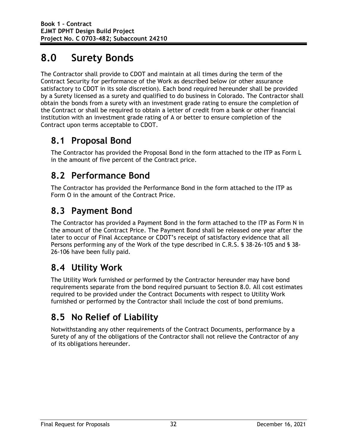# **8.0 Surety Bonds**

The Contractor shall provide to CDOT and maintain at all times during the term of the Contract Security for performance of the Work as described below (or other assurance satisfactory to CDOT in its sole discretion). Each bond required hereunder shall be provided by a Surety licensed as a surety and qualified to do business in Colorado. The Contractor shall obtain the bonds from a surety with an investment grade rating to ensure the completion of the Contract or shall be required to obtain a letter of credit from a bank or other financial institution with an investment grade rating of A or better to ensure completion of the Contract upon terms acceptable to CDOT.

# **8.1 Proposal Bond**

The Contractor has provided the Proposal Bond in the form attached to the ITP as Form L in the amount of five percent of the Contract price.

# **8.2 Performance Bond**

The Contractor has provided the Performance Bond in the form attached to the ITP as Form O in the amount of the Contract Price.

# **8.3 Payment Bond**

The Contractor has provided a Payment Bond in the form attached to the ITP as Form N in the amount of the Contract Price. The Payment Bond shall be released one year after the later to occur of Final Acceptance or CDOT's receipt of satisfactory evidence that all Persons performing any of the Work of the type described in C.R.S. § 38-26-105 and § 38- 26-106 have been fully paid.

# **8.4 Utility Work**

The Utility Work furnished or performed by the Contractor hereunder may have bond requirements separate from the bond required pursuant to Section 8.0. All cost estimates required to be provided under the Contract Documents with respect to Utility Work furnished or performed by the Contractor shall include the cost of bond premiums.

# **8.5 No Relief of Liability**

Notwithstanding any other requirements of the Contract Documents, performance by a Surety of any of the obligations of the Contractor shall not relieve the Contractor of any of its obligations hereunder.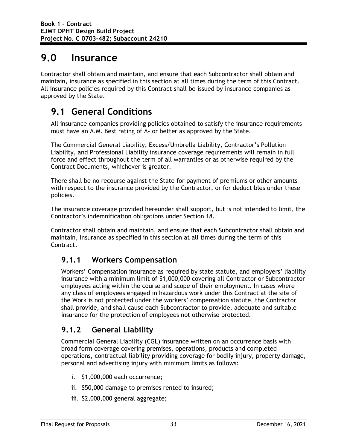# **9.0 Insurance**

Contractor shall obtain and maintain, and ensure that each Subcontractor shall obtain and maintain, insurance as specified in this section at all times during the term of this Contract. All insurance policies required by this Contract shall be issued by insurance companies as approved by the State.

# **9.1 General Conditions**

All insurance companies providing policies obtained to satisfy the insurance requirements must have an A.M. Best rating of A- or better as approved by the State.

The Commercial General Liability, Excess/Umbrella Liability, Contractor's Pollution Liability, and Professional Liability insurance coverage requirements will remain in full force and effect throughout the term of all warranties or as otherwise required by the Contract Documents, whichever is greater.

There shall be no recourse against the State for payment of premiums or other amounts with respect to the insurance provided by the Contractor, or for deductibles under these policies.

The insurance coverage provided hereunder shall support, but is not intended to limit, the Contractor's indemnification obligations under Section 18.

Contractor shall obtain and maintain, and ensure that each Subcontractor shall obtain and maintain, insurance as specified in this section at all times during the term of this Contract.

### **9.1.1 Workers Compensation**

Workers' Compensation insurance as required by state statute, and employers' liability insurance with a minimum limit of \$1,000,000 covering all Contractor or Subcontractor employees acting within the course and scope of their employment. In cases where any class of employees engaged in hazardous work under this Contract at the site of the Work is not protected under the workers' compensation statute, the Contractor shall provide, and shall cause each Subcontractor to provide, adequate and suitable insurance for the protection of employees not otherwise protected.

## **9.1.2 General Liability**

Commercial General Liability (CGL) insurance written on an occurrence basis with broad form coverage covering premises, operations, products and completed operations, contractual liability providing coverage for bodily injury, property damage, personal and advertising injury with minimum limits as follows:

- i. \$1,000,000 each occurrence;
- ii. \$50,000 damage to premises rented to insured;
- iii. \$2,000,000 general aggregate;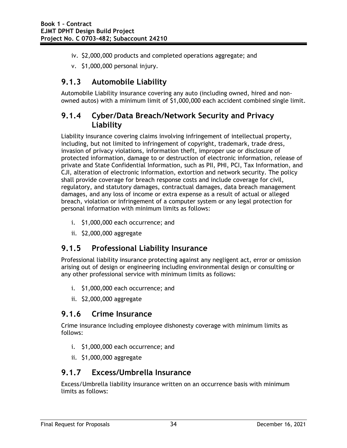- iv. \$2,000,000 products and completed operations aggregate; and
- v. \$1,000,000 personal injury.

### **9.1.3 Automobile Liability**

Automobile Liability insurance covering any auto (including owned, hired and nonowned autos) with a minimum limit of \$1,000,000 each accident combined single limit.

#### **9.1.4 Cyber/Data Breach/Network Security and Privacy Liability**

Liability insurance covering claims involving infringement of intellectual property, including, but not limited to infringement of copyright, trademark, trade dress, invasion of privacy violations, information theft, improper use or disclosure of protected information, damage to or destruction of electronic information, release of private and State Confidential Information, such as PII, PHI, PCI, Tax Information, and CJI, alteration of electronic information, extortion and network security. The policy shall provide coverage for breach response costs and include coverage for civil, regulatory, and statutory damages, contractual damages, data breach management damages, and any loss of income or extra expense as a result of actual or alleged breach, violation or infringement of a computer system or any legal protection for personal information with minimum limits as follows:

- i. \$1,000,000 each occurrence; and
- ii. \$2,000,000 aggregate

### **9.1.5 Professional Liability Insurance**

Professional liability insurance protecting against any negligent act, error or omission arising out of design or engineering including environmental design or consulting or any other professional service with minimum limits as follows:

- i. \$1,000,000 each occurrence; and
- ii. \$2,000,000 aggregate

#### **9.1.6 Crime Insurance**

Crime insurance including employee dishonesty coverage with minimum limits as follows:

- i. \$1,000,000 each occurrence; and
- ii. \$1,000,000 aggregate

#### **9.1.7 Excess/Umbrella Insurance**

Excess/Umbrella liability insurance written on an occurrence basis with minimum limits as follows: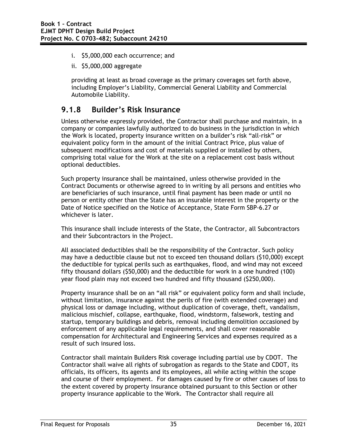- i. \$5,000,000 each occurrence; and
- ii. \$5,000,000 aggregate

providing at least as broad coverage as the primary coverages set forth above, including Employer's Liability, Commercial General Liability and Commercial Automobile Liability.

#### **9.1.8 Builder's Risk Insurance**

Unless otherwise expressly provided, the Contractor shall purchase and maintain, in a company or companies lawfully authorized to do business in the jurisdiction in which the Work is located, property insurance written on a builder's risk "all-risk" or equivalent policy form in the amount of the initial Contract Price, plus value of subsequent modifications and cost of materials supplied or installed by others, comprising total value for the Work at the site on a replacement cost basis without optional deductibles.

Such property insurance shall be maintained, unless otherwise provided in the Contract Documents or otherwise agreed to in writing by all persons and entities who are beneficiaries of such insurance, until final payment has been made or until no person or entity other than the State has an insurable interest in the property or the Date of Notice specified on the Notice of Acceptance, State Form SBP-6.27 or whichever is later.

This insurance shall include interests of the State, the Contractor, all Subcontractors and their Subcontractors in the Project.

All associated deductibles shall be the responsibility of the Contractor. Such policy may have a deductible clause but not to exceed ten thousand dollars (\$10,000) except the deductible for typical perils such as earthquakes, flood, and wind may not exceed fifty thousand dollars (\$50,000) and the deductible for work in a one hundred (100) year flood plain may not exceed two hundred and fifty thousand (\$250,000).

Property insurance shall be on an "all risk" or equivalent policy form and shall include, without limitation, insurance against the perils of fire (with extended coverage) and physical loss or damage including, without duplication of coverage, theft, vandalism, malicious mischief, collapse, earthquake, flood, windstorm, falsework, testing and startup, temporary buildings and debris, removal including demolition occasioned by enforcement of any applicable legal requirements, and shall cover reasonable compensation for Architectural and Engineering Services and expenses required as a result of such insured loss.

Contractor shall maintain Builders Risk coverage including partial use by CDOT. The Contractor shall waive all rights of subrogation as regards to the State and CDOT, its officials, its officers, its agents and its employees, all while acting within the scope and course of their employment. For damages caused by fire or other causes of loss to the extent covered by property insurance obtained pursuant to this Section or other property insurance applicable to the Work. The Contractor shall require all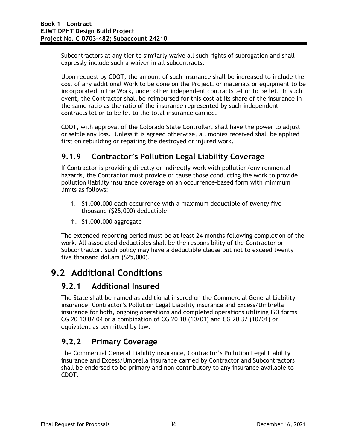Subcontractors at any tier to similarly waive all such rights of subrogation and shall expressly include such a waiver in all subcontracts.

Upon request by CDOT, the amount of such insurance shall be increased to include the cost of any additional Work to be done on the Project, or materials or equipment to be incorporated in the Work, under other independent contracts let or to be let. In such event, the Contractor shall be reimbursed for this cost at its share of the insurance in the same ratio as the ratio of the insurance represented by such independent contracts let or to be let to the total insurance carried.

CDOT, with approval of the Colorado State Controller, shall have the power to adjust or settle any loss. Unless it is agreed otherwise, all monies received shall be applied first on rebuilding or repairing the destroyed or injured work.

## **9.1.9 Contractor's Pollution Legal Liability Coverage**

If Contractor is providing directly or indirectly work with pollution/environmental hazards, the Contractor must provide or cause those conducting the work to provide pollution liability insurance coverage on an occurrence-based form with minimum limits as follows:

- i. \$1,000,000 each occurrence with a maximum deductible of twenty five thousand (\$25,000) deductible
- ii. \$1,000,000 aggregate

The extended reporting period must be at least 24 months following completion of the work. All associated deductibles shall be the responsibility of the Contractor or Subcontractor. Such policy may have a deductible clause but not to exceed twenty five thousand dollars (\$25,000).

# **9.2 Additional Conditions**

#### **9.2.1 Additional Insured**

The State shall be named as additional insured on the Commercial General Liability insurance, Contractor's Pollution Legal Liability insurance and Excess/Umbrella insurance for both, ongoing operations and completed operations utilizing ISO forms CG 20 10 07 04 or a combination of CG 20 10 (10/01) and CG 20 37 (10/01) or equivalent as permitted by law.

## **9.2.2 Primary Coverage**

The Commercial General Liability insurance, Contractor's Pollution Legal Liability insurance and Excess/Umbrella insurance carried by Contractor and Subcontractors shall be endorsed to be primary and non-contributory to any insurance available to CDOT.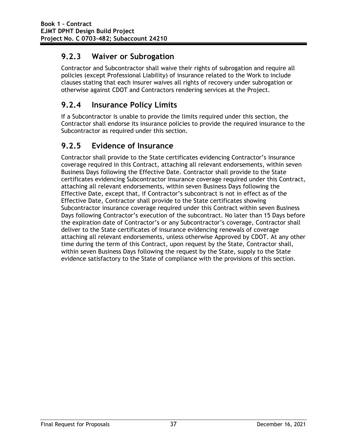## **9.2.3 Waiver or Subrogation**

Contractor and Subcontractor shall waive their rights of subrogation and require all policies (except Professional Liability) of insurance related to the Work to include clauses stating that each insurer waives all rights of recovery under subrogation or otherwise against CDOT and Contractors rendering services at the Project.

## **9.2.4 Insurance Policy Limits**

If a Subcontractor is unable to provide the limits required under this section, the Contractor shall endorse its insurance policies to provide the required insurance to the Subcontractor as required under this section.

## **9.2.5 Evidence of Insurance**

Contractor shall provide to the State certificates evidencing Contractor's insurance coverage required in this Contract, attaching all relevant endorsements, within seven Business Days following the Effective Date. Contractor shall provide to the State certificates evidencing Subcontractor insurance coverage required under this Contract, attaching all relevant endorsements, within seven Business Days following the Effective Date, except that, if Contractor's subcontract is not in effect as of the Effective Date, Contractor shall provide to the State certificates showing Subcontractor insurance coverage required under this Contract within seven Business Days following Contractor's execution of the subcontract. No later than 15 Days before the expiration date of Contractor's or any Subcontractor's coverage, Contractor shall deliver to the State certificates of insurance evidencing renewals of coverage attaching all relevant endorsements, unless otherwise Approved by CDOT. At any other time during the term of this Contract, upon request by the State, Contractor shall, within seven Business Days following the request by the State, supply to the State evidence satisfactory to the State of compliance with the provisions of this section.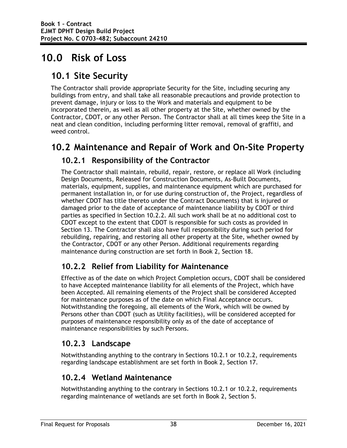# **10.0 Risk of Loss**

# **10.1 Site Security**

The Contractor shall provide appropriate Security for the Site, including securing any buildings from entry, and shall take all reasonable precautions and provide protection to prevent damage, injury or loss to the Work and materials and equipment to be incorporated therein, as well as all other property at the Site, whether owned by the Contractor, CDOT, or any other Person. The Contractor shall at all times keep the Site in a neat and clean condition, including performing litter removal, removal of graffiti, and weed control.

## **10.2 Maintenance and Repair of Work and On-Site Property**

### **10.2.1 Responsibility of the Contractor**

The Contractor shall maintain, rebuild, repair, restore, or replace all Work (including Design Documents, Released for Construction Documents, As-Built Documents, materials, equipment, supplies, and maintenance equipment which are purchased for permanent installation in, or for use during construction of, the Project, regardless of whether CDOT has title thereto under the Contract Documents) that is injured or damaged prior to the date of acceptance of maintenance liability by CDOT or third parties as specified in Section 10.2.2. All such work shall be at no additional cost to CDOT except to the extent that CDOT is responsible for such costs as provided in Section 13. The Contractor shall also have full responsibility during such period for rebuilding, repairing, and restoring all other property at the Site, whether owned by the Contractor, CDOT or any other Person. Additional requirements regarding maintenance during construction are set forth in Book 2, Section 18.

## **10.2.2 Relief from Liability for Maintenance**

Effective as of the date on which Project Completion occurs, CDOT shall be considered to have Accepted maintenance liability for all elements of the Project, which have been Accepted. All remaining elements of the Project shall be considered Accepted for maintenance purposes as of the date on which Final Acceptance occurs. Notwithstanding the foregoing, all elements of the Work, which will be owned by Persons other than CDOT (such as Utility facilities), will be considered accepted for purposes of maintenance responsibility only as of the date of acceptance of maintenance responsibilities by such Persons.

## **10.2.3 Landscape**

Notwithstanding anything to the contrary in Sections 10.2.1 or 10.2.2, requirements regarding landscape establishment are set forth in Book 2, Section 17.

## **10.2.4 Wetland Maintenance**

Notwithstanding anything to the contrary in Sections 10.2.1 or 10.2.2, requirements regarding maintenance of wetlands are set forth in Book 2, Section 5.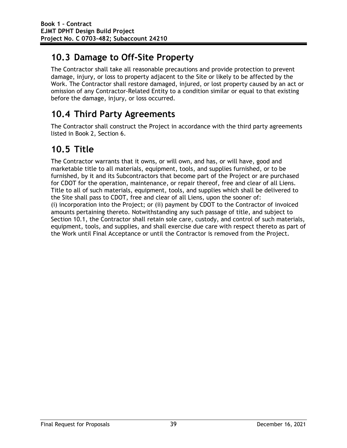# **10.3 Damage to Off-Site Property**

The Contractor shall take all reasonable precautions and provide protection to prevent damage, injury, or loss to property adjacent to the Site or likely to be affected by the Work. The Contractor shall restore damaged, injured, or lost property caused by an act or omission of any Contractor-Related Entity to a condition similar or equal to that existing before the damage, injury, or loss occurred.

# **10.4 Third Party Agreements**

The Contractor shall construct the Project in accordance with the third party agreements listed in Book 2, Section 6.

# **10.5 Title**

The Contractor warrants that it owns, or will own, and has, or will have, good and marketable title to all materials, equipment, tools, and supplies furnished, or to be furnished, by it and its Subcontractors that become part of the Project or are purchased for CDOT for the operation, maintenance, or repair thereof, free and clear of all Liens. Title to all of such materials, equipment, tools, and supplies which shall be delivered to the Site shall pass to CDOT, free and clear of all Liens, upon the sooner of: (i) incorporation into the Project; or (ii) payment by CDOT to the Contractor of invoiced amounts pertaining thereto. Notwithstanding any such passage of title, and subject to Section 10.1, the Contractor shall retain sole care, custody, and control of such materials, equipment, tools, and supplies, and shall exercise due care with respect thereto as part of the Work until Final Acceptance or until the Contractor is removed from the Project.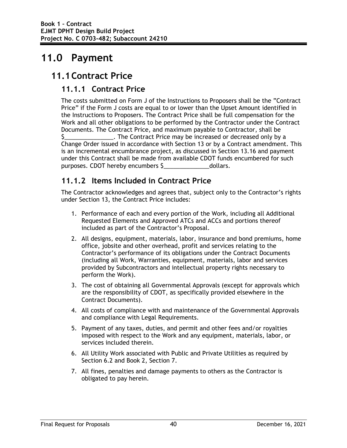# **11.0 Payment**

## **11.1Contract Price**

### **11.1.1 Contract Price**

The costs submitted on Form J of the Instructions to Proposers shall be the "Contract Price" if the Form J costs are equal to or lower than the Upset Amount identified in the Instructions to Proposers. The Contract Price shall be full compensation for the Work and all other obligations to be performed by the Contractor under the Contract Documents. The Contract Price, and maximum payable to Contractor, shall be \$\_\_\_\_\_\_\_\_\_\_\_\_\_\_\_. The Contract Price may be increased or decreased only by a Change Order issued in accordance with Section 13 or by a Contract amendment. This is an incremental encumbrance project, as discussed in Section 13.16 and payment under this Contract shall be made from available CDOT funds encumbered for such purposes. CDOT hereby encumbers \$\_\_\_\_\_\_\_\_\_\_\_\_\_\_dollars.

## **11.1.2 Items Included in Contract Price**

The Contractor acknowledges and agrees that, subject only to the Contractor's rights under Section 13, the Contract Price includes:

- 1. Performance of each and every portion of the Work, including all Additional Requested Elements and Approved ATCs and ACCs and portions thereof included as part of the Contractor's Proposal.
- 2. All designs, equipment, materials, labor, insurance and bond premiums, home office, jobsite and other overhead, profit and services relating to the Contractor's performance of its obligations under the Contract Documents (including all Work, Warranties, equipment, materials, labor and services provided by Subcontractors and intellectual property rights necessary to perform the Work).
- 3. The cost of obtaining all Governmental Approvals (except for approvals which are the responsibility of CDOT, as specifically provided elsewhere in the Contract Documents).
- 4. All costs of compliance with and maintenance of the Governmental Approvals and compliance with Legal Requirements.
- 5. Payment of any taxes, duties, and permit and other fees and/or royalties imposed with respect to the Work and any equipment, materials, labor, or services included therein.
- 6. All Utility Work associated with Public and Private Utilities as required by Section 6.2 and Book 2, Section 7.
- 7. All fines, penalties and damage payments to others as the Contractor is obligated to pay herein.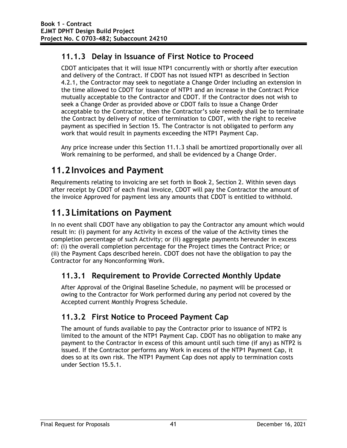## **11.1.3 Delay in Issuance of First Notice to Proceed**

CDOT anticipates that it will issue NTP1 concurrently with or shortly after execution and delivery of the Contract. If CDOT has not issued NTP1 as described in Section 4.2.1, the Contractor may seek to negotiate a Change Order including an extension in the time allowed to CDOT for issuance of NTP1 and an increase in the Contract Price mutually acceptable to the Contractor and CDOT. If the Contractor does not wish to seek a Change Order as provided above or CDOT fails to issue a Change Order acceptable to the Contractor, then the Contractor's sole remedy shall be to terminate the Contract by delivery of notice of termination to CDOT, with the right to receive payment as specified in Section 15. The Contractor is not obligated to perform any work that would result in payments exceeding the NTP1 Payment Cap.

Any price increase under this Section 11.1.3 shall be amortized proportionally over all Work remaining to be performed, and shall be evidenced by a Change Order.

# **11.2Invoices and Payment**

Requirements relating to invoicing are set forth in Book 2, Section 2. Within seven days after receipt by CDOT of each final invoice, CDOT will pay the Contractor the amount of the invoice Approved for payment less any amounts that CDOT is entitled to withhold.

# **11.3Limitations on Payment**

In no event shall CDOT have any obligation to pay the Contractor any amount which would result in: (i) payment for any Activity in excess of the value of the Activity times the completion percentage of such Activity; or (ii) aggregate payments hereunder in excess of: (i) the overall completion percentage for the Project times the Contract Price; or (ii) the Payment Caps described herein. CDOT does not have the obligation to pay the Contractor for any Nonconforming Work.

## **11.3.1 Requirement to Provide Corrected Monthly Update**

After Approval of the Original Baseline Schedule, no payment will be processed or owing to the Contractor for Work performed during any period not covered by the Accepted current Monthly Progress Schedule.

## **11.3.2 First Notice to Proceed Payment Cap**

The amount of funds available to pay the Contractor prior to issuance of NTP2 is limited to the amount of the NTP1 Payment Cap. CDOT has no obligation to make any payment to the Contractor in excess of this amount until such time (if any) as NTP2 is issued. If the Contractor performs any Work in excess of the NTP1 Payment Cap, it does so at its own risk. The NTP1 Payment Cap does not apply to termination costs under Section 15.5.1.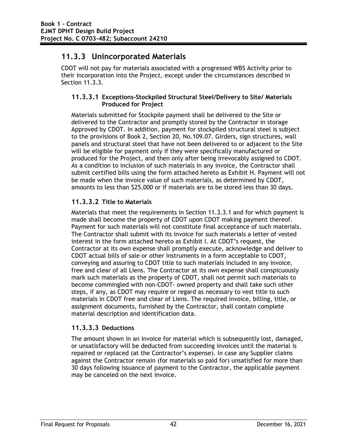### **11.3.3 Unincorporated Materials**

CDOT will not pay for materials associated with a progressed WBS Activity prior to their incorporation into the Project, except under the circumstances described in Section 11.3.3.

#### **11.3.3.1 Exceptions-Stockpiled Structural Steel/Delivery to Site/ Materials Produced for Project**

Materials submitted for Stockpile payment shall be delivered to the Site or delivered to the Contractor and promptly stored by the Contractor in storage Approved by CDOT. In addition, payment for stockpiled structural steel is subject to the provisions of Book 2, Section 20, No.109.07. Girders, sign structures, wall panels and structural steel that have not been delivered to or adjacent to the Site will be eligible for payment only if they were specifically manufactured or produced for the Project, and then only after being irrevocably assigned to CDOT. As a condition to inclusion of such materials in any invoice, the Contractor shall submit certified bills using the form attached hereto as Exhibit H. Payment will not be made when the invoice value of such materials, as determined by CDOT, amounts to less than \$25,000 or if materials are to be stored less than 30 days.

#### **11.3.3.2 Title to Materials**

Materials that meet the requirements in Section 11.3.3.1 and for which payment is made shall become the property of CDOT upon CDOT making payment thereof. Payment for such materials will not constitute final acceptance of such materials. The Contractor shall submit with its invoice for such materials a letter of vested interest in the form attached hereto as Exhibit I. At CDOT's request, the Contractor at its own expense shall promptly execute, acknowledge and deliver to CDOT actual bills of sale or other instruments in a form acceptable to CDOT, conveying and assuring to CDOT title to such materials included in any invoice, free and clear of all Liens. The Contractor at its own expense shall conspicuously mark such materials as the property of CDOT, shall not permit such materials to become commingled with non-CDOT- owned property and shall take such other steps, if any, as CDOT may require or regard as necessary to vest title to such materials in CDOT free and clear of Liens. The required invoice, billing, title, or assignment documents, furnished by the Contractor, shall contain complete material description and identification data.

#### **11.3.3.3 Deductions**

The amount shown in an invoice for material which is subsequently lost, damaged, or unsatisfactory will be deducted from succeeding invoices until the material is repaired or replaced (at the Contractor's expense). In case any Supplier claims against the Contractor remain (for materials so paid for) unsatisfied for more than 30 days following issuance of payment to the Contractor, the applicable payment may be canceled on the next invoice.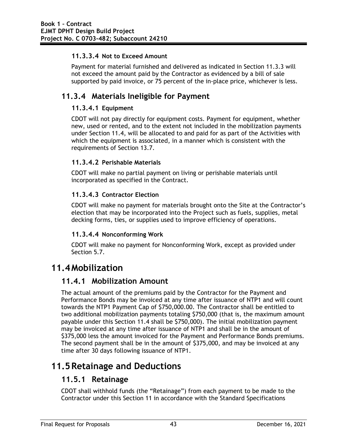#### **11.3.3.4 Not to Exceed Amount**

Payment for material furnished and delivered as indicated in Section 11.3.3 will not exceed the amount paid by the Contractor as evidenced by a bill of sale supported by paid invoice, or 75 percent of the in-place price, whichever is less.

### **11.3.4 Materials Ineligible for Payment**

#### **11.3.4.1 Equipment**

CDOT will not pay directly for equipment costs. Payment for equipment, whether new, used or rented, and to the extent not included in the mobilization payments under Section 11.4, will be allocated to and paid for as part of the Activities with which the equipment is associated, in a manner which is consistent with the requirements of Section 13.7.

#### **11.3.4.2 Perishable Materials**

CDOT will make no partial payment on living or perishable materials until incorporated as specified in the Contract.

#### **11.3.4.3 Contractor Election**

CDOT will make no payment for materials brought onto the Site at the Contractor's election that may be incorporated into the Project such as fuels, supplies, metal decking forms, ties, or supplies used to improve efficiency of operations.

#### **11.3.4.4 Nonconforming Work**

CDOT will make no payment for Nonconforming Work, except as provided under Section 5.7.

## **11.4Mobilization**

#### **11.4.1 Mobilization Amount**

The actual amount of the premiums paid by the Contractor for the Payment and Performance Bonds may be invoiced at any time after issuance of NTP1 and will count towards the NTP1 Payment Cap of \$750,000.00. The Contractor shall be entitled to two additional mobilization payments totaling \$750,000 (that is, the maximum amount payable under this Section 11.4 shall be \$750,000). The initial mobilization payment may be invoiced at any time after issuance of NTP1 and shall be in the amount of \$375,000 less the amount invoiced for the Payment and Performance Bonds premiums. The second payment shall be in the amount of \$375,000, and may be invoiced at any time after 30 days following issuance of NTP1.

## **11.5Retainage and Deductions**

#### **11.5.1 Retainage**

CDOT shall withhold funds (the "Retainage") from each payment to be made to the Contractor under this Section 11 in accordance with the Standard Specifications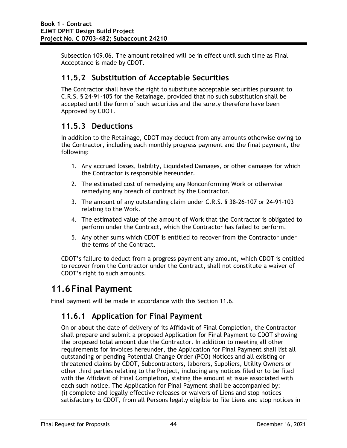Subsection 109.06. The amount retained will be in effect until such time as Final Acceptance is made by CDOT.

### **11.5.2 Substitution of Acceptable Securities**

The Contractor shall have the right to substitute acceptable securities pursuant to C.R.S. § 24-91-105 for the Retainage, provided that no such substitution shall be accepted until the form of such securities and the surety therefore have been Approved by CDOT.

### **11.5.3 Deductions**

In addition to the Retainage, CDOT may deduct from any amounts otherwise owing to the Contractor, including each monthly progress payment and the final payment, the following:

- 1. Any accrued losses, liability, Liquidated Damages, or other damages for which the Contractor is responsible hereunder.
- 2. The estimated cost of remedying any Nonconforming Work or otherwise remedying any breach of contract by the Contractor.
- 3. The amount of any outstanding claim under C.R.S. § 38-26-107 or 24-91-103 relating to the Work.
- 4. The estimated value of the amount of Work that the Contractor is obligated to perform under the Contract, which the Contractor has failed to perform.
- 5. Any other sums which CDOT is entitled to recover from the Contractor under the terms of the Contract.

CDOT's failure to deduct from a progress payment any amount, which CDOT is entitled to recover from the Contractor under the Contract, shall not constitute a waiver of CDOT's right to such amounts.

## **11.6Final Payment**

Final payment will be made in accordance with this Section 11.6.

## **11.6.1 Application for Final Payment**

On or about the date of delivery of its Affidavit of Final Completion, the Contractor shall prepare and submit a proposed Application for Final Payment to CDOT showing the proposed total amount due the Contractor. In addition to meeting all other requirements for invoices hereunder, the Application for Final Payment shall list all outstanding or pending Potential Change Order (PCO) Notices and all existing or threatened claims by CDOT, Subcontractors, laborers, Suppliers, Utility Owners or other third parties relating to the Project, including any notices filed or to be filed with the Affidavit of Final Completion, stating the amount at issue associated with each such notice. The Application for Final Payment shall be accompanied by: (i) complete and legally effective releases or waivers of Liens and stop notices satisfactory to CDOT, from all Persons legally eligible to file Liens and stop notices in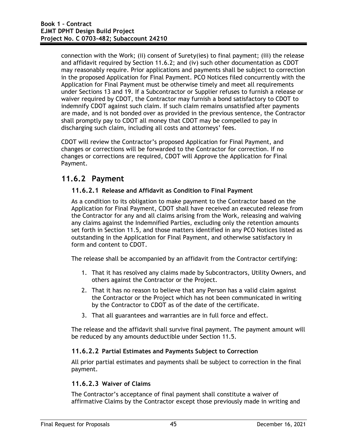connection with the Work; (ii) consent of Surety(ies) to final payment; (iii) the release and affidavit required by Section 11.6.2; and (iv) such other documentation as CDOT may reasonably require. Prior applications and payments shall be subject to correction in the proposed Application for Final Payment. PCO Notices filed concurrently with the Application for Final Payment must be otherwise timely and meet all requirements under Sections 13 and 19. If a Subcontractor or Supplier refuses to furnish a release or waiver required by CDOT, the Contractor may furnish a bond satisfactory to CDOT to indemnify CDOT against such claim. If such claim remains unsatisfied after payments are made, and is not bonded over as provided in the previous sentence, the Contractor shall promptly pay to CDOT all money that CDOT may be compelled to pay in discharging such claim, including all costs and attorneys' fees.

CDOT will review the Contractor's proposed Application for Final Payment, and changes or corrections will be forwarded to the Contractor for correction. If no changes or corrections are required, CDOT will Approve the Application for Final Payment.

#### **11.6.2 Payment**

#### **11.6.2.1 Release and Affidavit as Condition to Final Payment**

As a condition to its obligation to make payment to the Contractor based on the Application for Final Payment, CDOT shall have received an executed release from the Contractor for any and all claims arising from the Work, releasing and waiving any claims against the Indemnified Parties, excluding only the retention amounts set forth in Section 11.5, and those matters identified in any PCO Notices listed as outstanding in the Application for Final Payment, and otherwise satisfactory in form and content to CDOT.

The release shall be accompanied by an affidavit from the Contractor certifying:

- 1. That it has resolved any claims made by Subcontractors, Utility Owners, and others against the Contractor or the Project.
- 2. That it has no reason to believe that any Person has a valid claim against the Contractor or the Project which has not been communicated in writing by the Contractor to CDOT as of the date of the certificate.
- 3. That all guarantees and warranties are in full force and effect.

The release and the affidavit shall survive final payment. The payment amount will be reduced by any amounts deductible under Section 11.5.

#### **11.6.2.2 Partial Estimates and Payments Subject to Correction**

All prior partial estimates and payments shall be subject to correction in the final payment.

#### **11.6.2.3 Waiver of Claims**

The Contractor's acceptance of final payment shall constitute a waiver of affirmative Claims by the Contractor except those previously made in writing and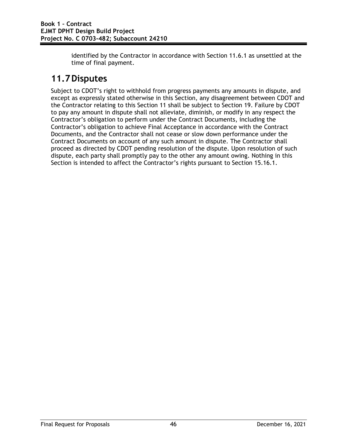identified by the Contractor in accordance with Section 11.6.1 as unsettled at the time of final payment.

# **11.7Disputes**

Subject to CDOT's right to withhold from progress payments any amounts in dispute, and except as expressly stated otherwise in this Section, any disagreement between CDOT and the Contractor relating to this Section 11 shall be subject to Section 19. Failure by CDOT to pay any amount in dispute shall not alleviate, diminish, or modify in any respect the Contractor's obligation to perform under the Contract Documents, including the Contractor's obligation to achieve Final Acceptance in accordance with the Contract Documents, and the Contractor shall not cease or slow down performance under the Contract Documents on account of any such amount in dispute. The Contractor shall proceed as directed by CDOT pending resolution of the dispute. Upon resolution of such dispute, each party shall promptly pay to the other any amount owing. Nothing in this Section is intended to affect the Contractor's rights pursuant to Section 15.16.1.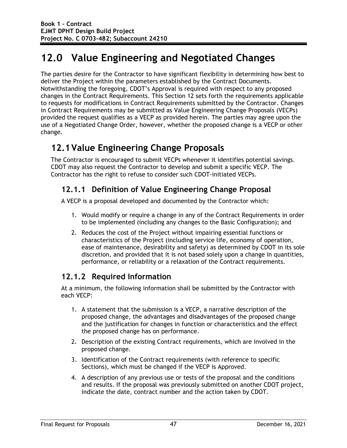# **12.0 Value Engineering and Negotiated Changes**

The parties desire for the Contractor to have significant flexibility in determining how best to deliver the Project within the parameters established by the Contract Documents. Notwithstanding the foregoing, CDOT's Approval is required with respect to any proposed changes in the Contract Requirements. This Section 12 sets forth the requirements applicable to requests for modifications in Contract Requirements submitted by the Contractor. Changes in Contract Requirements may be submitted as Value Engineering Change Proposals (VECPs) provided the request qualifies as a VECP as provided herein. The parties may agree upon the use of a Negotiated Change Order, however, whether the proposed change is a VECP or other change.

# **12.1Value Engineering Change Proposals**

The Contractor is encouraged to submit VECPs whenever it identifies potential savings. CDOT may also request the Contractor to develop and submit a specific VECP. The Contractor has the right to refuse to consider such CDOT-initiated VECPs.

## **12.1.1 Definition of Value Engineering Change Proposal**

A VECP is a proposal developed and documented by the Contractor which:

- 1. Would modify or require a change in any of the Contract Requirements in order to be implemented (including any changes to the Basic Configuration); and
- 2. Reduces the cost of the Project without impairing essential functions or characteristics of the Project (including service life, economy of operation, ease of maintenance, desirability and safety) as determined by CDOT in its sole discretion, and provided that it is not based solely upon a change in quantities, performance, or reliability or a relaxation of the Contract requirements.

## **12.1.2 Required Information**

At a minimum, the following information shall be submitted by the Contractor with each VECP:

- 1. A statement that the submission is a VECP, a narrative description of the proposed change, the advantages and disadvantages of the proposed change and the justification for changes in function or characteristics and the effect the proposed change has on performance.
- 2. Description of the existing Contract requirements, which are involved in the proposed change.
- 3. Identification of the Contract requirements (with reference to specific Sections), which must be changed if the VECP is Approved.
- 4. A description of any previous use or tests of the proposal and the conditions and results. If the proposal was previously submitted on another CDOT project, indicate the date, contract number and the action taken by CDOT.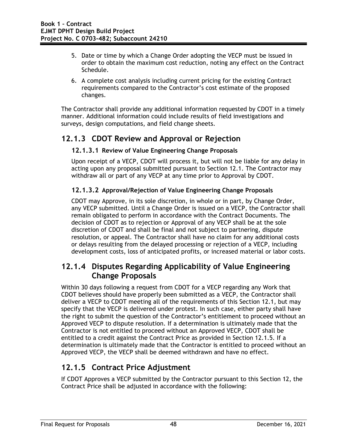- 5. Date or time by which a Change Order adopting the VECP must be issued in order to obtain the maximum cost reduction, noting any effect on the Contract Schedule.
- 6. A complete cost analysis including current pricing for the existing Contract requirements compared to the Contractor's cost estimate of the proposed changes.

The Contractor shall provide any additional information requested by CDOT in a timely manner. Additional information could include results of field investigations and surveys, design computations, and field change sheets.

### **12.1.3 CDOT Review and Approval or Rejection**

#### **12.1.3.1 Review of Value Engineering Change Proposals**

Upon receipt of a VECP, CDOT will process it, but will not be liable for any delay in acting upon any proposal submitted pursuant to Section 12.1. The Contractor may withdraw all or part of any VECP at any time prior to Approval by CDOT.

#### **12.1.3.2 Approval/Rejection of Value Engineering Change Proposals**

CDOT may Approve, in its sole discretion, in whole or in part, by Change Order, any VECP submitted. Until a Change Order is issued on a VECP, the Contractor shall remain obligated to perform in accordance with the Contract Documents. The decision of CDOT as to rejection or Approval of any VECP shall be at the sole discretion of CDOT and shall be final and not subject to partnering, dispute resolution, or appeal. The Contractor shall have no claim for any additional costs or delays resulting from the delayed processing or rejection of a VECP, including development costs, loss of anticipated profits, or increased material or labor costs.

#### **12.1.4 Disputes Regarding Applicability of Value Engineering Change Proposals**

Within 30 days following a request from CDOT for a VECP regarding any Work that CDOT believes should have properly been submitted as a VECP, the Contractor shall deliver a VECP to CDOT meeting all of the requirements of this Section 12.1, but may specify that the VECP is delivered under protest. In such case, either party shall have the right to submit the question of the Contractor's entitlement to proceed without an Approved VECP to dispute resolution. If a determination is ultimately made that the Contractor is not entitled to proceed without an Approved VECP, CDOT shall be entitled to a credit against the Contract Price as provided in Section 12.1.5. If a determination is ultimately made that the Contractor is entitled to proceed without an Approved VECP, the VECP shall be deemed withdrawn and have no effect.

## **12.1.5 Contract Price Adjustment**

If CDOT Approves a VECP submitted by the Contractor pursuant to this Section 12, the Contract Price shall be adjusted in accordance with the following: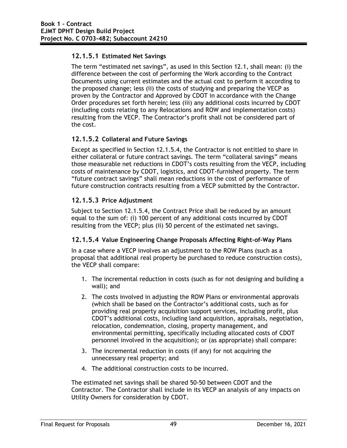#### **12.1.5.1 Estimated Net Savings**

The term "estimated net savings", as used in this Section 12.1, shall mean: (i) the difference between the cost of performing the Work according to the Contract Documents using current estimates and the actual cost to perform it according to the proposed change; less (ii) the costs of studying and preparing the VECP as proven by the Contractor and Approved by CDOT in accordance with the Change Order procedures set forth herein; less (iii) any additional costs incurred by CDOT (including costs relating to any Relocations and ROW and implementation costs) resulting from the VECP. The Contractor's profit shall not be considered part of the cost.

#### **12.1.5.2 Collateral and Future Savings**

Except as specified in Section 12.1.5.4, the Contractor is not entitled to share in either collateral or future contract savings. The term "collateral savings" means those measurable net reductions in CDOT's costs resulting from the VECP, including costs of maintenance by CDOT, logistics, and CDOT-furnished property. The term "future contract savings" shall mean reductions in the cost of performance of future construction contracts resulting from a VECP submitted by the Contractor.

#### **12.1.5.3 Price Adjustment**

Subject to Section 12.1.5.4, the Contract Price shall be reduced by an amount equal to the sum of: (i) 100 percent of any additional costs incurred by CDOT resulting from the VECP; plus (ii) 50 percent of the estimated net savings.

#### **12.1.5.4 Value Engineering Change Proposals Affecting Right-of-Way Plans**

In a case where a VECP involves an adjustment to the ROW Plans (such as a proposal that additional real property be purchased to reduce construction costs), the VECP shall compare:

- 1. The incremental reduction in costs (such as for not designing and building a wall); and
- 2. The costs involved in adjusting the ROW Plans or environmental approvals (which shall be based on the Contractor's additional costs, such as for providing real property acquisition support services, including profit, plus CDOT's additional costs, including land acquisition, appraisals, negotiation, relocation, condemnation, closing, property management, and environmental permitting, specifically including allocated costs of CDOT personnel involved in the acquisition); or (as appropriate) shall compare:
- 3. The incremental reduction in costs (if any) for not acquiring the unnecessary real property; and
- 4. The additional construction costs to be incurred.

The estimated net savings shall be shared 50-50 between CDOT and the Contractor. The Contractor shall include in its VECP an analysis of any impacts on Utility Owners for consideration by CDOT.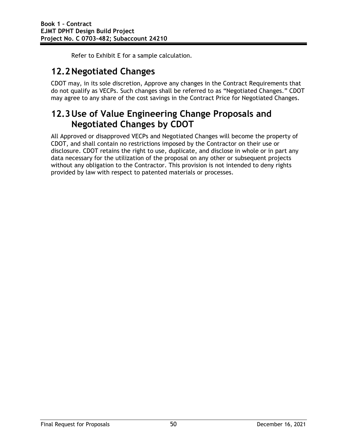Refer to Exhibit E for a sample calculation.

# **12.2Negotiated Changes**

CDOT may, in its sole discretion, Approve any changes in the Contract Requirements that do not qualify as VECPs. Such changes shall be referred to as "Negotiated Changes." CDOT may agree to any share of the cost savings in the Contract Price for Negotiated Changes.

# **12.3Use of Value Engineering Change Proposals and Negotiated Changes by CDOT**

All Approved or disapproved VECPs and Negotiated Changes will become the property of CDOT, and shall contain no restrictions imposed by the Contractor on their use or disclosure. CDOT retains the right to use, duplicate, and disclose in whole or in part any data necessary for the utilization of the proposal on any other or subsequent projects without any obligation to the Contractor. This provision is not intended to deny rights provided by law with respect to patented materials or processes.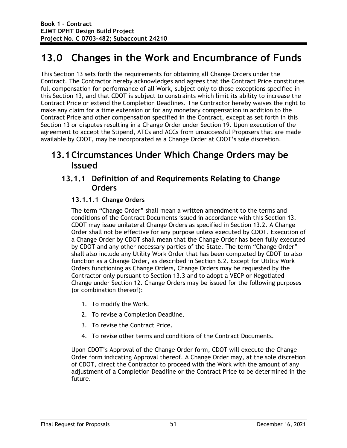# **13.0 Changes in the Work and Encumbrance of Funds**

This Section 13 sets forth the requirements for obtaining all Change Orders under the Contract. The Contractor hereby acknowledges and agrees that the Contract Price constitutes full compensation for performance of all Work, subject only to those exceptions specified in this Section 13, and that CDOT is subject to constraints which limit its ability to increase the Contract Price or extend the Completion Deadlines. The Contractor hereby waives the right to make any claim for a time extension or for any monetary compensation in addition to the Contract Price and other compensation specified in the Contract, except as set forth in this Section 13 or disputes resulting in a Change Order under Section 19. Upon execution of the agreement to accept the Stipend, ATCs and ACCs from unsuccessful Proposers that are made available by CDOT, may be incorporated as a Change Order at CDOT's sole discretion.

## **13.1Circumstances Under Which Change Orders may be Issued**

#### **13.1.1 Definition of and Requirements Relating to Change Orders**

#### **13.1.1.1 Change Orders**

The term "Change Order" shall mean a written amendment to the terms and conditions of the Contract Documents issued in accordance with this Section 13. CDOT may issue unilateral Change Orders as specified in Section 13.2. A Change Order shall not be effective for any purpose unless executed by CDOT. Execution of a Change Order by CDOT shall mean that the Change Order has been fully executed by CDOT and any other necessary parties of the State. The term "Change Order" shall also include any Utility Work Order that has been completed by CDOT to also function as a Change Order, as described in Section 6.2. Except for Utility Work Orders functioning as Change Orders, Change Orders may be requested by the Contractor only pursuant to Section 13.3 and to adopt a VECP or Negotiated Change under Section 12. Change Orders may be issued for the following purposes (or combination thereof):

- 1. To modify the Work.
- 2. To revise a Completion Deadline.
- 3. To revise the Contract Price.
- 4. To revise other terms and conditions of the Contract Documents.

Upon CDOT's Approval of the Change Order form, CDOT will execute the Change Order form indicating Approval thereof. A Change Order may, at the sole discretion of CDOT, direct the Contractor to proceed with the Work with the amount of any adjustment of a Completion Deadline or the Contract Price to be determined in the future.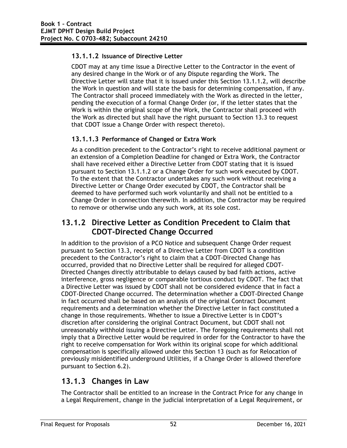#### **13.1.1.2 Issuance of Directive Letter**

CDOT may at any time issue a Directive Letter to the Contractor in the event of any desired change in the Work or of any Dispute regarding the Work. The Directive Letter will state that it is issued under this Section 13.1.1.2, will describe the Work in question and will state the basis for determining compensation, if any. The Contractor shall proceed immediately with the Work as directed in the letter, pending the execution of a formal Change Order (or, if the letter states that the Work is within the original scope of the Work, the Contractor shall proceed with the Work as directed but shall have the right pursuant to Section 13.3 to request that CDOT issue a Change Order with respect thereto).

#### **13.1.1.3 Performance of Changed or Extra Work**

As a condition precedent to the Contractor's right to receive additional payment or an extension of a Completion Deadline for changed or Extra Work, the Contractor shall have received either a Directive Letter from CDOT stating that it is issued pursuant to Section 13.1.1.2 or a Change Order for such work executed by CDOT. To the extent that the Contractor undertakes any such work without receiving a Directive Letter or Change Order executed by CDOT, the Contractor shall be deemed to have performed such work voluntarily and shall not be entitled to a Change Order in connection therewith. In addition, the Contractor may be required to remove or otherwise undo any such work, at its sole cost.

### **13.1.2 Directive Letter as Condition Precedent to Claim that CDOT-Directed Change Occurred**

In addition to the provision of a PCO Notice and subsequent Change Order request pursuant to Section 13.3, receipt of a Directive Letter from CDOT is a condition precedent to the Contractor's right to claim that a CDOT-Directed Change has occurred, provided that no Directive Letter shall be required for alleged CDOT-Directed Changes directly attributable to delays caused by bad faith actions, active interference, gross negligence or comparable tortious conduct by CDOT. The fact that a Directive Letter was issued by CDOT shall not be considered evidence that in fact a CDOT-Directed Change occurred. The determination whether a CDOT-Directed Change in fact occurred shall be based on an analysis of the original Contract Document requirements and a determination whether the Directive Letter in fact constituted a change in those requirements. Whether to issue a Directive Letter is in CDOT's discretion after considering the original Contract Document, but CDOT shall not unreasonably withhold issuing a Directive Letter. The foregoing requirements shall not imply that a Directive Letter would be required in order for the Contractor to have the right to receive compensation for Work within its original scope for which additional compensation is specifically allowed under this Section 13 (such as for Relocation of previously misidentified underground Utilities, if a Change Order is allowed therefore pursuant to Section 6.2).

## **13.1.3 Changes in Law**

The Contractor shall be entitled to an increase in the Contract Price for any change in a Legal Requirement, change in the judicial interpretation of a Legal Requirement, or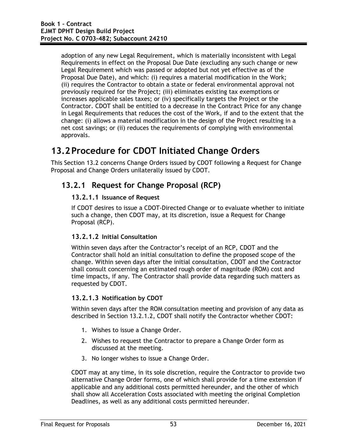adoption of any new Legal Requirement, which is materially inconsistent with Legal Requirements in effect on the Proposal Due Date (excluding any such change or new Legal Requirement which was passed or adopted but not yet effective as of the Proposal Due Date), and which: (i) requires a material modification in the Work; (ii) requires the Contractor to obtain a state or federal environmental approval not previously required for the Project; (iii) eliminates existing tax exemptions or increases applicable sales taxes; or (iv) specifically targets the Project or the Contractor. CDOT shall be entitled to a decrease in the Contract Price for any change in Legal Requirements that reduces the cost of the Work, if and to the extent that the change: (i) allows a material modification in the design of the Project resulting in a net cost savings; or (ii) reduces the requirements of complying with environmental approvals.

# **13.2Procedure for CDOT Initiated Change Orders**

This Section 13.2 concerns Change Orders issued by CDOT following a Request for Change Proposal and Change Orders unilaterally issued by CDOT.

### **13.2.1 Request for Change Proposal (RCP)**

#### **13.2.1.1 Issuance of Request**

If CDOT desires to issue a CDOT-Directed Change or to evaluate whether to initiate such a change, then CDOT may, at its discretion, issue a Request for Change Proposal (RCP).

#### **13.2.1.2 Initial Consultation**

Within seven days after the Contractor's receipt of an RCP, CDOT and the Contractor shall hold an initial consultation to define the proposed scope of the change. Within seven days after the initial consultation, CDOT and the Contractor shall consult concerning an estimated rough order of magnitude (ROM) cost and time impacts, if any. The Contractor shall provide data regarding such matters as requested by CDOT.

#### **13.2.1.3 Notification by CDOT**

Within seven days after the ROM consultation meeting and provision of any data as described in Section 13.2.1.2, CDOT shall notify the Contractor whether CDOT:

- 1. Wishes to issue a Change Order.
- 2. Wishes to request the Contractor to prepare a Change Order form as discussed at the meeting.
- 3. No longer wishes to issue a Change Order.

CDOT may at any time, in its sole discretion, require the Contractor to provide two alternative Change Order forms, one of which shall provide for a time extension if applicable and any additional costs permitted hereunder, and the other of which shall show all Acceleration Costs associated with meeting the original Completion Deadlines, as well as any additional costs permitted hereunder.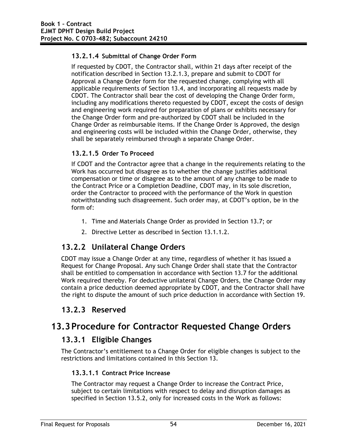#### **13.2.1.4 Submittal of Change Order Form**

If requested by CDOT, the Contractor shall, within 21 days after receipt of the notification described in Section 13.2.1.3, prepare and submit to CDOT for Approval a Change Order form for the requested change, complying with all applicable requirements of Section 13.4, and incorporating all requests made by CDOT. The Contractor shall bear the cost of developing the Change Order form, including any modifications thereto requested by CDOT, except the costs of design and engineering work required for preparation of plans or exhibits necessary for the Change Order form and pre-authorized by CDOT shall be included in the Change Order as reimbursable items. If the Change Order is Approved, the design and engineering costs will be included within the Change Order, otherwise, they shall be separately reimbursed through a separate Change Order.

#### **13.2.1.5 Order To Proceed**

If CDOT and the Contractor agree that a change in the requirements relating to the Work has occurred but disagree as to whether the change justifies additional compensation or time or disagree as to the amount of any change to be made to the Contract Price or a Completion Deadline, CDOT may, in its sole discretion, order the Contractor to proceed with the performance of the Work in question notwithstanding such disagreement. Such order may, at CDOT's option, be in the form of:

- 1. Time and Materials Change Order as provided in Section 13.7; or
- 2. Directive Letter as described in Section 13.1.1.2.

## **13.2.2 Unilateral Change Orders**

CDOT may issue a Change Order at any time, regardless of whether it has issued a Request for Change Proposal. Any such Change Order shall state that the Contractor shall be entitled to compensation in accordance with Section 13.7 for the additional Work required thereby. For deductive unilateral Change Orders, the Change Order may contain a price deduction deemed appropriate by CDOT, and the Contractor shall have the right to dispute the amount of such price deduction in accordance with Section 19.

### **13.2.3 Reserved**

## **13.3Procedure for Contractor Requested Change Orders**

### **13.3.1 Eligible Changes**

The Contractor's entitlement to a Change Order for eligible changes is subject to the restrictions and limitations contained in this Section 13.

#### **13.3.1.1 Contract Price Increase**

The Contractor may request a Change Order to increase the Contract Price, subject to certain limitations with respect to delay and disruption damages as specified in Section 13.5.2, only for increased costs in the Work as follows: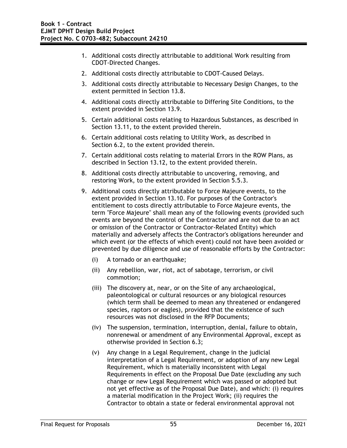- 1. Additional costs directly attributable to additional Work resulting from CDOT-Directed Changes.
- 2. Additional costs directly attributable to CDOT-Caused Delays.
- 3. Additional costs directly attributable to Necessary Design Changes, to the extent permitted in Section 13.8.
- 4. Additional costs directly attributable to Differing Site Conditions, to the extent provided in Section 13.9.
- 5. Certain additional costs relating to Hazardous Substances, as described in Section 13.11, to the extent provided therein.
- 6. Certain additional costs relating to Utility Work, as described in Section 6.2, to the extent provided therein.
- 7. Certain additional costs relating to material Errors in the ROW Plans, as described in Section 13.12, to the extent provided therein.
- 8. Additional costs directly attributable to uncovering, removing, and restoring Work, to the extent provided in Section 5.5.3.
- 9. Additional costs directly attributable to Force Majeure events, to the extent provided in Section 13.10. For purposes of the Contractor's entitlement to costs directly attributable to Force Majeure events, the term "Force Majeure" shall mean any of the following events (provided such events are beyond the control of the Contractor and are not due to an act or omission of the Contractor or Contractor-Related Entity) which materially and adversely affects the Contractor's obligations hereunder and which event (or the effects of which event) could not have been avoided or prevented by due diligence and use of reasonable efforts by the Contractor:
	- (i) A tornado or an earthquake;
	- (ii) Any rebellion, war, riot, act of sabotage, terrorism, or civil commotion;
	- (iii) The discovery at, near, or on the Site of any archaeological, paleontological or cultural resources or any biological resources (which term shall be deemed to mean any threatened or endangered species, raptors or eagles), provided that the existence of such resources was not disclosed in the RFP Documents;
	- (iv) The suspension, termination, interruption, denial, failure to obtain, nonrenewal or amendment of any Environmental Approval, except as otherwise provided in Section 6.3;
	- (v) Any change in a Legal Requirement, change in the judicial interpretation of a Legal Requirement, or adoption of any new Legal Requirement, which is materially inconsistent with Legal Requirements in effect on the Proposal Due Date (excluding any such change or new Legal Requirement which was passed or adopted but not yet effective as of the Proposal Due Date), and which: (i) requires a material modification in the Project Work; (ii) requires the Contractor to obtain a state or federal environmental approval not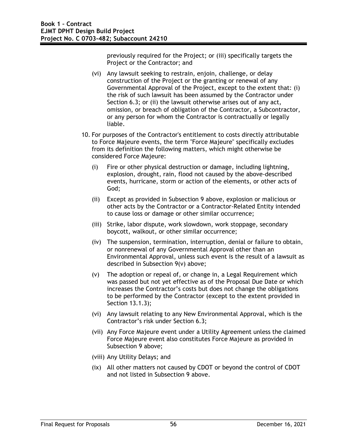previously required for the Project; or (iii) specifically targets the Project or the Contractor; and

- (vi) Any lawsuit seeking to restrain, enjoin, challenge, or delay construction of the Project or the granting or renewal of any Governmental Approval of the Project, except to the extent that: (i) the risk of such lawsuit has been assumed by the Contractor under Section 6.3; or (ii) the lawsuit otherwise arises out of any act, omission, or breach of obligation of the Contractor, a Subcontractor, or any person for whom the Contractor is contractually or legally liable.
- 10. For purposes of the Contractor's entitlement to costs directly attributable to Force Majeure events, the term "Force Majeure" specifically excludes from its definition the following matters, which might otherwise be considered Force Majeure:
	- (i) Fire or other physical destruction or damage, including lightning, explosion, drought, rain, flood not caused by the above-described events, hurricane, storm or action of the elements, or other acts of God;
	- (ii) Except as provided in Subsection 9 above, explosion or malicious or other acts by the Contractor or a Contractor-Related Entity intended to cause loss or damage or other similar occurrence;
	- (iii) Strike, labor dispute, work slowdown, work stoppage, secondary boycott, walkout, or other similar occurrence;
	- (iv) The suspension, termination, interruption, denial or failure to obtain, or nonrenewal of any Governmental Approval other than an Environmental Approval, unless such event is the result of a lawsuit as described in Subsection 9(v) above;
	- (v) The adoption or repeal of, or change in, a Legal Requirement which was passed but not yet effective as of the Proposal Due Date or which increases the Contractor's costs but does not change the obligations to be performed by the Contractor (except to the extent provided in Section 13.1.3);
	- (vi) Any lawsuit relating to any New Environmental Approval, which is the Contractor's risk under Section 6.3;
	- (vii) Any Force Majeure event under a Utility Agreement unless the claimed Force Majeure event also constitutes Force Majeure as provided in Subsection 9 above;
	- (viii) Any Utility Delays; and
	- (ix) All other matters not caused by CDOT or beyond the control of CDOT and not listed in Subsection 9 above.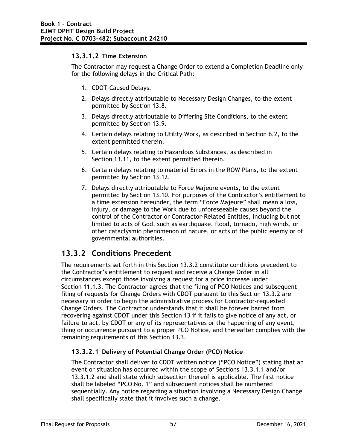#### **13.3.1.2 Time Extension**

The Contractor may request a Change Order to extend a Completion Deadline only for the following delays in the Critical Path:

- 1. CDOT-Caused Delays.
- 2. Delays directly attributable to Necessary Design Changes, to the extent permitted by Section 13.8.
- 3. Delays directly attributable to Differing Site Conditions, to the extent permitted by Section 13.9.
- 4. Certain delays relating to Utility Work, as described in Section 6.2, to the extent permitted therein.
- 5. Certain delays relating to Hazardous Substances, as described in Section 13.11, to the extent permitted therein.
- 6. Certain delays relating to material Errors in the ROW Plans, to the extent permitted by Section 13.12.
- 7. Delays directly attributable to Force Majeure events, to the extent permitted by Section 13.10. For purposes of the Contractor's entitlement to a time extension hereunder, the term "Force Majeure" shall mean a loss, injury, or damage to the Work due to unforeseeable causes beyond the control of the Contractor or Contractor-Related Entities, including but not limited to acts of God, such as earthquake, flood, tornado, high winds, or other cataclysmic phenomenon of nature, or acts of the public enemy or of governmental authorities.

### **13.3.2 Conditions Precedent**

The requirements set forth in this Section 13.3.2 constitute conditions precedent to the Contractor's entitlement to request and receive a Change Order in all circumstances except those involving a request for a price increase under Section 11.1.3. The Contractor agrees that the filing of PCO Notices and subsequent filing of requests for Change Orders with CDOT pursuant to this Section 13.3.2 are necessary in order to begin the administrative process for Contractor-requested Change Orders. The Contractor understands that it shall be forever barred from recovering against CDOT under this Section 13 if it fails to give notice of any act, or failure to act, by CDOT or any of its representatives or the happening of any event, thing or occurrence pursuant to a proper PCO Notice, and thereafter complies with the remaining requirements of this Section 13.3.

#### **13.3.2.1 Delivery of Potential Change Order (PCO) Notice**

The Contractor shall deliver to CDOT written notice ("PCO Notice") stating that an event or situation has occurred within the scope of Sections 13.3.1.1 and/or 13.3.1.2 and shall state which subsection thereof is applicable. The first notice shall be labeled "PCO No. 1" and subsequent notices shall be numbered sequentially. Any notice regarding a situation involving a Necessary Design Change shall specifically state that it involves such a change.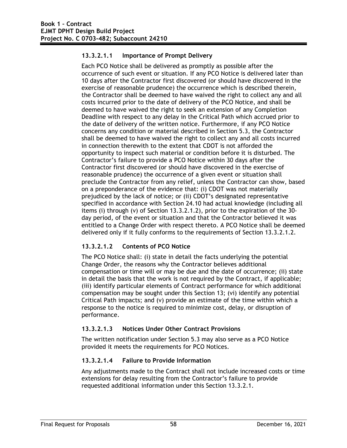#### **13.3.2.1.1 Importance of Prompt Delivery**

Each PCO Notice shall be delivered as promptly as possible after the occurrence of such event or situation. If any PCO Notice is delivered later than 10 days after the Contractor first discovered (or should have discovered in the exercise of reasonable prudence) the occurrence which is described therein, the Contractor shall be deemed to have waived the right to collect any and all costs incurred prior to the date of delivery of the PCO Notice, and shall be deemed to have waived the right to seek an extension of any Completion Deadline with respect to any delay in the Critical Path which accrued prior to the date of delivery of the written notice. Furthermore, if any PCO Notice concerns any condition or material described in Section 5.3, the Contractor shall be deemed to have waived the right to collect any and all costs incurred in connection therewith to the extent that CDOT is not afforded the opportunity to inspect such material or condition before it is disturbed. The Contractor's failure to provide a PCO Notice within 30 days after the Contractor first discovered (or should have discovered in the exercise of reasonable prudence) the occurrence of a given event or situation shall preclude the Contractor from any relief, unless the Contractor can show, based on a preponderance of the evidence that: (i) CDOT was not materially prejudiced by the lack of notice; or (ii) CDOT's designated representative specified in accordance with Section 24.10 had actual knowledge (including all items (i) through (v) of Section 13.3.2.1.2), prior to the expiration of the 30 day period, of the event or situation and that the Contractor believed it was entitled to a Change Order with respect thereto. A PCO Notice shall be deemed delivered only if it fully conforms to the requirements of Section 13.3.2.1.2.

#### **13.3.2.1.2 Contents of PCO Notice**

The PCO Notice shall: (i) state in detail the facts underlying the potential Change Order, the reasons why the Contractor believes additional compensation or time will or may be due and the date of occurrence; (ii) state in detail the basis that the work is not required by the Contract, if applicable; (iii) identify particular elements of Contract performance for which additional compensation may be sought under this Section 13; (vi) identify any potential Critical Path impacts; and (v) provide an estimate of the time within which a response to the notice is required to minimize cost, delay, or disruption of performance.

#### **13.3.2.1.3 Notices Under Other Contract Provisions**

The written notification under Section 5.3 may also serve as a PCO Notice provided it meets the requirements for PCO Notices.

#### **13.3.2.1.4 Failure to Provide Information**

Any adjustments made to the Contract shall not include increased costs or time extensions for delay resulting from the Contractor's failure to provide requested additional information under this Section 13.3.2.1.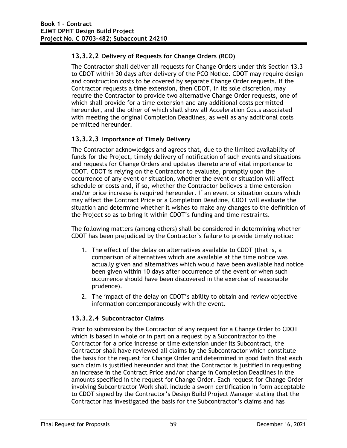### **13.3.2.2 Delivery of Requests for Change Orders (RCO)**

The Contractor shall deliver all requests for Change Orders under this Section 13.3 to CDOT within 30 days after delivery of the PCO Notice. CDOT may require design and construction costs to be covered by separate Change Order requests. If the Contractor requests a time extension, then CDOT, in its sole discretion, may require the Contractor to provide two alternative Change Order requests, one of which shall provide for a time extension and any additional costs permitted hereunder, and the other of which shall show all Acceleration Costs associated with meeting the original Completion Deadlines, as well as any additional costs permitted hereunder.

### **13.3.2.3 Importance of Timely Delivery**

The Contractor acknowledges and agrees that, due to the limited availability of funds for the Project, timely delivery of notification of such events and situations and requests for Change Orders and updates thereto are of vital importance to CDOT. CDOT is relying on the Contractor to evaluate, promptly upon the occurrence of any event or situation, whether the event or situation will affect schedule or costs and, if so, whether the Contractor believes a time extension and/or price increase is required hereunder. If an event or situation occurs which may affect the Contract Price or a Completion Deadline, CDOT will evaluate the situation and determine whether it wishes to make any changes to the definition of the Project so as to bring it within CDOT's funding and time restraints.

The following matters (among others) shall be considered in determining whether CDOT has been prejudiced by the Contractor's failure to provide timely notice:

- 1. The effect of the delay on alternatives available to CDOT (that is, a comparison of alternatives which are available at the time notice was actually given and alternatives which would have been available had notice been given within 10 days after occurrence of the event or when such occurrence should have been discovered in the exercise of reasonable prudence).
- 2. The impact of the delay on CDOT's ability to obtain and review objective information contemporaneously with the event.

#### **13.3.2.4 Subcontractor Claims**

Prior to submission by the Contractor of any request for a Change Order to CDOT which is based in whole or in part on a request by a Subcontractor to the Contractor for a price increase or time extension under its Subcontract, the Contractor shall have reviewed all claims by the Subcontractor which constitute the basis for the request for Change Order and determined in good faith that each such claim is justified hereunder and that the Contractor is justified in requesting an increase in the Contract Price and/or change in Completion Deadlines in the amounts specified in the request for Change Order. Each request for Change Order involving Subcontractor Work shall include a sworn certification in form acceptable to CDOT signed by the Contractor's Design Build Project Manager stating that the Contractor has investigated the basis for the Subcontractor's claims and has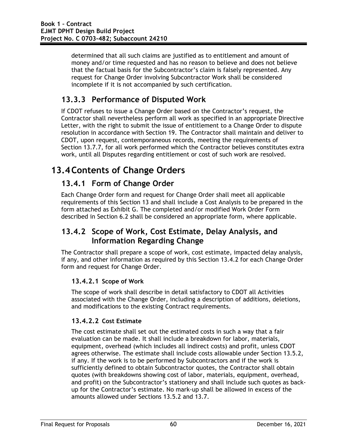determined that all such claims are justified as to entitlement and amount of money and/or time requested and has no reason to believe and does not believe that the factual basis for the Subcontractor's claim is falsely represented. Any request for Change Order involving Subcontractor Work shall be considered incomplete if it is not accompanied by such certification.

## **13.3.3 Performance of Disputed Work**

If CDOT refuses to issue a Change Order based on the Contractor's request, the Contractor shall nevertheless perform all work as specified in an appropriate Directive Letter, with the right to submit the issue of entitlement to a Change Order to dispute resolution in accordance with Section 19. The Contractor shall maintain and deliver to CDOT, upon request, contemporaneous records, meeting the requirements of Section 13.7.7, for all work performed which the Contractor believes constitutes extra work, until all Disputes regarding entitlement or cost of such work are resolved.

# **13.4Contents of Change Orders**

## **13.4.1 Form of Change Order**

Each Change Order form and request for Change Order shall meet all applicable requirements of this Section 13 and shall include a Cost Analysis to be prepared in the form attached as Exhibit G. The completed and/or modified Work Order Form described in Section 6.2 shall be considered an appropriate form, where applicable.

### **13.4.2 Scope of Work, Cost Estimate, Delay Analysis, and Information Regarding Change**

The Contractor shall prepare a scope of work, cost estimate, impacted delay analysis, if any, and other information as required by this Section 13.4.2 for each Change Order form and request for Change Order.

### **13.4.2.1 Scope of Work**

The scope of work shall describe in detail satisfactory to CDOT all Activities associated with the Change Order, including a description of additions, deletions, and modifications to the existing Contract requirements.

### **13.4.2.2 Cost Estimate**

The cost estimate shall set out the estimated costs in such a way that a fair evaluation can be made. It shall include a breakdown for labor, materials, equipment, overhead (which includes all indirect costs) and profit, unless CDOT agrees otherwise. The estimate shall include costs allowable under Section 13.5.2, if any. If the work is to be performed by Subcontractors and if the work is sufficiently defined to obtain Subcontractor quotes, the Contractor shall obtain quotes (with breakdowns showing cost of labor, materials, equipment, overhead, and profit) on the Subcontractor's stationery and shall include such quotes as backup for the Contractor's estimate. No mark-up shall be allowed in excess of the amounts allowed under Sections 13.5.2 and 13.7.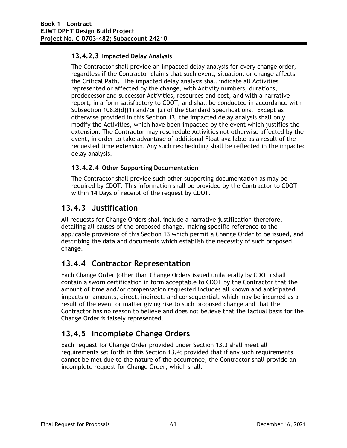### **13.4.2.3 Impacted Delay Analysis**

The Contractor shall provide an impacted delay analysis for every change order, regardless if the Contractor claims that such event, situation, or change affects the Critical Path. The impacted delay analysis shall indicate all Activities represented or affected by the change, with Activity numbers, durations, predecessor and successor Activities, resources and cost, and with a narrative report, in a form satisfactory to CDOT, and shall be conducted in accordance with Subsection 108.8(d)(1) and/or (2) of the Standard Specifications. Except as otherwise provided in this Section 13, the impacted delay analysis shall only modify the Activities, which have been impacted by the event which justifies the extension. The Contractor may reschedule Activities not otherwise affected by the event, in order to take advantage of additional Float available as a result of the requested time extension. Any such rescheduling shall be reflected in the impacted delay analysis.

### **13.4.2.4 Other Supporting Documentation**

The Contractor shall provide such other supporting documentation as may be required by CDOT. This information shall be provided by the Contractor to CDOT within 14 Days of receipt of the request by CDOT.

### **13.4.3 Justification**

All requests for Change Orders shall include a narrative justification therefore, detailing all causes of the proposed change, making specific reference to the applicable provisions of this Section 13 which permit a Change Order to be issued, and describing the data and documents which establish the necessity of such proposed change.

## **13.4.4 Contractor Representation**

Each Change Order (other than Change Orders issued unilaterally by CDOT) shall contain a sworn certification in form acceptable to CDOT by the Contractor that the amount of time and/or compensation requested includes all known and anticipated impacts or amounts, direct, indirect, and consequential, which may be incurred as a result of the event or matter giving rise to such proposed change and that the Contractor has no reason to believe and does not believe that the factual basis for the Change Order is falsely represented.

## **13.4.5 Incomplete Change Orders**

Each request for Change Order provided under Section 13.3 shall meet all requirements set forth in this Section 13.4; provided that if any such requirements cannot be met due to the nature of the occurrence, the Contractor shall provide an incomplete request for Change Order, which shall: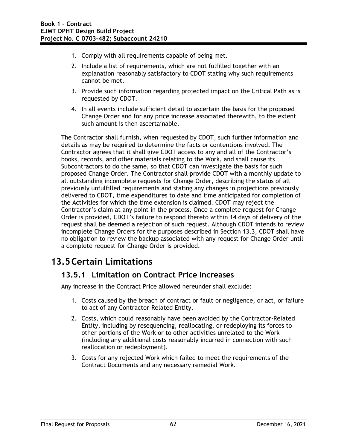- 1. Comply with all requirements capable of being met.
- 2. Include a list of requirements, which are not fulfilled together with an explanation reasonably satisfactory to CDOT stating why such requirements cannot be met.
- 3. Provide such information regarding projected impact on the Critical Path as is requested by CDOT.
- 4. In all events include sufficient detail to ascertain the basis for the proposed Change Order and for any price increase associated therewith, to the extent such amount is then ascertainable.

The Contractor shall furnish, when requested by CDOT, such further information and details as may be required to determine the facts or contentions involved. The Contractor agrees that it shall give CDOT access to any and all of the Contractor's books, records, and other materials relating to the Work, and shall cause its Subcontractors to do the same, so that CDOT can investigate the basis for such proposed Change Order. The Contractor shall provide CDOT with a monthly update to all outstanding incomplete requests for Change Order, describing the status of all previously unfulfilled requirements and stating any changes in projections previously delivered to CDOT, time expenditures to date and time anticipated for completion of the Activities for which the time extension is claimed. CDOT may reject the Contractor's claim at any point in the process. Once a complete request for Change Order is provided, CDOT's failure to respond thereto within 14 days of delivery of the request shall be deemed a rejection of such request. Although CDOT intends to review incomplete Change Orders for the purposes described in Section 13.3, CDOT shall have no obligation to review the backup associated with any request for Change Order until a complete request for Change Order is provided.

# **13.5Certain Limitations**

### **13.5.1 Limitation on Contract Price Increases**

Any increase in the Contract Price allowed hereunder shall exclude:

- 1. Costs caused by the breach of contract or fault or negligence, or act, or failure to act of any Contractor-Related Entity.
- 2. Costs, which could reasonably have been avoided by the Contractor-Related Entity, including by resequencing, reallocating, or redeploying its forces to other portions of the Work or to other activities unrelated to the Work (including any additional costs reasonably incurred in connection with such reallocation or redeployment).
- 3. Costs for any rejected Work which failed to meet the requirements of the Contract Documents and any necessary remedial Work.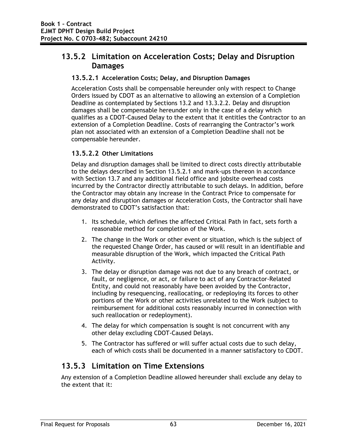### **13.5.2 Limitation on Acceleration Costs; Delay and Disruption Damages**

#### **13.5.2.1 Acceleration Costs; Delay, and Disruption Damages**

Acceleration Costs shall be compensable hereunder only with respect to Change Orders issued by CDOT as an alternative to allowing an extension of a Completion Deadline as contemplated by Sections 13.2 and 13.3.2.2. Delay and disruption damages shall be compensable hereunder only in the case of a delay which qualifies as a CDOT-Caused Delay to the extent that it entitles the Contractor to an extension of a Completion Deadline. Costs of rearranging the Contractor's work plan not associated with an extension of a Completion Deadline shall not be compensable hereunder.

#### **13.5.2.2 Other Limitations**

Delay and disruption damages shall be limited to direct costs directly attributable to the delays described in Section 13.5.2.1 and mark-ups thereon in accordance with Section 13.7 and any additional field office and jobsite overhead costs incurred by the Contractor directly attributable to such delays. In addition, before the Contractor may obtain any increase in the Contract Price to compensate for any delay and disruption damages or Acceleration Costs, the Contractor shall have demonstrated to CDOT's satisfaction that:

- 1. Its schedule, which defines the affected Critical Path in fact, sets forth a reasonable method for completion of the Work.
- 2. The change in the Work or other event or situation, which is the subject of the requested Change Order, has caused or will result in an identifiable and measurable disruption of the Work, which impacted the Critical Path Activity.
- 3. The delay or disruption damage was not due to any breach of contract, or fault, or negligence, or act, or failure to act of any Contractor-Related Entity, and could not reasonably have been avoided by the Contractor, including by resequencing, reallocating, or redeploying its forces to other portions of the Work or other activities unrelated to the Work (subject to reimbursement for additional costs reasonably incurred in connection with such reallocation or redeployment).
- 4. The delay for which compensation is sought is not concurrent with any other delay excluding CDOT-Caused Delays.
- 5. The Contractor has suffered or will suffer actual costs due to such delay, each of which costs shall be documented in a manner satisfactory to CDOT.

### **13.5.3 Limitation on Time Extensions**

Any extension of a Completion Deadline allowed hereunder shall exclude any delay to the extent that it: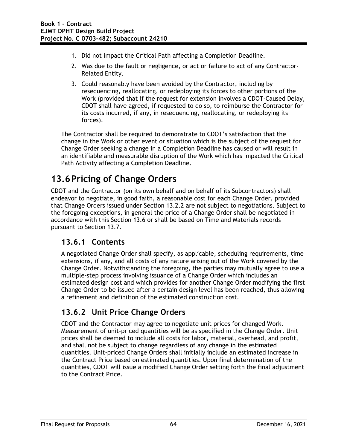- 1. Did not impact the Critical Path affecting a Completion Deadline.
- 2. Was due to the fault or negligence, or act or failure to act of any Contractor-Related Entity.
- 3. Could reasonably have been avoided by the Contractor, including by resequencing, reallocating, or redeploying its forces to other portions of the Work (provided that if the request for extension involves a CDOT-Caused Delay, CDOT shall have agreed, if requested to do so, to reimburse the Contractor for its costs incurred, if any, in resequencing, reallocating, or redeploying its forces).

The Contractor shall be required to demonstrate to CDOT's satisfaction that the change in the Work or other event or situation which is the subject of the request for Change Order seeking a change in a Completion Deadline has caused or will result in an identifiable and measurable disruption of the Work which has impacted the Critical Path Activity affecting a Completion Deadline.

# **13.6Pricing of Change Orders**

CDOT and the Contractor (on its own behalf and on behalf of its Subcontractors) shall endeavor to negotiate, in good faith, a reasonable cost for each Change Order, provided that Change Orders issued under Section 13.2.2 are not subject to negotiations. Subject to the foregoing exceptions, in general the price of a Change Order shall be negotiated in accordance with this Section 13.6 or shall be based on Time and Materials records pursuant to Section 13.7.

## **13.6.1 Contents**

A negotiated Change Order shall specify, as applicable, scheduling requirements, time extensions, if any, and all costs of any nature arising out of the Work covered by the Change Order. Notwithstanding the foregoing, the parties may mutually agree to use a multiple-step process involving issuance of a Change Order which includes an estimated design cost and which provides for another Change Order modifying the first Change Order to be issued after a certain design level has been reached, thus allowing a refinement and definition of the estimated construction cost.

## **13.6.2 Unit Price Change Orders**

CDOT and the Contractor may agree to negotiate unit prices for changed Work. Measurement of unit-priced quantities will be as specified in the Change Order. Unit prices shall be deemed to include all costs for labor, material, overhead, and profit, and shall not be subject to change regardless of any change in the estimated quantities. Unit-priced Change Orders shall initially include an estimated increase in the Contract Price based on estimated quantities. Upon final determination of the quantities, CDOT will issue a modified Change Order setting forth the final adjustment to the Contract Price.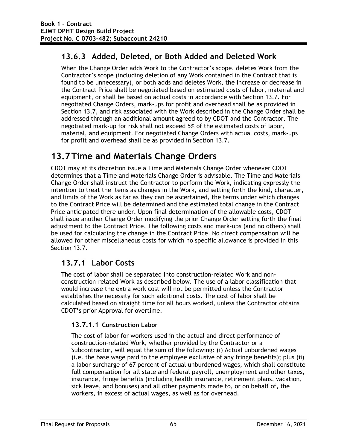## **13.6.3 Added, Deleted, or Both Added and Deleted Work**

When the Change Order adds Work to the Contractor's scope, deletes Work from the Contractor's scope (including deletion of any Work contained in the Contract that is found to be unnecessary), or both adds and deletes Work, the increase or decrease in the Contract Price shall be negotiated based on estimated costs of labor, material and equipment, or shall be based on actual costs in accordance with Section 13.7. For negotiated Change Orders, mark-ups for profit and overhead shall be as provided in Section 13.7, and risk associated with the Work described in the Change Order shall be addressed through an additional amount agreed to by CDOT and the Contractor. The negotiated mark-up for risk shall not exceed 5% of the estimated costs of labor, material, and equipment. For negotiated Change Orders with actual costs, mark-ups for profit and overhead shall be as provided in Section 13.7.

# **13.7Time and Materials Change Orders**

CDOT may at its discretion issue a Time and Materials Change Order whenever CDOT determines that a Time and Materials Change Order is advisable. The Time and Materials Change Order shall instruct the Contractor to perform the Work, indicating expressly the intention to treat the items as changes in the Work, and setting forth the kind, character, and limits of the Work as far as they can be ascertained, the terms under which changes to the Contract Price will be determined and the estimated total change in the Contract Price anticipated there under. Upon final determination of the allowable costs, CDOT shall issue another Change Order modifying the prior Change Order setting forth the final adjustment to the Contract Price. The following costs and mark-ups (and no others) shall be used for calculating the change in the Contract Price. No direct compensation will be allowed for other miscellaneous costs for which no specific allowance is provided in this Section 13.7.

### **13.7.1 Labor Costs**

The cost of labor shall be separated into construction-related Work and nonconstruction-related Work as described below. The use of a labor classification that would increase the extra work cost will not be permitted unless the Contractor establishes the necessity for such additional costs. The cost of labor shall be calculated based on straight time for all hours worked, unless the Contractor obtains CDOT's prior Approval for overtime.

### **13.7.1.1 Construction Labor**

The cost of labor for workers used in the actual and direct performance of construction-related Work, whether provided by the Contractor or a Subcontractor, will equal the sum of the following: (i) Actual unburdened wages (i.e. the base wage paid to the employee exclusive of any fringe benefits); plus (ii) a labor surcharge of 67 percent of actual unburdened wages, which shall constitute full compensation for all state and federal payroll, unemployment and other taxes, insurance, fringe benefits (including health insurance, retirement plans, vacation, sick leave, and bonuses) and all other payments made to, or on behalf of, the workers, in excess of actual wages, as well as for overhead.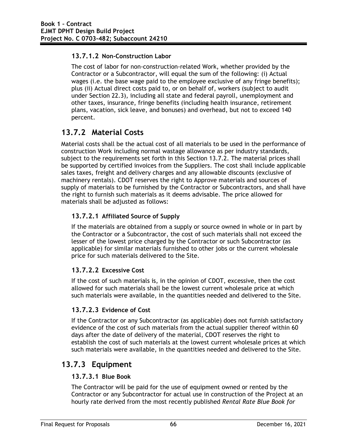### **13.7.1.2 Non-Construction Labor**

The cost of labor for non-construction-related Work, whether provided by the Contractor or a Subcontractor, will equal the sum of the following: (i) Actual wages (i.e. the base wage paid to the employee exclusive of any fringe benefits); plus (ii) Actual direct costs paid to, or on behalf of, workers (subject to audit under Section 22.3), including all state and federal payroll, unemployment and other taxes, insurance, fringe benefits (including health insurance, retirement plans, vacation, sick leave, and bonuses) and overhead, but not to exceed 140 percent.

### **13.7.2 Material Costs**

Material costs shall be the actual cost of all materials to be used in the performance of construction Work including normal wastage allowance as per industry standards, subject to the requirements set forth in this Section 13.7.2. The material prices shall be supported by certified invoices from the Suppliers. The cost shall include applicable sales taxes, freight and delivery charges and any allowable discounts (exclusive of machinery rentals). CDOT reserves the right to Approve materials and sources of supply of materials to be furnished by the Contractor or Subcontractors, and shall have the right to furnish such materials as it deems advisable. The price allowed for materials shall be adjusted as follows:

### **13.7.2.1 Affiliated Source of Supply**

If the materials are obtained from a supply or source owned in whole or in part by the Contractor or a Subcontractor, the cost of such materials shall not exceed the lesser of the lowest price charged by the Contractor or such Subcontractor (as applicable) for similar materials furnished to other jobs or the current wholesale price for such materials delivered to the Site.

### **13.7.2.2 Excessive Cost**

If the cost of such materials is, in the opinion of CDOT, excessive, then the cost allowed for such materials shall be the lowest current wholesale price at which such materials were available, in the quantities needed and delivered to the Site.

### **13.7.2.3 Evidence of Cost**

If the Contractor or any Subcontractor (as applicable) does not furnish satisfactory evidence of the cost of such materials from the actual supplier thereof within 60 days after the date of delivery of the material, CDOT reserves the right to establish the cost of such materials at the lowest current wholesale prices at which such materials were available, in the quantities needed and delivered to the Site.

### **13.7.3 Equipment**

#### **13.7.3.1 Blue Book**

The Contractor will be paid for the use of equipment owned or rented by the Contractor or any Subcontractor for actual use in construction of the Project at an hourly rate derived from the most recently published *Rental Rate Blue Book for*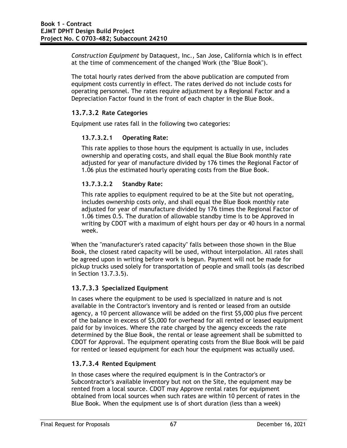*Construction Equipment* by Dataquest, Inc., San Jose, California which is in effect at the time of commencement of the changed Work (the "Blue Book").

The total hourly rates derived from the above publication are computed from equipment costs currently in effect. The rates derived do not include costs for operating personnel. The rates require adjustment by a Regional Factor and a Depreciation Factor found in the front of each chapter in the Blue Book.

### **13.7.3.2 Rate Categories**

Equipment use rates fall in the following two categories:

#### **13.7.3.2.1 Operating Rate:**

This rate applies to those hours the equipment is actually in use, includes ownership and operating costs, and shall equal the Blue Book monthly rate adjusted for year of manufacture divided by 176 times the Regional Factor of 1.06 plus the estimated hourly operating costs from the Blue Book.

### **13.7.3.2.2 Standby Rate:**

This rate applies to equipment required to be at the Site but not operating, includes ownership costs only, and shall equal the Blue Book monthly rate adjusted for year of manufacture divided by 176 times the Regional Factor of 1.06 times 0.5. The duration of allowable standby time is to be Approved in writing by CDOT with a maximum of eight hours per day or 40 hours in a normal week.

When the "manufacturer's rated capacity" falls between those shown in the Blue Book, the closest rated capacity will be used, without interpolation. All rates shall be agreed upon in writing before work is begun. Payment will not be made for pickup trucks used solely for transportation of people and small tools (as described in Section 13.7.3.5).

### **13.7.3.3 Specialized Equipment**

In cases where the equipment to be used is specialized in nature and is not available in the Contractor's inventory and is rented or leased from an outside agency, a 10 percent allowance will be added on the first \$5,000 plus five percent of the balance in excess of \$5,000 for overhead for all rented or leased equipment paid for by invoices. Where the rate charged by the agency exceeds the rate determined by the Blue Book, the rental or lease agreement shall be submitted to CDOT for Approval. The equipment operating costs from the Blue Book will be paid for rented or leased equipment for each hour the equipment was actually used.

### **13.7.3.4 Rented Equipment**

In those cases where the required equipment is in the Contractor's or Subcontractor's available inventory but not on the Site, the equipment may be rented from a local source. CDOT may Approve rental rates for equipment obtained from local sources when such rates are within 10 percent of rates in the Blue Book. When the equipment use is of short duration (less than a week)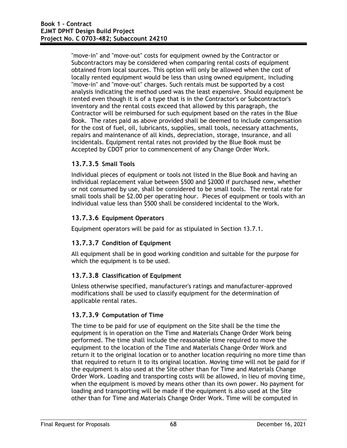"move-in" and "move-out" costs for equipment owned by the Contractor or Subcontractors may be considered when comparing rental costs of equipment obtained from local sources. This option will only be allowed when the cost of locally rented equipment would be less than using owned equipment, including "move-in" and "move-out" charges. Such rentals must be supported by a cost analysis indicating the method used was the least expensive. Should equipment be rented even though it is of a type that is in the Contractor's or Subcontractor's inventory and the rental costs exceed that allowed by this paragraph, the Contractor will be reimbursed for such equipment based on the rates in the Blue Book. The rates paid as above provided shall be deemed to include compensation for the cost of fuel, oil, lubricants, supplies, small tools, necessary attachments, repairs and maintenance of all kinds, depreciation, storage, insurance, and all incidentals. Equipment rental rates not provided by the Blue Book must be Accepted by CDOT prior to commencement of any Change Order Work.

### **13.7.3.5 Small Tools**

Individual pieces of equipment or tools not listed in the Blue Book and having an individual replacement value between \$500 and \$2000 if purchased new, whether or not consumed by use, shall be considered to be small tools. The rental rate for small tools shall be \$2.00 per operating hour. Pieces of equipment or tools with an individual value less than \$500 shall be considered incidental to the Work.

### **13.7.3.6 Equipment Operators**

Equipment operators will be paid for as stipulated in Section 13.7.1.

#### **13.7.3.7 Condition of Equipment**

All equipment shall be in good working condition and suitable for the purpose for which the equipment is to be used.

#### **13.7.3.8 Classification of Equipment**

Unless otherwise specified, manufacturer's ratings and manufacturer-approved modifications shall be used to classify equipment for the determination of applicable rental rates.

#### **13.7.3.9 Computation of Time**

The time to be paid for use of equipment on the Site shall be the time the equipment is in operation on the Time and Materials Change Order Work being performed. The time shall include the reasonable time required to move the equipment to the location of the Time and Materials Change Order Work and return it to the original location or to another location requiring no more time than that required to return it to its original location. Moving time will not be paid for if the equipment is also used at the Site other than for Time and Materials Change Order Work. Loading and transporting costs will be allowed, in lieu of moving time, when the equipment is moved by means other than its own power. No payment for loading and transporting will be made if the equipment is also used at the Site other than for Time and Materials Change Order Work. Time will be computed in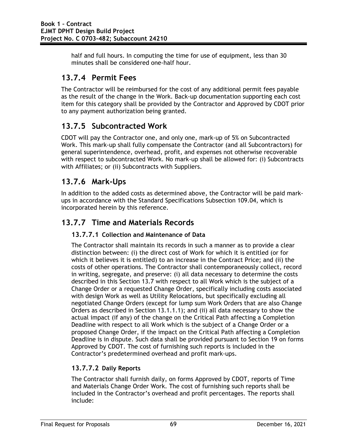half and full hours. In computing the time for use of equipment, less than 30 minutes shall be considered one-half hour.

## **13.7.4 Permit Fees**

The Contractor will be reimbursed for the cost of any additional permit fees payable as the result of the change in the Work. Back-up documentation supporting each cost item for this category shall be provided by the Contractor and Approved by CDOT prior to any payment authorization being granted.

## **13.7.5 Subcontracted Work**

CDOT will pay the Contractor one, and only one, mark-up of 5% on Subcontracted Work. This mark-up shall fully compensate the Contractor (and all Subcontractors) for general superintendence, overhead, profit, and expenses not otherwise recoverable with respect to subcontracted Work. No mark-up shall be allowed for: (i) Subcontracts with Affiliates; or (ii) Subcontracts with Suppliers.

## **13.7.6 Mark-Ups**

In addition to the added costs as determined above, the Contractor will be paid markups in accordance with the Standard Specifications Subsection 109.04, which is incorporated herein by this reference.

### **13.7.7 Time and Materials Records**

### **13.7.7.1 Collection and Maintenance of Data**

The Contractor shall maintain its records in such a manner as to provide a clear distinction between: (i) the direct cost of Work for which it is entitled (or for which it believes it is entitled) to an increase in the Contract Price; and (ii) the costs of other operations. The Contractor shall contemporaneously collect, record in writing, segregate, and preserve: (i) all data necessary to determine the costs described in this Section 13.7 with respect to all Work which is the subject of a Change Order or a requested Change Order, specifically including costs associated with design Work as well as Utility Relocations, but specifically excluding all negotiated Change Orders (except for lump sum Work Orders that are also Change Orders as described in Section 13.1.1.1); and (ii) all data necessary to show the actual impact (if any) of the change on the Critical Path affecting a Completion Deadline with respect to all Work which is the subject of a Change Order or a proposed Change Order, if the impact on the Critical Path affecting a Completion Deadline is in dispute. Such data shall be provided pursuant to Section 19 on forms Approved by CDOT. The cost of furnishing such reports is included in the Contractor's predetermined overhead and profit mark-ups.

### **13.7.7.2 Daily Reports**

The Contractor shall furnish daily, on forms Approved by CDOT, reports of Time and Materials Change Order Work. The cost of furnishing such reports shall be included in the Contractor's overhead and profit percentages. The reports shall include: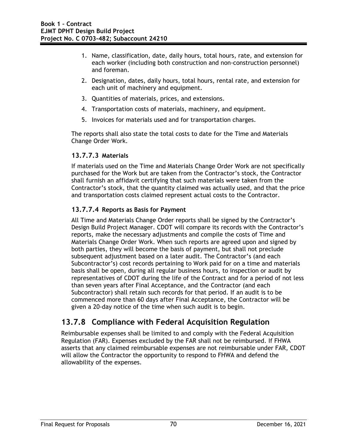- 1. Name, classification, date, daily hours, total hours, rate, and extension for each worker (including both construction and non-construction personnel) and foreman.
- 2. Designation, dates, daily hours, total hours, rental rate, and extension for each unit of machinery and equipment.
- 3. Quantities of materials, prices, and extensions.
- 4. Transportation costs of materials, machinery, and equipment.
- 5. Invoices for materials used and for transportation charges.

The reports shall also state the total costs to date for the Time and Materials Change Order Work.

#### **13.7.7.3 Materials**

If materials used on the Time and Materials Change Order Work are not specifically purchased for the Work but are taken from the Contractor's stock, the Contractor shall furnish an affidavit certifying that such materials were taken from the Contractor's stock, that the quantity claimed was actually used, and that the price and transportation costs claimed represent actual costs to the Contractor.

### **13.7.7.4 Reports as Basis for Payment**

All Time and Materials Change Order reports shall be signed by the Contractor's Design Build Project Manager. CDOT will compare its records with the Contractor's reports, make the necessary adjustments and compile the costs of Time and Materials Change Order Work. When such reports are agreed upon and signed by both parties, they will become the basis of payment, but shall not preclude subsequent adjustment based on a later audit. The Contractor's (and each Subcontractor's) cost records pertaining to Work paid for on a time and materials basis shall be open, during all regular business hours, to inspection or audit by representatives of CDOT during the life of the Contract and for a period of not less than seven years after Final Acceptance, and the Contractor (and each Subcontractor) shall retain such records for that period. If an audit is to be commenced more than 60 days after Final Acceptance, the Contractor will be given a 20-day notice of the time when such audit is to begin.

## **13.7.8 Compliance with Federal Acquisition Regulation**

Reimbursable expenses shall be limited to and comply with the Federal Acquisition Regulation (FAR). Expenses excluded by the FAR shall not be reimbursed. If FHWA asserts that any claimed reimbursable expenses are not reimbursable under FAR, CDOT will allow the Contractor the opportunity to respond to FHWA and defend the allowability of the expenses.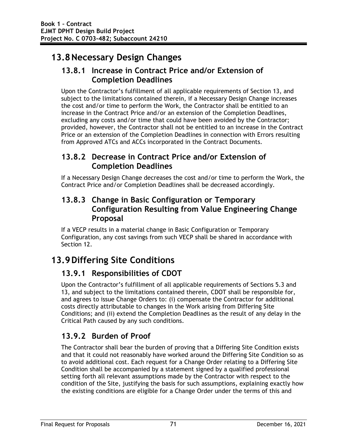# **13.8Necessary Design Changes**

## **13.8.1 Increase in Contract Price and/or Extension of Completion Deadlines**

Upon the Contractor's fulfillment of all applicable requirements of Section 13, and subject to the limitations contained therein, if a Necessary Design Change increases the cost and/or time to perform the Work, the Contractor shall be entitled to an increase in the Contract Price and/or an extension of the Completion Deadlines, excluding any costs and/or time that could have been avoided by the Contractor; provided, however, the Contractor shall not be entitled to an increase in the Contract Price or an extension of the Completion Deadlines in connection with Errors resulting from Approved ATCs and ACCs incorporated in the Contract Documents.

## **13.8.2 Decrease in Contract Price and/or Extension of Completion Deadlines**

If a Necessary Design Change decreases the cost and/or time to perform the Work, the Contract Price and/or Completion Deadlines shall be decreased accordingly.

### **13.8.3 Change in Basic Configuration or Temporary Configuration Resulting from Value Engineering Change Proposal**

If a VECP results in a material change in Basic Configuration or Temporary Configuration, any cost savings from such VECP shall be shared in accordance with Section 12.

# **13.9Differing Site Conditions**

## **13.9.1 Responsibilities of CDOT**

Upon the Contractor's fulfillment of all applicable requirements of Sections 5.3 and 13, and subject to the limitations contained therein, CDOT shall be responsible for, and agrees to issue Change Orders to: (i) compensate the Contractor for additional costs directly attributable to changes in the Work arising from Differing Site Conditions; and (ii) extend the Completion Deadlines as the result of any delay in the Critical Path caused by any such conditions.

## **13.9.2 Burden of Proof**

The Contractor shall bear the burden of proving that a Differing Site Condition exists and that it could not reasonably have worked around the Differing Site Condition so as to avoid additional cost. Each request for a Change Order relating to a Differing Site Condition shall be accompanied by a statement signed by a qualified professional setting forth all relevant assumptions made by the Contractor with respect to the condition of the Site, justifying the basis for such assumptions, explaining exactly how the existing conditions are eligible for a Change Order under the terms of this and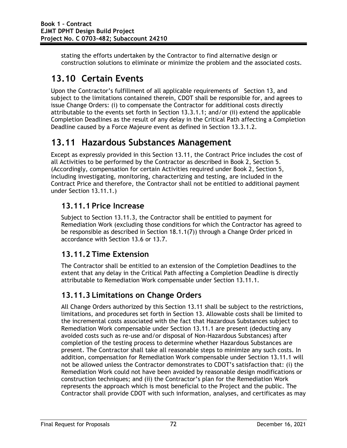stating the efforts undertaken by the Contractor to find alternative design or construction solutions to eliminate or minimize the problem and the associated costs.

# **13.10 Certain Events**

Upon the Contractor's fulfillment of all applicable requirements of Section 13, and subject to the limitations contained therein, CDOT shall be responsible for, and agrees to issue Change Orders: (i) to compensate the Contractor for additional costs directly attributable to the events set forth in Section 13.3.1.1; and/or (ii) extend the applicable Completion Deadlines as the result of any delay in the Critical Path affecting a Completion Deadline caused by a Force Majeure event as defined in Section 13.3.1.2.

# **13.11 Hazardous Substances Management**

Except as expressly provided in this Section 13.11, the Contract Price includes the cost of all Activities to be performed by the Contractor as described in Book 2, Section 5. (Accordingly, compensation for certain Activities required under Book 2, Section 5, including investigating, monitoring, characterizing and testing, are included in the Contract Price and therefore, the Contractor shall not be entitled to additional payment under Section 13.11.1.)

## **13.11.1 Price Increase**

Subject to Section 13.11.3, the Contractor shall be entitled to payment for Remediation Work (excluding those conditions for which the Contractor has agreed to be responsible as described in Section 18.1.1(7)) through a Change Order priced in accordance with Section 13.6 or 13.7.

## **13.11.2 Time Extension**

The Contractor shall be entitled to an extension of the Completion Deadlines to the extent that any delay in the Critical Path affecting a Completion Deadline is directly attributable to Remediation Work compensable under Section 13.11.1.

## **13.11.3 Limitations on Change Orders**

All Change Orders authorized by this Section 13.11 shall be subject to the restrictions, limitations, and procedures set forth in Section 13. Allowable costs shall be limited to the incremental costs associated with the fact that Hazardous Substances subject to Remediation Work compensable under Section 13.11.1 are present (deducting any avoided costs such as re-use and/or disposal of Non-Hazardous Substances) after completion of the testing process to determine whether Hazardous Substances are present. The Contractor shall take all reasonable steps to minimize any such costs. In addition, compensation for Remediation Work compensable under Section 13.11.1 will not be allowed unless the Contractor demonstrates to CDOT's satisfaction that: (i) the Remediation Work could not have been avoided by reasonable design modifications or construction techniques; and (ii) the Contractor's plan for the Remediation Work represents the approach which is most beneficial to the Project and the public. The Contractor shall provide CDOT with such information, analyses, and certificates as may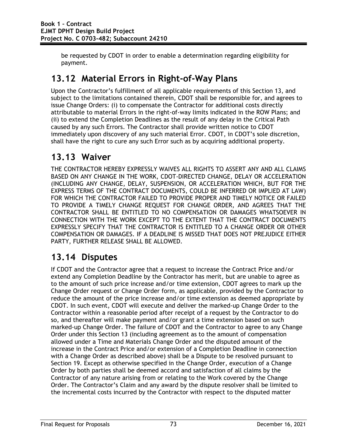be requested by CDOT in order to enable a determination regarding eligibility for payment.

# **13.12 Material Errors in Right-of-Way Plans**

Upon the Contractor's fulfillment of all applicable requirements of this Section 13, and subject to the limitations contained therein, CDOT shall be responsible for, and agrees to issue Change Orders: (i) to compensate the Contractor for additional costs directly attributable to material Errors in the right-of-way limits indicated in the ROW Plans; and (ii) to extend the Completion Deadlines as the result of any delay in the Critical Path caused by any such Errors. The Contractor shall provide written notice to CDOT immediately upon discovery of any such material Error. CDOT, in CDOT's sole discretion, shall have the right to cure any such Error such as by acquiring additional property.

# **13.13 Waiver**

THE CONTRACTOR HEREBY EXPRESSLY WAIVES ALL RIGHTS TO ASSERT ANY AND ALL CLAIMS BASED ON ANY CHANGE IN THE WORK, CDOT-DIRECTED CHANGE, DELAY OR ACCELERATION (INCLUDING ANY CHANGE, DELAY, SUSPENSION, OR ACCELERATION WHICH, BUT FOR THE EXPRESS TERMS OF THE CONTRACT DOCUMENTS, COULD BE INFERRED OR IMPLIED AT LAW) FOR WHICH THE CONTRACTOR FAILED TO PROVIDE PROPER AND TIMELY NOTICE OR FAILED TO PROVIDE A TIMELY CHANGE REQUEST FOR CHANGE ORDER, AND AGREES THAT THE CONTRACTOR SHALL BE ENTITLED TO NO COMPENSATION OR DAMAGES WHATSOEVER IN CONNECTION WITH THE WORK EXCEPT TO THE EXTENT THAT THE CONTRACT DOCUMENTS EXPRESSLY SPECIFY THAT THE CONTRACTOR IS ENTITLED TO A CHANGE ORDER OR OTHER COMPENSATION OR DAMAGES. IF A DEADLINE IS MISSED THAT DOES NOT PREJUDICE EITHER PARTY, FURTHER RELEASE SHALL BE ALLOWED.

# **13.14 Disputes**

If CDOT and the Contractor agree that a request to increase the Contract Price and/or extend any Completion Deadline by the Contractor has merit, but are unable to agree as to the amount of such price increase and/or time extension, CDOT agrees to mark up the Change Order request or Change Order form, as applicable, provided by the Contractor to reduce the amount of the price increase and/or time extension as deemed appropriate by CDOT. In such event, CDOT will execute and deliver the marked-up Change Order to the Contractor within a reasonable period after receipt of a request by the Contractor to do so, and thereafter will make payment and/or grant a time extension based on such marked-up Change Order. The failure of CDOT and the Contractor to agree to any Change Order under this Section 13 (including agreement as to the amount of compensation allowed under a Time and Materials Change Order and the disputed amount of the increase in the Contract Price and/or extension of a Completion Deadline in connection with a Change Order as described above) shall be a Dispute to be resolved pursuant to Section 19. Except as otherwise specified in the Change Order, execution of a Change Order by both parties shall be deemed accord and satisfaction of all claims by the Contractor of any nature arising from or relating to the Work covered by the Change Order. The Contractor's Claim and any award by the dispute resolver shall be limited to the incremental costs incurred by the Contractor with respect to the disputed matter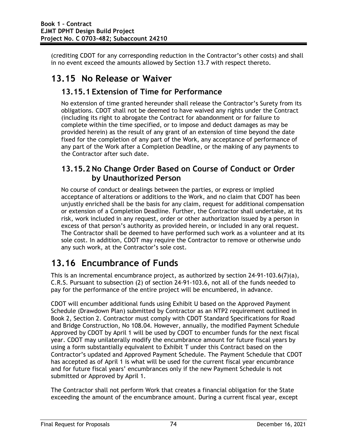(crediting CDOT for any corresponding reduction in the Contractor's other costs) and shall in no event exceed the amounts allowed by Section 13.7 with respect thereto.

# **13.15 No Release or Waiver**

### **13.15.1 Extension of Time for Performance**

No extension of time granted hereunder shall release the Contractor's Surety from its obligations. CDOT shall not be deemed to have waived any rights under the Contract (including its right to abrogate the Contract for abandonment or for failure to complete within the time specified, or to impose and deduct damages as may be provided herein) as the result of any grant of an extension of time beyond the date fixed for the completion of any part of the Work, any acceptance of performance of any part of the Work after a Completion Deadline, or the making of any payments to the Contractor after such date.

### **13.15.2 No Change Order Based on Course of Conduct or Order by Unauthorized Person**

No course of conduct or dealings between the parties, or express or implied acceptance of alterations or additions to the Work, and no claim that CDOT has been unjustly enriched shall be the basis for any claim, request for additional compensation or extension of a Completion Deadline. Further, the Contractor shall undertake, at its risk, work included in any request, order or other authorization issued by a person in excess of that person's authority as provided herein, or included in any oral request. The Contractor shall be deemed to have performed such work as a volunteer and at its sole cost. In addition, CDOT may require the Contractor to remove or otherwise undo any such work, at the Contractor's sole cost.

# **13.16 Encumbrance of Funds**

This is an incremental encumbrance project, as authorized by section 24-91-103.6(7)(a), C.R.S. Pursuant to subsection (2) of section 24-91-103.6, not all of the funds needed to pay for the performance of the entire project will be encumbered, in advance.

CDOT will encumber additional funds using Exhibit U based on the Approved Payment Schedule (Drawdown Plan) submitted by Contractor as an NTP2 requirement outlined in Book 2, Section 2. Contractor must comply with CDOT Standard Specifications for Road and Bridge Construction, No 108.04. However, annually, the modified Payment Schedule Approved by CDOT by April 1 will be used by CDOT to encumber funds for the next fiscal year. CDOT may unilaterally modify the encumbrance amount for future fiscal years by using a form substantially equivalent to Exhibit T under this Contract based on the Contractor's updated and Approved Payment Schedule. The Payment Schedule that CDOT has accepted as of April 1 is what will be used for the current fiscal year encumbrance and for future fiscal years' encumbrances only if the new Payment Schedule is not submitted or Approved by April 1.

The Contractor shall not perform Work that creates a financial obligation for the State exceeding the amount of the encumbrance amount. During a current fiscal year, except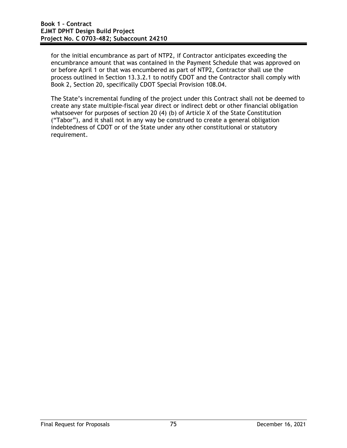for the initial encumbrance as part of NTP2, if Contractor anticipates exceeding the encumbrance amount that was contained in the Payment Schedule that was approved on or before April 1 or that was encumbered as part of NTP2, Contractor shall use the process outlined in Section 13.3.2.1 to notify CDOT and the Contractor shall comply with Book 2, Section 20, specifically CDOT Special Provision 108.04.

The State's incremental funding of the project under this Contract shall not be deemed to create any state multiple-fiscal year direct or indirect debt or other financial obligation whatsoever for purposes of section 20 (4) (b) of Article X of the State Constitution ("Tabor"), and it shall not in any way be construed to create a general obligation indebtedness of CDOT or of the State under any other constitutional or statutory requirement.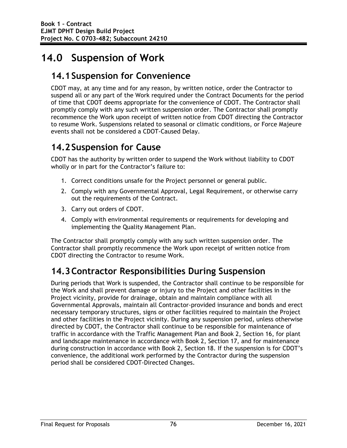# **14.0 Suspension of Work**

# **14.1Suspension for Convenience**

CDOT may, at any time and for any reason, by written notice, order the Contractor to suspend all or any part of the Work required under the Contract Documents for the period of time that CDOT deems appropriate for the convenience of CDOT. The Contractor shall promptly comply with any such written suspension order. The Contractor shall promptly recommence the Work upon receipt of written notice from CDOT directing the Contractor to resume Work. Suspensions related to seasonal or climatic conditions, or Force Majeure events shall not be considered a CDOT-Caused Delay.

# **14.2Suspension for Cause**

CDOT has the authority by written order to suspend the Work without liability to CDOT wholly or in part for the Contractor's failure to:

- 1. Correct conditions unsafe for the Project personnel or general public.
- 2. Comply with any Governmental Approval, Legal Requirement, or otherwise carry out the requirements of the Contract.
- 3. Carry out orders of CDOT.
- 4. Comply with environmental requirements or requirements for developing and implementing the Quality Management Plan.

The Contractor shall promptly comply with any such written suspension order. The Contractor shall promptly recommence the Work upon receipt of written notice from CDOT directing the Contractor to resume Work.

# **14.3Contractor Responsibilities During Suspension**

During periods that Work is suspended, the Contractor shall continue to be responsible for the Work and shall prevent damage or injury to the Project and other facilities in the Project vicinity, provide for drainage, obtain and maintain compliance with all Governmental Approvals, maintain all Contractor-provided insurance and bonds and erect necessary temporary structures, signs or other facilities required to maintain the Project and other facilities in the Project vicinity. During any suspension period, unless otherwise directed by CDOT, the Contractor shall continue to be responsible for maintenance of traffic in accordance with the Traffic Management Plan and Book 2, Section 16, for plant and landscape maintenance in accordance with Book 2, Section 17, and for maintenance during construction in accordance with Book 2, Section 18. If the suspension is for CDOT's convenience, the additional work performed by the Contractor during the suspension period shall be considered CDOT-Directed Changes.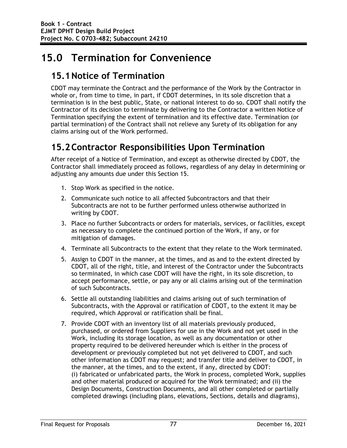# **15.0 Termination for Convenience**

# **15.1Notice of Termination**

CDOT may terminate the Contract and the performance of the Work by the Contractor in whole or, from time to time, in part, if CDOT determines, in its sole discretion that a termination is in the best public, State, or national interest to do so. CDOT shall notify the Contractor of its decision to terminate by delivering to the Contractor a written Notice of Termination specifying the extent of termination and its effective date. Termination (or partial termination) of the Contract shall not relieve any Surety of its obligation for any claims arising out of the Work performed.

# **15.2Contractor Responsibilities Upon Termination**

After receipt of a Notice of Termination, and except as otherwise directed by CDOT, the Contractor shall immediately proceed as follows, regardless of any delay in determining or adjusting any amounts due under this Section 15.

- 1. Stop Work as specified in the notice.
- 2. Communicate such notice to all affected Subcontractors and that their Subcontracts are not to be further performed unless otherwise authorized in writing by CDOT.
- 3. Place no further Subcontracts or orders for materials, services, or facilities, except as necessary to complete the continued portion of the Work, if any, or for mitigation of damages.
- 4. Terminate all Subcontracts to the extent that they relate to the Work terminated.
- 5. Assign to CDOT in the manner, at the times, and as and to the extent directed by CDOT, all of the right, title, and interest of the Contractor under the Subcontracts so terminated, in which case CDOT will have the right, in its sole discretion, to accept performance, settle, or pay any or all claims arising out of the termination of such Subcontracts.
- 6. Settle all outstanding liabilities and claims arising out of such termination of Subcontracts, with the Approval or ratification of CDOT, to the extent it may be required, which Approval or ratification shall be final.
- 7. Provide CDOT with an inventory list of all materials previously produced, purchased, or ordered from Suppliers for use in the Work and not yet used in the Work, including its storage location, as well as any documentation or other property required to be delivered hereunder which is either in the process of development or previously completed but not yet delivered to CDOT, and such other information as CDOT may request; and transfer title and deliver to CDOT, in the manner, at the times, and to the extent, if any, directed by CDOT: (i) fabricated or unfabricated parts, the Work in process, completed Work, supplies and other material produced or acquired for the Work terminated; and (ii) the Design Documents, Construction Documents, and all other completed or partially completed drawings (including plans, elevations, Sections, details and diagrams),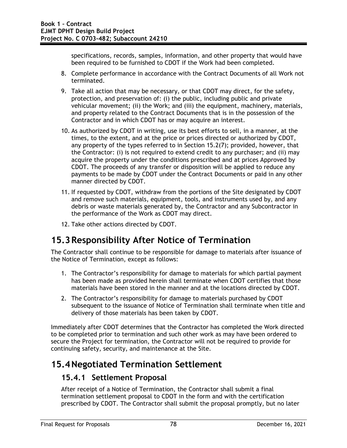specifications, records, samples, information, and other property that would have been required to be furnished to CDOT if the Work had been completed.

- 8. Complete performance in accordance with the Contract Documents of all Work not terminated.
- 9. Take all action that may be necessary, or that CDOT may direct, for the safety, protection, and preservation of: (i) the public, including public and private vehicular movement; (ii) the Work; and (iii) the equipment, machinery, materials, and property related to the Contract Documents that is in the possession of the Contractor and in which CDOT has or may acquire an interest.
- 10. As authorized by CDOT in writing, use its best efforts to sell, in a manner, at the times, to the extent, and at the price or prices directed or authorized by CDOT, any property of the types referred to in Section 15.2(7); provided, however, that the Contractor: (i) is not required to extend credit to any purchaser; and (ii) may acquire the property under the conditions prescribed and at prices Approved by CDOT. The proceeds of any transfer or disposition will be applied to reduce any payments to be made by CDOT under the Contract Documents or paid in any other manner directed by CDOT.
- 11. If requested by CDOT, withdraw from the portions of the Site designated by CDOT and remove such materials, equipment, tools, and instruments used by, and any debris or waste materials generated by, the Contractor and any Subcontractor in the performance of the Work as CDOT may direct.
- 12. Take other actions directed by CDOT.

# **15.3Responsibility After Notice of Termination**

The Contractor shall continue to be responsible for damage to materials after issuance of the Notice of Termination, except as follows:

- 1. The Contractor's responsibility for damage to materials for which partial payment has been made as provided herein shall terminate when CDOT certifies that those materials have been stored in the manner and at the locations directed by CDOT.
- 2. The Contractor's responsibility for damage to materials purchased by CDOT subsequent to the issuance of Notice of Termination shall terminate when title and delivery of those materials has been taken by CDOT.

Immediately after CDOT determines that the Contractor has completed the Work directed to be completed prior to termination and such other work as may have been ordered to secure the Project for termination, the Contractor will not be required to provide for continuing safety, security, and maintenance at the Site.

# **15.4Negotiated Termination Settlement**

## **15.4.1 Settlement Proposal**

After receipt of a Notice of Termination, the Contractor shall submit a final termination settlement proposal to CDOT in the form and with the certification prescribed by CDOT. The Contractor shall submit the proposal promptly, but no later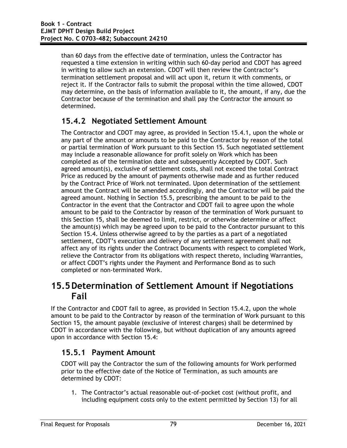than 60 days from the effective date of termination, unless the Contractor has requested a time extension in writing within such 60-day period and CDOT has agreed in writing to allow such an extension. CDOT will then review the Contractor's termination settlement proposal and will act upon it, return it with comments, or reject it. If the Contractor fails to submit the proposal within the time allowed, CDOT may determine, on the basis of information available to it, the amount, if any, due the Contractor because of the termination and shall pay the Contractor the amount so determined.

## **15.4.2 Negotiated Settlement Amount**

The Contractor and CDOT may agree, as provided in Section 15.4.1, upon the whole or any part of the amount or amounts to be paid to the Contractor by reason of the total or partial termination of Work pursuant to this Section 15. Such negotiated settlement may include a reasonable allowance for profit solely on Work which has been completed as of the termination date and subsequently Accepted by CDOT. Such agreed amount(s), exclusive of settlement costs, shall not exceed the total Contract Price as reduced by the amount of payments otherwise made and as further reduced by the Contract Price of Work not terminated. Upon determination of the settlement amount the Contract will be amended accordingly, and the Contractor will be paid the agreed amount. Nothing in Section 15.5, prescribing the amount to be paid to the Contractor in the event that the Contractor and CDOT fail to agree upon the whole amount to be paid to the Contractor by reason of the termination of Work pursuant to this Section 15, shall be deemed to limit, restrict, or otherwise determine or affect the amount(s) which may be agreed upon to be paid to the Contractor pursuant to this Section 15.4. Unless otherwise agreed to by the parties as a part of a negotiated settlement, CDOT's execution and delivery of any settlement agreement shall not affect any of its rights under the Contract Documents with respect to completed Work, relieve the Contractor from its obligations with respect thereto, including Warranties, or affect CDOT's rights under the Payment and Performance Bond as to such completed or non-terminated Work.

# **15.5Determination of Settlement Amount if Negotiations Fail**

If the Contractor and CDOT fail to agree, as provided in Section 15.4.2, upon the whole amount to be paid to the Contractor by reason of the termination of Work pursuant to this Section 15, the amount payable (exclusive of interest charges) shall be determined by CDOT in accordance with the following, but without duplication of any amounts agreed upon in accordance with Section 15.4:

## **15.5.1 Payment Amount**

CDOT will pay the Contractor the sum of the following amounts for Work performed prior to the effective date of the Notice of Termination, as such amounts are determined by CDOT:

1. The Contractor's actual reasonable out-of-pocket cost (without profit, and including equipment costs only to the extent permitted by Section 13) for all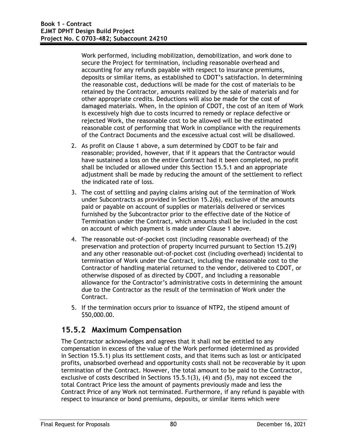Work performed, including mobilization, demobilization, and work done to secure the Project for termination, including reasonable overhead and accounting for any refunds payable with respect to insurance premiums, deposits or similar items, as established to CDOT's satisfaction. In determining the reasonable cost, deductions will be made for the cost of materials to be retained by the Contractor, amounts realized by the sale of materials and for other appropriate credits. Deductions will also be made for the cost of damaged materials. When, in the opinion of CDOT, the cost of an item of Work is excessively high due to costs incurred to remedy or replace defective or rejected Work, the reasonable cost to be allowed will be the estimated reasonable cost of performing that Work in compliance with the requirements of the Contract Documents and the excessive actual cost will be disallowed.

- 2. As profit on Clause 1 above, a sum determined by CDOT to be fair and reasonable; provided, however, that if it appears that the Contractor would have sustained a loss on the entire Contract had it been completed, no profit shall be included or allowed under this Section 15.5.1 and an appropriate adjustment shall be made by reducing the amount of the settlement to reflect the indicated rate of loss.
- 3. The cost of settling and paying claims arising out of the termination of Work under Subcontracts as provided in Section 15.2(6), exclusive of the amounts paid or payable on account of supplies or materials delivered or services furnished by the Subcontractor prior to the effective date of the Notice of Termination under the Contract, which amounts shall be included in the cost on account of which payment is made under Clause 1 above.
- 4. The reasonable out-of-pocket cost (including reasonable overhead) of the preservation and protection of property incurred pursuant to Section 15.2(9) and any other reasonable out-of-pocket cost (including overhead) incidental to termination of Work under the Contract, including the reasonable cost to the Contractor of handling material returned to the vendor, delivered to CDOT, or otherwise disposed of as directed by CDOT, and including a reasonable allowance for the Contractor's administrative costs in determining the amount due to the Contractor as the result of the termination of Work under the Contract.
- 5. If the termination occurs prior to issuance of NTP2, the stipend amount of \$50,000.00.

### **15.5.2 Maximum Compensation**

The Contractor acknowledges and agrees that it shall not be entitled to any compensation in excess of the value of the Work performed (determined as provided in Section 15.5.1) plus its settlement costs, and that items such as lost or anticipated profits, unabsorbed overhead and opportunity costs shall not be recoverable by it upon termination of the Contract. However, the total amount to be paid to the Contractor, exclusive of costs described in Sections 15.5.1(3), (4) and (5), may not exceed the total Contract Price less the amount of payments previously made and less the Contract Price of any Work not terminated. Furthermore, if any refund is payable with respect to insurance or bond premiums, deposits, or similar items which were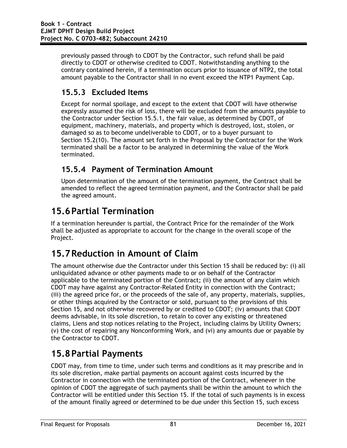previously passed through to CDOT by the Contractor, such refund shall be paid directly to CDOT or otherwise credited to CDOT. Notwithstanding anything to the contrary contained herein, if a termination occurs prior to issuance of NTP2, the total amount payable to the Contractor shall in no event exceed the NTP1 Payment Cap.

## **15.5.3 Excluded Items**

Except for normal spoilage, and except to the extent that CDOT will have otherwise expressly assumed the risk of loss, there will be excluded from the amounts payable to the Contractor under Section 15.5.1, the fair value, as determined by CDOT, of equipment, machinery, materials, and property which is destroyed, lost, stolen, or damaged so as to become undeliverable to CDOT, or to a buyer pursuant to Section 15.2(10). The amount set forth in the Proposal by the Contractor for the Work terminated shall be a factor to be analyzed in determining the value of the Work terminated.

## **15.5.4 Payment of Termination Amount**

Upon determination of the amount of the termination payment, the Contract shall be amended to reflect the agreed termination payment, and the Contractor shall be paid the agreed amount.

# **15.6Partial Termination**

If a termination hereunder is partial, the Contract Price for the remainder of the Work shall be adjusted as appropriate to account for the change in the overall scope of the Project.

# **15.7Reduction in Amount of Claim**

The amount otherwise due the Contractor under this Section 15 shall be reduced by: (i) all unliquidated advance or other payments made to or on behalf of the Contractor applicable to the terminated portion of the Contract; (ii) the amount of any claim which CDOT may have against any Contractor-Related Entity in connection with the Contract; (iii) the agreed price for, or the proceeds of the sale of, any property, materials, supplies, or other things acquired by the Contractor or sold, pursuant to the provisions of this Section 15, and not otherwise recovered by or credited to CDOT; (iv) amounts that CDOT deems advisable, in its sole discretion, to retain to cover any existing or threatened claims, Liens and stop notices relating to the Project, including claims by Utility Owners; (v) the cost of repairing any Nonconforming Work, and (vi) any amounts due or payable by the Contractor to CDOT.

# **15.8Partial Payments**

CDOT may, from time to time, under such terms and conditions as it may prescribe and in its sole discretion, make partial payments on account against costs incurred by the Contractor in connection with the terminated portion of the Contract, whenever in the opinion of CDOT the aggregate of such payments shall be within the amount to which the Contractor will be entitled under this Section 15. If the total of such payments is in excess of the amount finally agreed or determined to be due under this Section 15, such excess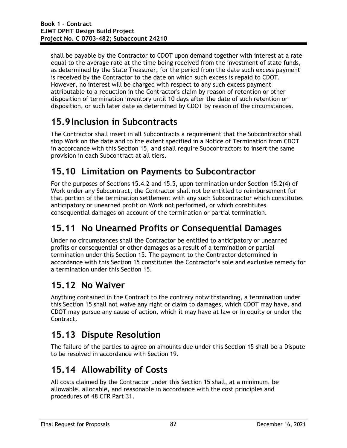shall be payable by the Contractor to CDOT upon demand together with interest at a rate equal to the average rate at the time being received from the investment of state funds, as determined by the State Treasurer, for the period from the date such excess payment is received by the Contractor to the date on which such excess is repaid to CDOT. However, no interest will be charged with respect to any such excess payment attributable to a reduction in the Contractor's claim by reason of retention or other disposition of termination inventory until 10 days after the date of such retention or disposition, or such later date as determined by CDOT by reason of the circumstances.

# **15.9Inclusion in Subcontracts**

The Contractor shall insert in all Subcontracts a requirement that the Subcontractor shall stop Work on the date and to the extent specified in a Notice of Termination from CDOT in accordance with this Section 15, and shall require Subcontractors to insert the same provision in each Subcontract at all tiers.

# **15.10 Limitation on Payments to Subcontractor**

For the purposes of Sections 15.4.2 and 15.5, upon termination under Section 15.2(4) of Work under any Subcontract, the Contractor shall not be entitled to reimbursement for that portion of the termination settlement with any such Subcontractor which constitutes anticipatory or unearned profit on Work not performed, or which constitutes consequential damages on account of the termination or partial termination.

# **15.11 No Unearned Profits or Consequential Damages**

Under no circumstances shall the Contractor be entitled to anticipatory or unearned profits or consequential or other damages as a result of a termination or partial termination under this Section 15. The payment to the Contractor determined in accordance with this Section 15 constitutes the Contractor's sole and exclusive remedy for a termination under this Section 15.

# **15.12 No Waiver**

Anything contained in the Contract to the contrary notwithstanding, a termination under this Section 15 shall not waive any right or claim to damages, which CDOT may have, and CDOT may pursue any cause of action, which it may have at law or in equity or under the Contract.

# **15.13 Dispute Resolution**

The failure of the parties to agree on amounts due under this Section 15 shall be a Dispute to be resolved in accordance with Section 19.

# **15.14 Allowability of Costs**

All costs claimed by the Contractor under this Section 15 shall, at a minimum, be allowable, allocable, and reasonable in accordance with the cost principles and procedures of 48 CFR Part 31.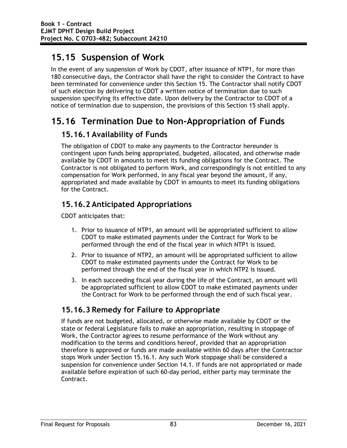# **15.15 Suspension of Work**

In the event of any suspension of Work by CDOT, after issuance of NTP1, for more than 180 consecutive days, the Contractor shall have the right to consider the Contract to have been terminated for convenience under this Section 15. The Contractor shall notify CDOT of such election by delivering to CDOT a written notice of termination due to such suspension specifying its effective date. Upon delivery by the Contractor to CDOT of a notice of termination due to suspension, the provisions of this Section 15 shall apply.

# **15.16 Termination Due to Non-Appropriation of Funds**

## **15.16.1 Availability of Funds**

The obligation of CDOT to make any payments to the Contractor hereunder is contingent upon funds being appropriated, budgeted, allocated, and otherwise made available by CDOT in amounts to meet its funding obligations for the Contract. The Contractor is not obligated to perform Work, and correspondingly is not entitled to any compensation for Work performed, in any fiscal year beyond the amount, if any, appropriated and made available by CDOT in amounts to meet its funding obligations for the Contract.

# **15.16.2 Anticipated Appropriations**

CDOT anticipates that:

- 1. Prior to issuance of NTP1, an amount will be appropriated sufficient to allow CDOT to make estimated payments under the Contract for Work to be performed through the end of the fiscal year in which NTP1 is issued.
- 2. Prior to issuance of NTP2, an amount will be appropriated sufficient to allow CDOT to make estimated payments under the Contract for Work to be performed through the end of the fiscal year in which NTP2 is issued.
- 3. In each succeeding fiscal year during the life of the Contract, an amount will be appropriated sufficient to allow CDOT to make estimated payments under the Contract for Work to be performed through the end of such fiscal year.

# **15.16.3 Remedy for Failure to Appropriate**

If funds are not budgeted, allocated, or otherwise made available by CDOT or the state or federal Legislature fails to make an appropriation, resulting in stoppage of Work, the Contractor agrees to resume performance of the Work without any modification to the terms and conditions hereof, provided that an appropriation therefore is approved or funds are made available within 60 days after the Contractor stops Work under Section 15.16.1. Any such Work stoppage shall be considered a suspension for convenience under Section 14.1. If funds are not appropriated or made available before expiration of such 60-day period, either party may terminate the Contract.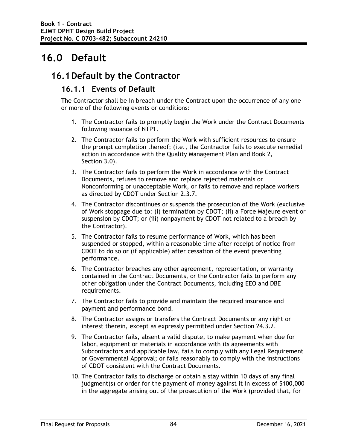# **16.0 Default**

## **16.1Default by the Contractor**

### **16.1.1 Events of Default**

The Contractor shall be in breach under the Contract upon the occurrence of any one or more of the following events or conditions:

- 1. The Contractor fails to promptly begin the Work under the Contract Documents following issuance of NTP1.
- 2. The Contractor fails to perform the Work with sufficient resources to ensure the prompt completion thereof; (i.e., the Contractor fails to execute remedial action in accordance with the Quality Management Plan and Book 2, Section 3.0).
- 3. The Contractor fails to perform the Work in accordance with the Contract Documents, refuses to remove and replace rejected materials or Nonconforming or unacceptable Work, or fails to remove and replace workers as directed by CDOT under Section 2.3.7.
- 4. The Contractor discontinues or suspends the prosecution of the Work (exclusive of Work stoppage due to: (i) termination by CDOT; (ii) a Force Majeure event or suspension by CDOT; or (iii) nonpayment by CDOT not related to a breach by the Contractor).
- 5. The Contractor fails to resume performance of Work, which has been suspended or stopped, within a reasonable time after receipt of notice from CDOT to do so or (if applicable) after cessation of the event preventing performance.
- 6. The Contractor breaches any other agreement, representation, or warranty contained in the Contract Documents, or the Contractor fails to perform any other obligation under the Contract Documents, including EEO and DBE requirements.
- 7. The Contractor fails to provide and maintain the required insurance and payment and performance bond.
- 8. The Contractor assigns or transfers the Contract Documents or any right or interest therein, except as expressly permitted under Section 24.3.2.
- 9. The Contractor fails, absent a valid dispute, to make payment when due for labor, equipment or materials in accordance with its agreements with Subcontractors and applicable law, fails to comply with any Legal Requirement or Governmental Approval; or fails reasonably to comply with the instructions of CDOT consistent with the Contract Documents.
- 10. The Contractor fails to discharge or obtain a stay within 10 days of any final judgment(s) or order for the payment of money against it in excess of \$100,000 in the aggregate arising out of the prosecution of the Work (provided that, for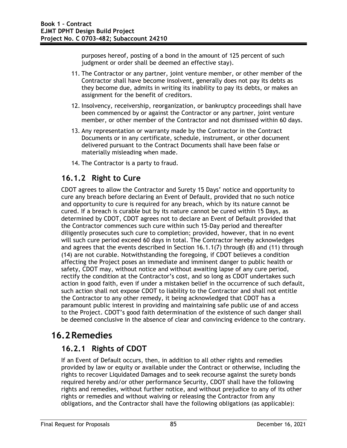purposes hereof, posting of a bond in the amount of 125 percent of such judgment or order shall be deemed an effective stay).

- 11. The Contractor or any partner, joint venture member, or other member of the Contractor shall have become insolvent, generally does not pay its debts as they become due, admits in writing its inability to pay its debts, or makes an assignment for the benefit of creditors.
- 12. Insolvency, receivership, reorganization, or bankruptcy proceedings shall have been commenced by or against the Contractor or any partner, joint venture member, or other member of the Contractor and not dismissed within 60 days.
- 13. Any representation or warranty made by the Contractor in the Contract Documents or in any certificate, schedule, instrument, or other document delivered pursuant to the Contract Documents shall have been false or materially misleading when made.
- 14. The Contractor is a party to fraud.

## **16.1.2 Right to Cure**

CDOT agrees to allow the Contractor and Surety 15 Days' notice and opportunity to cure any breach before declaring an Event of Default, provided that no such notice and opportunity to cure is required for any breach, which by its nature cannot be cured. If a breach is curable but by its nature cannot be cured within 15 Days, as determined by CDOT, CDOT agrees not to declare an Event of Default provided that the Contractor commences such cure within such 15-Day period and thereafter diligently prosecutes such cure to completion; provided, however, that in no event will such cure period exceed 60 days in total. The Contractor hereby acknowledges and agrees that the events described in Section 16.1.1(7) through (8) and (11) through (14) are not curable. Notwithstanding the foregoing, if CDOT believes a condition affecting the Project poses an immediate and imminent danger to public health or safety, CDOT may, without notice and without awaiting lapse of any cure period, rectify the condition at the Contractor's cost, and so long as CDOT undertakes such action in good faith, even if under a mistaken belief in the occurrence of such default, such action shall not expose CDOT to liability to the Contractor and shall not entitle the Contractor to any other remedy, it being acknowledged that CDOT has a paramount public interest in providing and maintaining safe public use of and access to the Project. CDOT's good faith determination of the existence of such danger shall be deemed conclusive in the absence of clear and convincing evidence to the contrary.

# **16.2Remedies**

### **16.2.1 Rights of CDOT**

If an Event of Default occurs, then, in addition to all other rights and remedies provided by law or equity or available under the Contract or otherwise, including the rights to recover Liquidated Damages and to seek recourse against the surety bonds required hereby and/or other performance Security, CDOT shall have the following rights and remedies, without further notice, and without prejudice to any of its other rights or remedies and without waiving or releasing the Contractor from any obligations, and the Contractor shall have the following obligations (as applicable):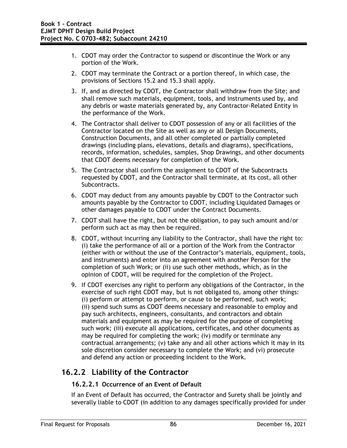- 1. CDOT may order the Contractor to suspend or discontinue the Work or any portion of the Work.
- 2. CDOT may terminate the Contract or a portion thereof, in which case, the provisions of Sections 15.2 and 15.3 shall apply.
- 3. If, and as directed by CDOT, the Contractor shall withdraw from the Site; and shall remove such materials, equipment, tools, and instruments used by, and any debris or waste materials generated by, any Contractor-Related Entity in the performance of the Work.
- 4. The Contractor shall deliver to CDOT possession of any or all facilities of the Contractor located on the Site as well as any or all Design Documents, Construction Documents, and all other completed or partially completed drawings (including plans, elevations, details and diagrams), specifications, records, information, schedules, samples, Shop Drawings, and other documents that CDOT deems necessary for completion of the Work.
- 5. The Contractor shall confirm the assignment to CDOT of the Subcontracts requested by CDOT, and the Contractor shall terminate, at its cost, all other Subcontracts.
- 6. CDOT may deduct from any amounts payable by CDOT to the Contractor such amounts payable by the Contractor to CDOT, including Liquidated Damages or other damages payable to CDOT under the Contract Documents.
- 7. CDOT shall have the right, but not the obligation, to pay such amount and/or perform such act as may then be required.
- 8. CDOT, without incurring any liability to the Contractor, shall have the right to: (i) take the performance of all or a portion of the Work from the Contractor (either with or without the use of the Contractor's materials, equipment, tools, and instruments) and enter into an agreement with another Person for the completion of such Work; or (ii) use such other methods, which, as in the opinion of CDOT, will be required for the completion of the Project.
- 9. If CDOT exercises any right to perform any obligations of the Contractor, in the exercise of such right CDOT may, but is not obligated to, among other things: (i) perform or attempt to perform, or cause to be performed, such work; (ii) spend such sums as CDOT deems necessary and reasonable to employ and pay such architects, engineers, consultants, and contractors and obtain materials and equipment as may be required for the purpose of completing such work; (iii) execute all applications, certificates, and other documents as may be required for completing the work; (iv) modify or terminate any contractual arrangements; (v) take any and all other actions which it may in its sole discretion consider necessary to complete the Work; and (vi) prosecute and defend any action or proceeding incident to the Work.

## **16.2.2 Liability of the Contractor**

### **16.2.2.1 Occurrence of an Event of Default**

If an Event of Default has occurred, the Contractor and Surety shall be jointly and severally liable to CDOT (in addition to any damages specifically provided for under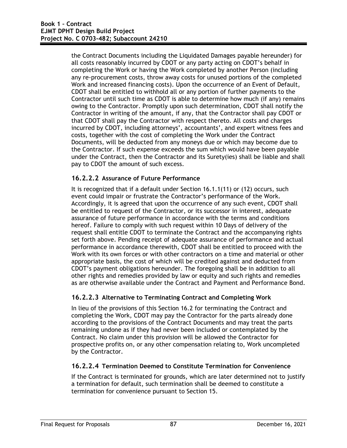the Contract Documents including the Liquidated Damages payable hereunder) for all costs reasonably incurred by CDOT or any party acting on CDOT's behalf in completing the Work or having the Work completed by another Person (including any re-procurement costs, throw away costs for unused portions of the completed Work and increased financing costs). Upon the occurrence of an Event of Default, CDOT shall be entitled to withhold all or any portion of further payments to the Contractor until such time as CDOT is able to determine how much (if any) remains owing to the Contractor. Promptly upon such determination, CDOT shall notify the Contractor in writing of the amount, if any, that the Contractor shall pay CDOT or that CDOT shall pay the Contractor with respect thereto. All costs and charges incurred by CDOT, including attorneys', accountants', and expert witness fees and costs, together with the cost of completing the Work under the Contract Documents, will be deducted from any moneys due or which may become due to the Contractor. If such expense exceeds the sum which would have been payable under the Contract, then the Contractor and its Surety(ies) shall be liable and shall pay to CDOT the amount of such excess.

### **16.2.2.2 Assurance of Future Performance**

It is recognized that if a default under Section 16.1.1(11) or (12) occurs, such event could impair or frustrate the Contractor's performance of the Work. Accordingly, it is agreed that upon the occurrence of any such event, CDOT shall be entitled to request of the Contractor, or its successor in interest, adequate assurance of future performance in accordance with the terms and conditions hereof. Failure to comply with such request within 10 Days of delivery of the request shall entitle CDOT to terminate the Contract and the accompanying rights set forth above. Pending receipt of adequate assurance of performance and actual performance in accordance therewith, CDOT shall be entitled to proceed with the Work with its own forces or with other contractors on a time and material or other appropriate basis, the cost of which will be credited against and deducted from CDOT's payment obligations hereunder. The foregoing shall be in addition to all other rights and remedies provided by law or equity and such rights and remedies as are otherwise available under the Contract and Payment and Performance Bond.

#### **16.2.2.3 Alternative to Terminating Contract and Completing Work**

In lieu of the provisions of this Section 16.2 for terminating the Contract and completing the Work, CDOT may pay the Contractor for the parts already done according to the provisions of the Contract Documents and may treat the parts remaining undone as if they had never been included or contemplated by the Contract. No claim under this provision will be allowed the Contractor for prospective profits on, or any other compensation relating to, Work uncompleted by the Contractor.

#### **16.2.2.4 Termination Deemed to Constitute Termination for Convenience**

If the Contract is terminated for grounds, which are later determined not to justify a termination for default, such termination shall be deemed to constitute a termination for convenience pursuant to Section 15.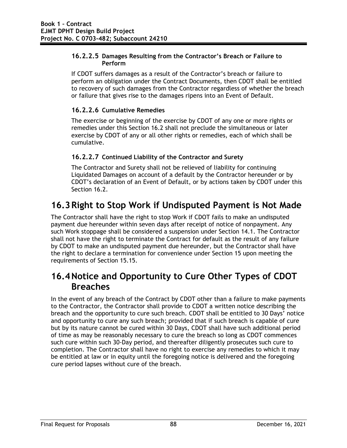#### **16.2.2.5 Damages Resulting from the Contractor's Breach or Failure to Perform**

If CDOT suffers damages as a result of the Contractor's breach or failure to perform an obligation under the Contract Documents, then CDOT shall be entitled to recovery of such damages from the Contractor regardless of whether the breach or failure that gives rise to the damages ripens into an Event of Default.

#### **16.2.2.6 Cumulative Remedies**

The exercise or beginning of the exercise by CDOT of any one or more rights or remedies under this Section 16.2 shall not preclude the simultaneous or later exercise by CDOT of any or all other rights or remedies, each of which shall be cumulative.

### **16.2.2.7 Continued Liability of the Contractor and Surety**

The Contractor and Surety shall not be relieved of liability for continuing Liquidated Damages on account of a default by the Contractor hereunder or by CDOT's declaration of an Event of Default, or by actions taken by CDOT under this Section 16.2.

# **16.3Right to Stop Work if Undisputed Payment is Not Made**

The Contractor shall have the right to stop Work if CDOT fails to make an undisputed payment due hereunder within seven days after receipt of notice of nonpayment. Any such Work stoppage shall be considered a suspension under Section 14.1. The Contractor shall not have the right to terminate the Contract for default as the result of any failure by CDOT to make an undisputed payment due hereunder, but the Contractor shall have the right to declare a termination for convenience under Section 15 upon meeting the requirements of Section 15.15.

## **16.4Notice and Opportunity to Cure Other Types of CDOT Breaches**

In the event of any breach of the Contract by CDOT other than a failure to make payments to the Contractor, the Contractor shall provide to CDOT a written notice describing the breach and the opportunity to cure such breach. CDOT shall be entitled to 30 Days' notice and opportunity to cure any such breach; provided that if such breach is capable of cure but by its nature cannot be cured within 30 Days, CDOT shall have such additional period of time as may be reasonably necessary to cure the breach so long as CDOT commences such cure within such 30-Day period, and thereafter diligently prosecutes such cure to completion. The Contractor shall have no right to exercise any remedies to which it may be entitled at law or in equity until the foregoing notice is delivered and the foregoing cure period lapses without cure of the breach.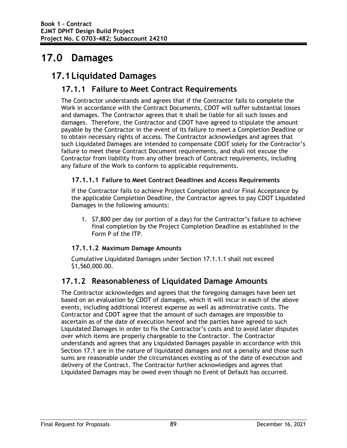# **17.0 Damages**

# **17.1Liquidated Damages**

### **17.1.1 Failure to Meet Contract Requirements**

The Contractor understands and agrees that if the Contractor fails to complete the Work in accordance with the Contract Documents, CDOT will suffer substantial losses and damages. The Contractor agrees that it shall be liable for all such losses and damages. Therefore, the Contractor and CDOT have agreed to stipulate the amount payable by the Contractor in the event of its failure to meet a Completion Deadline or to obtain necessary rights of access. The Contractor acknowledges and agrees that such Liquidated Damages are intended to compensate CDOT solely for the Contractor's failure to meet these Contract Document requirements, and shall not excuse the Contractor from liability from any other breach of Contract requirements, including any failure of the Work to conform to applicable requirements.

#### **17.1.1.1 Failure to Meet Contract Deadlines and Access Requirements**

If the Contractor fails to achieve Project Completion and/or Final Acceptance by the applicable Completion Deadline, the Contractor agrees to pay CDOT Liquidated Damages in the following amounts:

1. \$7,800 per day (or portion of a day) for the Contractor's failure to achieve final completion by the Project Completion Deadline as established in the Form P of the ITP.

#### **17.1.1.2 Maximum Damage Amounts**

Cumulative Liquidated Damages under Section 17.1.1.1 shall not exceed \$1,560,000.00.

### **17.1.2 Reasonableness of Liquidated Damage Amounts**

The Contractor acknowledges and agrees that the foregoing damages have been set based on an evaluation by CDOT of damages, which it will incur in each of the above events, including additional interest expense as well as administrative costs. The Contractor and CDOT agree that the amount of such damages are impossible to ascertain as of the date of execution hereof and the parties have agreed to such Liquidated Damages in order to fix the Contractor's costs and to avoid later disputes over which items are properly chargeable to the Contractor. The Contractor understands and agrees that any Liquidated Damages payable in accordance with this Section 17.1 are in the nature of liquidated damages and not a penalty and those such sums are reasonable under the circumstances existing as of the date of execution and delivery of the Contract. The Contractor further acknowledges and agrees that Liquidated Damages may be owed even though no Event of Default has occurred.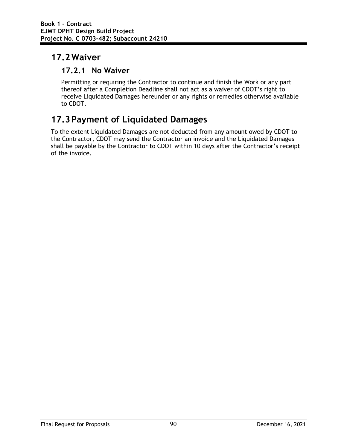# **17.2Waiver**

### **17.2.1 No Waiver**

Permitting or requiring the Contractor to continue and finish the Work or any part thereof after a Completion Deadline shall not act as a waiver of CDOT's right to receive Liquidated Damages hereunder or any rights or remedies otherwise available to CDOT.

# **17.3Payment of Liquidated Damages**

To the extent Liquidated Damages are not deducted from any amount owed by CDOT to the Contractor, CDOT may send the Contractor an invoice and the Liquidated Damages shall be payable by the Contractor to CDOT within 10 days after the Contractor's receipt of the invoice.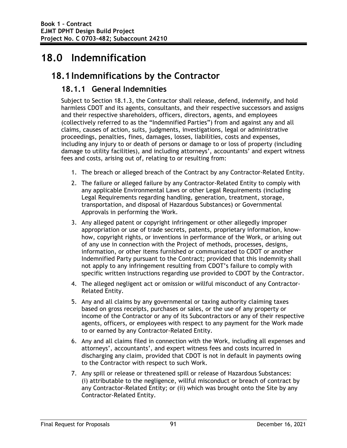# **18.0 Indemnification**

## **18.1Indemnifications by the Contractor**

### **18.1.1 General Indemnities**

Subject to Section 18.1.3, the Contractor shall release, defend, indemnify, and hold harmless CDOT and its agents, consultants, and their respective successors and assigns and their respective shareholders, officers, directors, agents, and employees (collectively referred to as the "Indemnified Parties") from and against any and all claims, causes of action, suits, judgments, investigations, legal or administrative proceedings, penalties, fines, damages, losses, liabilities, costs and expenses, including any injury to or death of persons or damage to or loss of property (including damage to utility facilities), and including attorneys', accountants' and expert witness fees and costs, arising out of, relating to or resulting from:

- 1. The breach or alleged breach of the Contract by any Contractor-Related Entity.
- 2. The failure or alleged failure by any Contractor-Related Entity to comply with any applicable Environmental Laws or other Legal Requirements (including Legal Requirements regarding handling, generation, treatment, storage, transportation, and disposal of Hazardous Substances) or Governmental Approvals in performing the Work.
- 3. Any alleged patent or copyright infringement or other allegedly improper appropriation or use of trade secrets, patents, proprietary information, knowhow, copyright rights, or inventions in performance of the Work, or arising out of any use in connection with the Project of methods, processes, designs, information, or other items furnished or communicated to CDOT or another Indemnified Party pursuant to the Contract; provided that this indemnity shall not apply to any infringement resulting from CDOT's failure to comply with specific written instructions regarding use provided to CDOT by the Contractor.
- 4. The alleged negligent act or omission or willful misconduct of any Contractor-Related Entity.
- 5. Any and all claims by any governmental or taxing authority claiming taxes based on gross receipts, purchases or sales, or the use of any property or income of the Contractor or any of its Subcontractors or any of their respective agents, officers, or employees with respect to any payment for the Work made to or earned by any Contractor-Related Entity.
- 6. Any and all claims filed in connection with the Work, including all expenses and attorneys', accountants', and expert witness fees and costs incurred in discharging any claim, provided that CDOT is not in default in payments owing to the Contractor with respect to such Work.
- 7. Any spill or release or threatened spill or release of Hazardous Substances: (i) attributable to the negligence, willful misconduct or breach of contract by any Contractor-Related Entity; or (ii) which was brought onto the Site by any Contractor-Related Entity.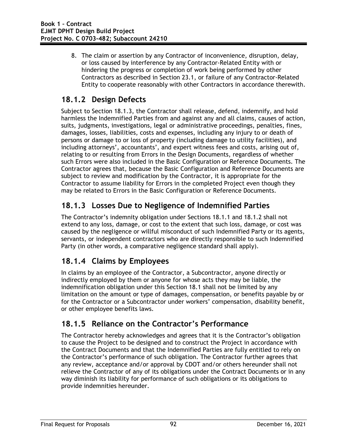8. The claim or assertion by any Contractor of inconvenience, disruption, delay, or loss caused by interference by any Contractor-Related Entity with or hindering the progress or completion of work being performed by other Contractors as described in Section 23.1, or failure of any Contractor-Related Entity to cooperate reasonably with other Contractors in accordance therewith.

## **18.1.2 Design Defects**

Subject to Section 18.1.3, the Contractor shall release, defend, indemnify, and hold harmless the Indemnified Parties from and against any and all claims, causes of action, suits, judgments, investigations, legal or administrative proceedings, penalties, fines, damages, losses, liabilities, costs and expenses, including any injury to or death of persons or damage to or loss of property (including damage to utility facilities), and including attorneys', accountants', and expert witness fees and costs, arising out of, relating to or resulting from Errors in the Design Documents, regardless of whether such Errors were also included in the Basic Configuration or Reference Documents. The Contractor agrees that, because the Basic Configuration and Reference Documents are subject to review and modification by the Contractor, it is appropriate for the Contractor to assume liability for Errors in the completed Project even though they may be related to Errors in the Basic Configuration or Reference Documents.

### **18.1.3 Losses Due to Negligence of Indemnified Parties**

The Contractor's indemnity obligation under Sections 18.1.1 and 18.1.2 shall not extend to any loss, damage, or cost to the extent that such loss, damage, or cost was caused by the negligence or willful misconduct of such Indemnified Party or its agents, servants, or independent contractors who are directly responsible to such Indemnified Party (in other words, a comparative negligence standard shall apply).

### **18.1.4 Claims by Employees**

In claims by an employee of the Contractor, a Subcontractor, anyone directly or indirectly employed by them or anyone for whose acts they may be liable, the indemnification obligation under this Section 18.1 shall not be limited by any limitation on the amount or type of damages, compensation, or benefits payable by or for the Contractor or a Subcontractor under workers' compensation, disability benefit, or other employee benefits laws.

### **18.1.5 Reliance on the Contractor's Performance**

The Contractor hereby acknowledges and agrees that it is the Contractor's obligation to cause the Project to be designed and to construct the Project in accordance with the Contract Documents and that the Indemnified Parties are fully entitled to rely on the Contractor's performance of such obligation. The Contractor further agrees that any review, acceptance and/or approval by CDOT and/or others hereunder shall not relieve the Contractor of any of its obligations under the Contract Documents or in any way diminish its liability for performance of such obligations or its obligations to provide indemnities hereunder.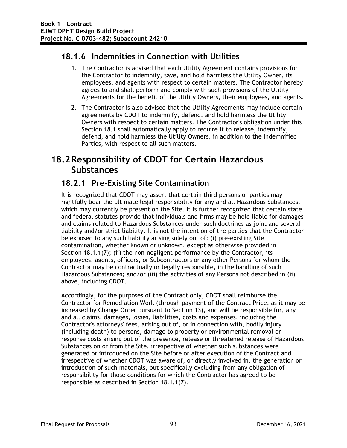## **18.1.6 Indemnities in Connection with Utilities**

- 1. The Contractor is advised that each Utility Agreement contains provisions for the Contractor to indemnify, save, and hold harmless the Utility Owner, its employees, and agents with respect to certain matters. The Contractor hereby agrees to and shall perform and comply with such provisions of the Utility Agreements for the benefit of the Utility Owners, their employees, and agents.
- 2. The Contractor is also advised that the Utility Agreements may include certain agreements by CDOT to indemnify, defend, and hold harmless the Utility Owners with respect to certain matters. The Contractor's obligation under this Section 18.1 shall automatically apply to require it to release, indemnify, defend, and hold harmless the Utility Owners, in addition to the Indemnified Parties, with respect to all such matters.

# **18.2Responsibility of CDOT for Certain Hazardous Substances**

## **18.2.1 Pre-Existing Site Contamination**

It is recognized that CDOT may assert that certain third persons or parties may rightfully bear the ultimate legal responsibility for any and all Hazardous Substances, which may currently be present on the Site. It is further recognized that certain state and federal statutes provide that individuals and firms may be held liable for damages and claims related to Hazardous Substances under such doctrines as joint and several liability and/or strict liability. It is not the intention of the parties that the Contractor be exposed to any such liability arising solely out of: (i) pre-existing Site contamination, whether known or unknown, except as otherwise provided in Section 18.1.1(7); (ii) the non-negligent performance by the Contractor, its employees, agents, officers, or Subcontractors or any other Persons for whom the Contractor may be contractually or legally responsible, in the handling of such Hazardous Substances; and/or (iii) the activities of any Persons not described in (ii) above, including CDOT.

Accordingly, for the purposes of the Contract only, CDOT shall reimburse the Contractor for Remediation Work (through payment of the Contract Price, as it may be increased by Change Order pursuant to Section 13), and will be responsible for, any and all claims, damages, losses, liabilities, costs and expenses, including the Contractor's attorneys' fees, arising out of, or in connection with, bodily injury (including death) to persons, damage to property or environmental removal or response costs arising out of the presence, release or threatened release of Hazardous Substances on or from the Site, irrespective of whether such substances were generated or introduced on the Site before or after execution of the Contract and irrespective of whether CDOT was aware of, or directly involved in, the generation or introduction of such materials, but specifically excluding from any obligation of responsibility for those conditions for which the Contractor has agreed to be responsible as described in Section 18.1.1(7).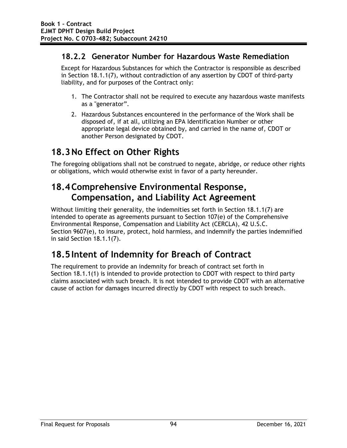### **18.2.2 Generator Number for Hazardous Waste Remediation**

Except for Hazardous Substances for which the Contractor is responsible as described in Section 18.1.1(7), without contradiction of any assertion by CDOT of third-party liability, and for purposes of the Contract only:

- 1. The Contractor shall not be required to execute any hazardous waste manifests as a "generator".
- 2. Hazardous Substances encountered in the performance of the Work shall be disposed of, if at all, utilizing an EPA Identification Number or other appropriate legal device obtained by, and carried in the name of, CDOT or another Person designated by CDOT.

# **18.3No Effect on Other Rights**

The foregoing obligations shall not be construed to negate, abridge, or reduce other rights or obligations, which would otherwise exist in favor of a party hereunder.

# **18.4Comprehensive Environmental Response, Compensation, and Liability Act Agreement**

Without limiting their generality, the indemnities set forth in Section 18.1.1(7) are intended to operate as agreements pursuant to Section 107(e) of the Comprehensive Environmental Response, Compensation and Liability Act (CERCLA), 42 U.S.C. Section 9607(e), to insure, protect, hold harmless, and indemnify the parties indemnified in said Section 18.1.1(7).

# **18.5Intent of Indemnity for Breach of Contract**

The requirement to provide an indemnity for breach of contract set forth in Section 18.1.1(1) is intended to provide protection to CDOT with respect to third party claims associated with such breach. It is not intended to provide CDOT with an alternative cause of action for damages incurred directly by CDOT with respect to such breach.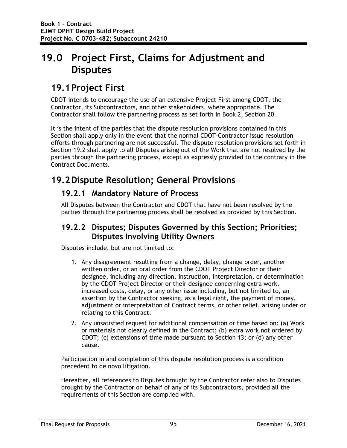# **19.0 Project First, Claims for Adjustment and Disputes**

## **19.1Project First**

CDOT intends to encourage the use of an extensive Project First among CDOT, the Contractor, its Subcontractors, and other stakeholders, where appropriate. The Contractor shall follow the partnering process as set forth in Book 2, Section 20.

It is the intent of the parties that the dispute resolution provisions contained in this Section shall apply only in the event that the normal CDOT-Contractor issue resolution efforts through partnering are not successful. The dispute resolution provisions set forth in Section 19.2 shall apply to all Disputes arising out of the Work that are not resolved by the parties through the partnering process, except as expressly provided to the contrary in the Contract Documents.

## **19.2Dispute Resolution; General Provisions**

#### **19.2.1 Mandatory Nature of Process**

All Disputes between the Contractor and CDOT that have not been resolved by the parties through the partnering process shall be resolved as provided by this Section.

#### **19.2.2 Disputes; Disputes Governed by this Section; Priorities; Disputes Involving Utility Owners**

Disputes include, but are not limited to:

- 1. Any disagreement resulting from a change, delay, change order, another written order, or an oral order from the CDOT Project Director or their designee, including any direction, instruction, interpretation, or determination by the CDOT Project Director or their designee concerning extra work, increased costs, delay, or any other issue including, but not limited to, an assertion by the Contractor seeking, as a legal right, the payment of money, adjustment or interpretation of Contract terms, or other relief, arising under or relating to this Contract.
- 2. Any unsatisfied request for additional compensation or time based on: (a) Work or materials not clearly defined in the Contract; (b) extra work not ordered by CDOT; (c) extensions of time made pursuant to Section 13; or (d) any other cause.

Participation in and completion of this dispute resolution process is a condition precedent to de novo litigation.

Hereafter, all references to Disputes brought by the Contractor refer also to Disputes brought by the Contractor on behalf of any of its Subcontractors, provided all the requirements of this Section are complied with.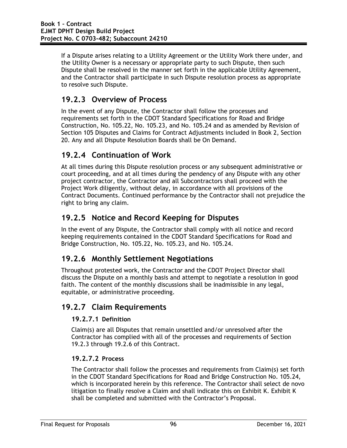If a Dispute arises relating to a Utility Agreement or the Utility Work there under, and the Utility Owner is a necessary or appropriate party to such Dispute, then such Dispute shall be resolved in the manner set forth in the applicable Utility Agreement, and the Contractor shall participate in such Dispute resolution process as appropriate to resolve such Dispute.

### **19.2.3 Overview of Process**

In the event of any Dispute, the Contractor shall follow the processes and requirements set forth in the CDOT Standard Specifications for Road and Bridge Construction, No. 105.22, No. 105.23, and No. 105.24 and as amended by Revision of Section 105 Disputes and Claims for Contract Adjustments included in Book 2, Section 20. Any and all Dispute Resolution Boards shall be On Demand.

### **19.2.4 Continuation of Work**

At all times during this Dispute resolution process or any subsequent administrative or court proceeding, and at all times during the pendency of any Dispute with any other project contractor, the Contractor and all Subcontractors shall proceed with the Project Work diligently, without delay, in accordance with all provisions of the Contract Documents. Continued performance by the Contractor shall not prejudice the right to bring any claim.

### **19.2.5 Notice and Record Keeping for Disputes**

In the event of any Dispute, the Contractor shall comply with all notice and record keeping requirements contained in the CDOT Standard Specifications for Road and Bridge Construction, No. 105.22, No. 105.23, and No. 105.24.

### **19.2.6 Monthly Settlement Negotiations**

Throughout protested work, the Contractor and the CDOT Project Director shall discuss the Dispute on a monthly basis and attempt to negotiate a resolution in good faith. The content of the monthly discussions shall be inadmissible in any legal, equitable, or administrative proceeding.

#### **19.2.7 Claim Requirements**

#### **19.2.7.1 Definition**

Claim(s) are all Disputes that remain unsettled and/or unresolved after the Contractor has complied with all of the processes and requirements of Section 19.2.3 through 19.2.6 of this Contract.

#### **19.2.7.2 Process**

The Contractor shall follow the processes and requirements from Claim(s) set forth in the CDOT Standard Specifications for Road and Bridge Construction No. 105.24, which is incorporated herein by this reference. The Contractor shall select de novo litigation to finally resolve a Claim and shall indicate this on Exhibit K. Exhibit K shall be completed and submitted with the Contractor's Proposal.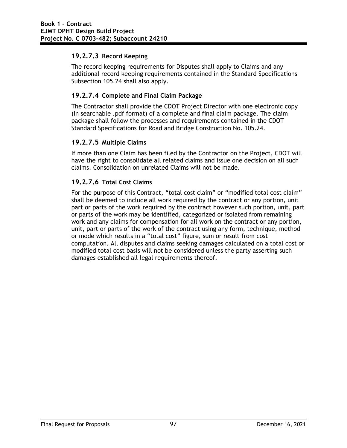#### **19.2.7.3 Record Keeping**

The record keeping requirements for Disputes shall apply to Claims and any additional record keeping requirements contained in the Standard Specifications Subsection 105.24 shall also apply.

#### **19.2.7.4 Complete and Final Claim Package**

The Contractor shall provide the CDOT Project Director with one electronic copy (in searchable .pdf format) of a complete and final claim package. The claim package shall follow the processes and requirements contained in the CDOT Standard Specifications for Road and Bridge Construction No. 105.24.

#### **19.2.7.5 Multiple Claims**

If more than one Claim has been filed by the Contractor on the Project, CDOT will have the right to consolidate all related claims and issue one decision on all such claims. Consolidation on unrelated Claims will not be made.

#### **19.2.7.6 Total Cost Claims**

For the purpose of this Contract, "total cost claim" or "modified total cost claim" shall be deemed to include all work required by the contract or any portion, unit part or parts of the work required by the contract however such portion, unit, part or parts of the work may be identified, categorized or isolated from remaining work and any claims for compensation for all work on the contract or any portion, unit, part or parts of the work of the contract using any form, technique, method or mode which results in a "total cost" figure, sum or result from cost computation. All disputes and claims seeking damages calculated on a total cost or modified total cost basis will not be considered unless the party asserting such damages established all legal requirements thereof.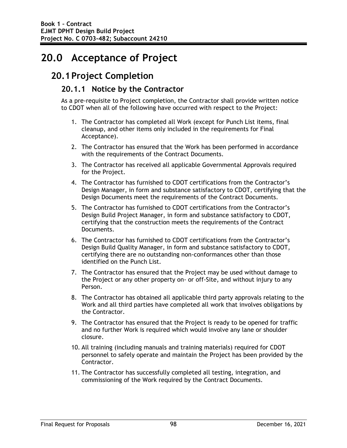# **20.0 Acceptance of Project**

## **20.1Project Completion**

#### **20.1.1 Notice by the Contractor**

As a pre-requisite to Project completion, the Contractor shall provide written notice to CDOT when all of the following have occurred with respect to the Project:

- 1. The Contractor has completed all Work (except for Punch List items, final cleanup, and other items only included in the requirements for Final Acceptance).
- 2. The Contractor has ensured that the Work has been performed in accordance with the requirements of the Contract Documents.
- 3. The Contractor has received all applicable Governmental Approvals required for the Project.
- 4. The Contractor has furnished to CDOT certifications from the Contractor's Design Manager, in form and substance satisfactory to CDOT, certifying that the Design Documents meet the requirements of the Contract Documents.
- 5. The Contractor has furnished to CDOT certifications from the Contractor's Design Build Project Manager, in form and substance satisfactory to CDOT, certifying that the construction meets the requirements of the Contract Documents.
- 6. The Contractor has furnished to CDOT certifications from the Contractor's Design Build Quality Manager, in form and substance satisfactory to CDOT, certifying there are no outstanding non-conformances other than those identified on the Punch List.
- 7. The Contractor has ensured that the Project may be used without damage to the Project or any other property on- or off-Site, and without injury to any Person.
- 8. The Contractor has obtained all applicable third party approvals relating to the Work and all third parties have completed all work that involves obligations by the Contractor.
- 9. The Contractor has ensured that the Project is ready to be opened for traffic and no further Work is required which would involve any lane or shoulder closure.
- 10. All training (including manuals and training materials) required for CDOT personnel to safely operate and maintain the Project has been provided by the Contractor.
- 11. The Contractor has successfully completed all testing, integration, and commissioning of the Work required by the Contract Documents.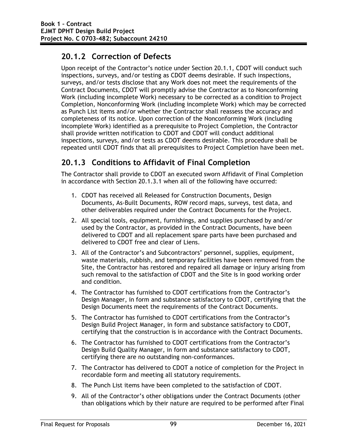### **20.1.2 Correction of Defects**

Upon receipt of the Contractor's notice under Section 20.1.1, CDOT will conduct such inspections, surveys, and/or testing as CDOT deems desirable. If such inspections, surveys, and/or tests disclose that any Work does not meet the requirements of the Contract Documents, CDOT will promptly advise the Contractor as to Nonconforming Work (including incomplete Work) necessary to be corrected as a condition to Project Completion, Nonconforming Work (including incomplete Work) which may be corrected as Punch List items and/or whether the Contractor shall reassess the accuracy and completeness of its notice. Upon correction of the Nonconforming Work (including incomplete Work) identified as a prerequisite to Project Completion, the Contractor shall provide written notification to CDOT and CDOT will conduct additional inspections, surveys, and/or tests as CDOT deems desirable. This procedure shall be repeated until CDOT finds that all prerequisites to Project Completion have been met.

## **20.1.3 Conditions to Affidavit of Final Completion**

The Contractor shall provide to CDOT an executed sworn Affidavit of Final Completion in accordance with Section 20.1.3.1 when all of the following have occurred:

- 1. CDOT has received all Released for Construction Documents, Design Documents, As-Built Documents, ROW record maps, surveys, test data, and other deliverables required under the Contract Documents for the Project.
- 2. All special tools, equipment, furnishings, and supplies purchased by and/or used by the Contractor, as provided in the Contract Documents, have been delivered to CDOT and all replacement spare parts have been purchased and delivered to CDOT free and clear of Liens.
- 3. All of the Contractor's and Subcontractors' personnel, supplies, equipment, waste materials, rubbish, and temporary facilities have been removed from the Site, the Contractor has restored and repaired all damage or injury arising from such removal to the satisfaction of CDOT and the Site is in good working order and condition.
- 4. The Contractor has furnished to CDOT certifications from the Contractor's Design Manager, in form and substance satisfactory to CDOT, certifying that the Design Documents meet the requirements of the Contract Documents.
- 5. The Contractor has furnished to CDOT certifications from the Contractor's Design Build Project Manager, in form and substance satisfactory to CDOT, certifying that the construction is in accordance with the Contract Documents.
- 6. The Contractor has furnished to CDOT certifications from the Contractor's Design Build Quality Manager, in form and substance satisfactory to CDOT, certifying there are no outstanding non-conformances.
- 7. The Contractor has delivered to CDOT a notice of completion for the Project in recordable form and meeting all statutory requirements.
- 8. The Punch List items have been completed to the satisfaction of CDOT.
- 9. All of the Contractor's other obligations under the Contract Documents (other than obligations which by their nature are required to be performed after Final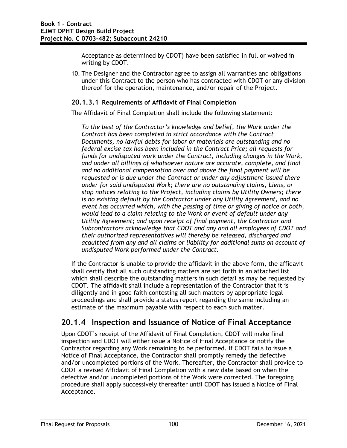Acceptance as determined by CDOT) have been satisfied in full or waived in writing by CDOT.

10. The Designer and the Contractor agree to assign all warranties and obligations under this Contract to the person who has contracted with CDOT or any division thereof for the operation, maintenance, and/or repair of the Project.

#### **20.1.3.1 Requirements of Affidavit of Final Completion**

The Affidavit of Final Completion shall include the following statement:

*To the best of the Contractor's knowledge and belief, the Work under the Contract has been completed in strict accordance with the Contract Documents, no lawful debts for labor or materials are outstanding and no federal excise tax has been included in the Contract Price; all requests for funds for undisputed work under the Contract, including changes in the Work, and under all billings of whatsoever nature are accurate, complete, and final and no additional compensation over and above the final payment will be requested or is due under the Contract or under any adjustment issued there under for said undisputed Work; there are no outstanding claims, Liens, or stop notices relating to the Project, including claims by Utility Owners; there is no existing default by the Contractor under any Utility Agreement, and no event has occurred which, with the passing of time or giving of notice or both, would lead to a claim relating to the Work or event of default under any Utility Agreement; and upon receipt of final payment, the Contractor and Subcontractors acknowledge that CDOT and any and all employees of CDOT and their authorized representatives will thereby be released, discharged and acquitted from any and all claims or liability for additional sums on account of undisputed Work performed under the Contract.* 

If the Contractor is unable to provide the affidavit in the above form, the affidavit shall certify that all such outstanding matters are set forth in an attached list which shall describe the outstanding matters in such detail as may be requested by CDOT. The affidavit shall include a representation of the Contractor that it is diligently and in good faith contesting all such matters by appropriate legal proceedings and shall provide a status report regarding the same including an estimate of the maximum payable with respect to each such matter.

#### **20.1.4 Inspection and Issuance of Notice of Final Acceptance**

Upon CDOT's receipt of the Affidavit of Final Completion, CDOT will make final inspection and CDOT will either issue a Notice of Final Acceptance or notify the Contractor regarding any Work remaining to be performed. If CDOT fails to issue a Notice of Final Acceptance, the Contractor shall promptly remedy the defective and/or uncompleted portions of the Work. Thereafter, the Contractor shall provide to CDOT a revised Affidavit of Final Completion with a new date based on when the defective and/or uncompleted portions of the Work were corrected. The foregoing procedure shall apply successively thereafter until CDOT has issued a Notice of Final Acceptance.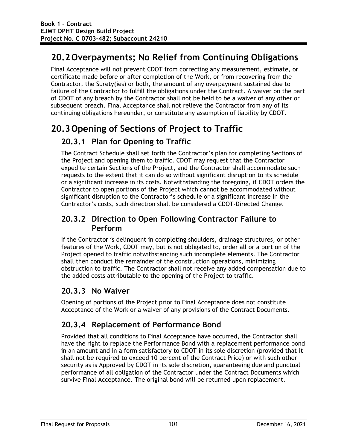## **20.2Overpayments; No Relief from Continuing Obligations**

Final Acceptance will not prevent CDOT from correcting any measurement, estimate, or certificate made before or after completion of the Work, or from recovering from the Contractor, the Surety(ies) or both, the amount of any overpayment sustained due to failure of the Contractor to fulfill the obligations under the Contract. A waiver on the part of CDOT of any breach by the Contractor shall not be held to be a waiver of any other or subsequent breach. Final Acceptance shall not relieve the Contractor from any of its continuing obligations hereunder, or constitute any assumption of liability by CDOT.

## **20.3Opening of Sections of Project to Traffic**

### **20.3.1 Plan for Opening to Traffic**

The Contract Schedule shall set forth the Contractor's plan for completing Sections of the Project and opening them to traffic. CDOT may request that the Contractor expedite certain Sections of the Project, and the Contractor shall accommodate such requests to the extent that it can do so without significant disruption to its schedule or a significant increase in its costs. Notwithstanding the foregoing, if CDOT orders the Contractor to open portions of the Project which cannot be accommodated without significant disruption to the Contractor's schedule or a significant increase in the Contractor's costs, such direction shall be considered a CDOT-Directed Change.

#### **20.3.2 Direction to Open Following Contractor Failure to Perform**

If the Contractor is delinquent in completing shoulders, drainage structures, or other features of the Work, CDOT may, but is not obligated to, order all or a portion of the Project opened to traffic notwithstanding such incomplete elements. The Contractor shall then conduct the remainder of the construction operations, minimizing obstruction to traffic. The Contractor shall not receive any added compensation due to the added costs attributable to the opening of the Project to traffic.

### **20.3.3 No Waiver**

Opening of portions of the Project prior to Final Acceptance does not constitute Acceptance of the Work or a waiver of any provisions of the Contract Documents.

## **20.3.4 Replacement of Performance Bond**

Provided that all conditions to Final Acceptance have occurred, the Contractor shall have the right to replace the Performance Bond with a replacement performance bond in an amount and in a form satisfactory to CDOT in its sole discretion (provided that it shall not be required to exceed 10 percent of the Contract Price) or with such other security as is Approved by CDOT in its sole discretion, guaranteeing due and punctual performance of all obligation of the Contractor under the Contract Documents which survive Final Acceptance. The original bond will be returned upon replacement.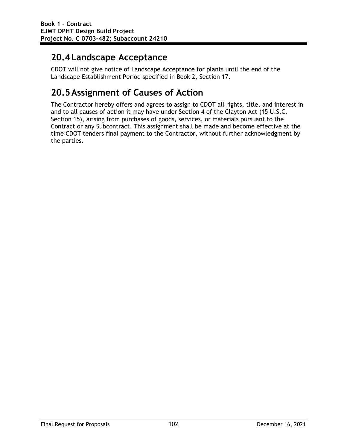## **20.4Landscape Acceptance**

CDOT will not give notice of Landscape Acceptance for plants until the end of the Landscape Establishment Period specified in Book 2, Section 17.

# **20.5Assignment of Causes of Action**

The Contractor hereby offers and agrees to assign to CDOT all rights, title, and interest in and to all causes of action it may have under Section 4 of the Clayton Act (15 U.S.C. Section 15), arising from purchases of goods, services, or materials pursuant to the Contract or any Subcontract. This assignment shall be made and become effective at the time CDOT tenders final payment to the Contractor, without further acknowledgment by the parties.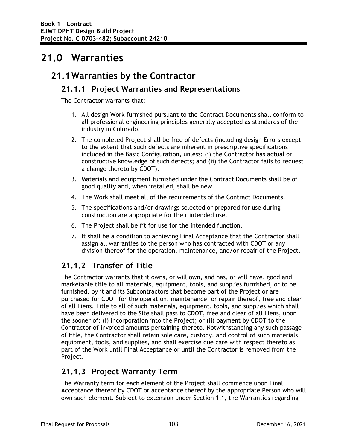# **21.0 Warranties**

## **21.1Warranties by the Contractor**

#### **21.1.1 Project Warranties and Representations**

The Contractor warrants that:

- 1. All design Work furnished pursuant to the Contract Documents shall conform to all professional engineering principles generally accepted as standards of the industry in Colorado.
- 2. The completed Project shall be free of defects (including design Errors except to the extent that such defects are inherent in prescriptive specifications included in the Basic Configuration, unless: (i) the Contractor has actual or constructive knowledge of such defects; and (ii) the Contractor fails to request a change thereto by CDOT).
- 3. Materials and equipment furnished under the Contract Documents shall be of good quality and, when installed, shall be new.
- 4. The Work shall meet all of the requirements of the Contract Documents.
- 5. The specifications and/or drawings selected or prepared for use during construction are appropriate for their intended use.
- 6. The Project shall be fit for use for the intended function.
- 7. It shall be a condition to achieving Final Acceptance that the Contractor shall assign all warranties to the person who has contracted with CDOT or any division thereof for the operation, maintenance, and/or repair of the Project.

### **21.1.2 Transfer of Title**

The Contractor warrants that it owns, or will own, and has, or will have, good and marketable title to all materials, equipment, tools, and supplies furnished, or to be furnished, by it and its Subcontractors that become part of the Project or are purchased for CDOT for the operation, maintenance, or repair thereof, free and clear of all Liens. Title to all of such materials, equipment, tools, and supplies which shall have been delivered to the Site shall pass to CDOT, free and clear of all Liens, upon the sooner of: (i) incorporation into the Project; or (ii) payment by CDOT to the Contractor of invoiced amounts pertaining thereto. Notwithstanding any such passage of title, the Contractor shall retain sole care, custody, and control of such materials, equipment, tools, and supplies, and shall exercise due care with respect thereto as part of the Work until Final Acceptance or until the Contractor is removed from the Project.

#### **21.1.3 Project Warranty Term**

The Warranty term for each element of the Project shall commence upon Final Acceptance thereof by CDOT or acceptance thereof by the appropriate Person who will own such element. Subject to extension under Section 1.1, the Warranties regarding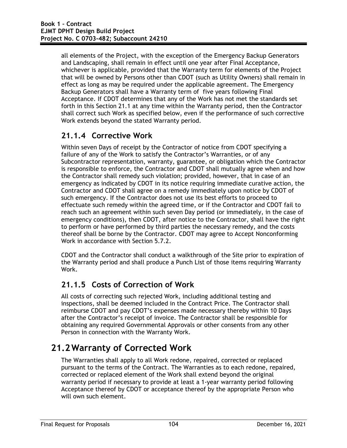all elements of the Project, with the exception of the Emergency Backup Generators and Landscaping, shall remain in effect until one year after Final Acceptance, whichever is applicable, provided that the Warranty term for elements of the Project that will be owned by Persons other than CDOT (such as Utility Owners) shall remain in effect as long as may be required under the applicable agreement. The Emergency Backup Generators shall have a Warranty term of five years following Final Acceptance. If CDOT determines that any of the Work has not met the standards set forth in this Section 21.1 at any time within the Warranty period, then the Contractor shall correct such Work as specified below, even if the performance of such corrective Work extends beyond the stated Warranty period.

### **21.1.4 Corrective Work**

Within seven Days of receipt by the Contractor of notice from CDOT specifying a failure of any of the Work to satisfy the Contractor's Warranties, or of any Subcontractor representation, warranty, guarantee, or obligation which the Contractor is responsible to enforce, the Contractor and CDOT shall mutually agree when and how the Contractor shall remedy such violation; provided, however, that in case of an emergency as indicated by CDOT in its notice requiring immediate curative action, the Contractor and CDOT shall agree on a remedy immediately upon notice by CDOT of such emergency. If the Contractor does not use its best efforts to proceed to effectuate such remedy within the agreed time, or if the Contractor and CDOT fail to reach such an agreement within such seven Day period (or immediately, in the case of emergency conditions), then CDOT, after notice to the Contractor, shall have the right to perform or have performed by third parties the necessary remedy, and the costs thereof shall be borne by the Contractor. CDOT may agree to Accept Nonconforming Work in accordance with Section 5.7.2.

CDOT and the Contractor shall conduct a walkthrough of the Site prior to expiration of the Warranty period and shall produce a Punch List of those items requiring Warranty Work.

### **21.1.5 Costs of Correction of Work**

All costs of correcting such rejected Work, including additional testing and inspections, shall be deemed included in the Contract Price. The Contractor shall reimburse CDOT and pay CDOT's expenses made necessary thereby within 10 Days after the Contractor's receipt of invoice. The Contractor shall be responsible for obtaining any required Governmental Approvals or other consents from any other Person in connection with the Warranty Work.

## **21.2Warranty of Corrected Work**

The Warranties shall apply to all Work redone, repaired, corrected or replaced pursuant to the terms of the Contract. The Warranties as to each redone, repaired, corrected or replaced element of the Work shall extend beyond the original warranty period if necessary to provide at least a 1-year warranty period following Acceptance thereof by CDOT or acceptance thereof by the appropriate Person who will own such element.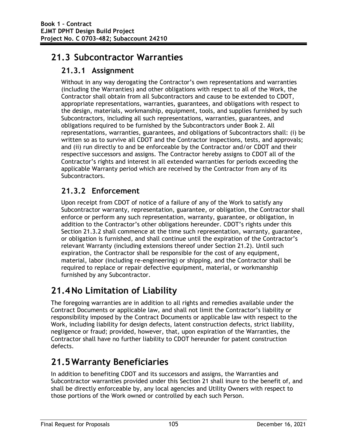## **21.3 Subcontractor Warranties**

### **21.3.1 Assignment**

Without in any way derogating the Contractor's own representations and warranties (including the Warranties) and other obligations with respect to all of the Work, the Contractor shall obtain from all Subcontractors and cause to be extended to CDOT, appropriate representations, warranties, guarantees, and obligations with respect to the design, materials, workmanship, equipment, tools, and supplies furnished by such Subcontractors, including all such representations, warranties, guarantees, and obligations required to be furnished by the Subcontractors under Book 2. All representations, warranties, guarantees, and obligations of Subcontractors shall: (i) be written so as to survive all CDOT and the Contractor inspections, tests, and approvals; and (ii) run directly to and be enforceable by the Contractor and/or CDOT and their respective successors and assigns. The Contractor hereby assigns to CDOT all of the Contractor's rights and interest in all extended warranties for periods exceeding the applicable Warranty period which are received by the Contractor from any of its Subcontractors.

## **21.3.2 Enforcement**

Upon receipt from CDOT of notice of a failure of any of the Work to satisfy any Subcontractor warranty, representation, guarantee, or obligation, the Contractor shall enforce or perform any such representation, warranty, guarantee, or obligation, in addition to the Contractor's other obligations hereunder. CDOT's rights under this Section 21.3.2 shall commence at the time such representation, warranty, guarantee, or obligation is furnished, and shall continue until the expiration of the Contractor's relevant Warranty (including extensions thereof under Section 21.2). Until such expiration, the Contractor shall be responsible for the cost of any equipment, material, labor (including re-engineering) or shipping, and the Contractor shall be required to replace or repair defective equipment, material, or workmanship furnished by any Subcontractor.

## **21.4No Limitation of Liability**

The foregoing warranties are in addition to all rights and remedies available under the Contract Documents or applicable law, and shall not limit the Contractor's liability or responsibility imposed by the Contract Documents or applicable law with respect to the Work, including liability for design defects, latent construction defects, strict liability, negligence or fraud; provided, however, that, upon expiration of the Warranties, the Contractor shall have no further liability to CDOT hereunder for patent construction defects.

## **21.5Warranty Beneficiaries**

In addition to benefiting CDOT and its successors and assigns, the Warranties and Subcontractor warranties provided under this Section 21 shall inure to the benefit of, and shall be directly enforceable by, any local agencies and Utility Owners with respect to those portions of the Work owned or controlled by each such Person.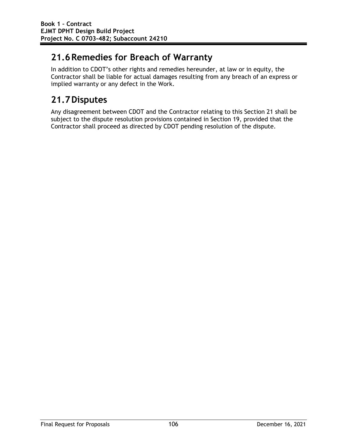## **21.6Remedies for Breach of Warranty**

In addition to CDOT's other rights and remedies hereunder, at law or in equity, the Contractor shall be liable for actual damages resulting from any breach of an express or implied warranty or any defect in the Work.

# **21.7Disputes**

Any disagreement between CDOT and the Contractor relating to this Section 21 shall be subject to the dispute resolution provisions contained in Section 19, provided that the Contractor shall proceed as directed by CDOT pending resolution of the dispute.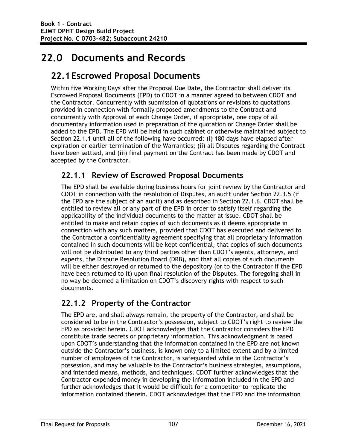# **22.0 Documents and Records**

## **22.1Escrowed Proposal Documents**

Within five Working Days after the Proposal Due Date, the Contractor shall deliver its Escrowed Proposal Documents (EPD) to CDOT in a manner agreed to between CDOT and the Contractor. Concurrently with submission of quotations or revisions to quotations provided in connection with formally proposed amendments to the Contract and concurrently with Approval of each Change Order, if appropriate, one copy of all documentary information used in preparation of the quotation or Change Order shall be added to the EPD. The EPD will be held in such cabinet or otherwise maintained subject to Section 22.1.1 until all of the following have occurred: (i) 180 days have elapsed after expiration or earlier termination of the Warranties; (ii) all Disputes regarding the Contract have been settled, and (iii) final payment on the Contract has been made by CDOT and accepted by the Contractor.

### **22.1.1 Review of Escrowed Proposal Documents**

The EPD shall be available during business hours for joint review by the Contractor and CDOT in connection with the resolution of Disputes, an audit under Section 22.3.5 (if the EPD are the subject of an audit) and as described in Section 22.1.6. CDOT shall be entitled to review all or any part of the EPD in order to satisfy itself regarding the applicability of the individual documents to the matter at issue. CDOT shall be entitled to make and retain copies of such documents as it deems appropriate in connection with any such matters, provided that CDOT has executed and delivered to the Contractor a confidentiality agreement specifying that all proprietary information contained in such documents will be kept confidential, that copies of such documents will not be distributed to any third parties other than CDOT's agents, attorneys, and experts, the Dispute Resolution Board (DRB), and that all copies of such documents will be either destroyed or returned to the depository (or to the Contractor if the EPD have been returned to it) upon final resolution of the Disputes. The foregoing shall in no way be deemed a limitation on CDOT's discovery rights with respect to such documents.

### **22.1.2 Property of the Contractor**

The EPD are, and shall always remain, the property of the Contractor, and shall be considered to be in the Contractor's possession, subject to CDOT's right to review the EPD as provided herein. CDOT acknowledges that the Contractor considers the EPD constitute trade secrets or proprietary information. This acknowledgment is based upon CDOT's understanding that the information contained in the EPD are not known outside the Contractor's business, is known only to a limited extent and by a limited number of employees of the Contractor, is safeguarded while in the Contractor's possession, and may be valuable to the Contractor's business strategies, assumptions, and intended means, methods, and techniques. CDOT further acknowledges that the Contractor expended money in developing the information included in the EPD and further acknowledges that it would be difficult for a competitor to replicate the information contained therein. CDOT acknowledges that the EPD and the information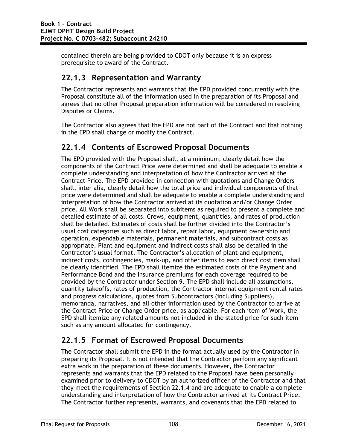contained therein are being provided to CDOT only because it is an express prerequisite to award of the Contract.

#### **22.1.3 Representation and Warranty**

The Contractor represents and warrants that the EPD provided concurrently with the Proposal constitute all of the information used in the preparation of its Proposal and agrees that no other Proposal preparation information will be considered in resolving Disputes or Claims.

The Contractor also agrees that the EPD are not part of the Contract and that nothing in the EPD shall change or modify the Contract.

#### **22.1.4 Contents of Escrowed Proposal Documents**

The EPD provided with the Proposal shall, at a minimum, clearly detail how the components of the Contract Price were determined and shall be adequate to enable a complete understanding and interpretation of how the Contractor arrived at the Contract Price. The EPD provided in connection with quotations and Change Orders shall, inter alia, clearly detail how the total price and individual components of that price were determined and shall be adequate to enable a complete understanding and interpretation of how the Contractor arrived at its quotation and/or Change Order price. All Work shall be separated into subitems as required to present a complete and detailed estimate of all costs. Crews, equipment, quantities, and rates of production shall be detailed. Estimates of costs shall be further divided into the Contractor's usual cost categories such as direct labor, repair labor, equipment ownership and operation, expendable materials, permanent materials, and subcontract costs as appropriate. Plant and equipment and indirect costs shall also be detailed in the Contractor's usual format. The Contractor's allocation of plant and equipment, indirect costs, contingencies, mark-up, and other items to each direct cost item shall be clearly identified. The EPD shall itemize the estimated costs of the Payment and Performance Bond and the insurance premiums for each coverage required to be provided by the Contractor under Section 9. The EPD shall include all assumptions, quantity takeoffs, rates of production, the Contractor internal equipment rental rates and progress calculations, quotes from Subcontractors (including Suppliers), memoranda, narratives, and all other information used by the Contractor to arrive at the Contract Price or Change Order price, as applicable. For each item of Work, the EPD shall itemize any related amounts not included in the stated price for such item such as any amount allocated for contingency.

### **22.1.5 Format of Escrowed Proposal Documents**

The Contractor shall submit the EPD in the format actually used by the Contractor in preparing its Proposal. It is not intended that the Contractor perform any significant extra work in the preparation of these documents. However, the Contractor represents and warrants that the EPD related to the Proposal have been personally examined prior to delivery to CDOT by an authorized officer of the Contractor and that they meet the requirements of Section 22.1.4 and are adequate to enable a complete understanding and interpretation of how the Contractor arrived at its Contract Price. The Contractor further represents, warrants, and covenants that the EPD related to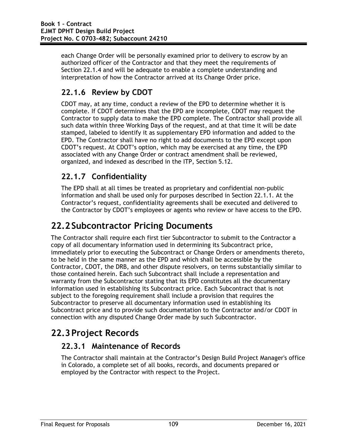each Change Order will be personally examined prior to delivery to escrow by an authorized officer of the Contractor and that they meet the requirements of Section 22.1.4 and will be adequate to enable a complete understanding and interpretation of how the Contractor arrived at its Change Order price.

### **22.1.6 Review by CDOT**

CDOT may, at any time, conduct a review of the EPD to determine whether it is complete. If CDOT determines that the EPD are incomplete, CDOT may request the Contractor to supply data to make the EPD complete. The Contractor shall provide all such data within three Working Days of the request, and at that time it will be date stamped, labeled to identify it as supplementary EPD information and added to the EPD. The Contractor shall have no right to add documents to the EPD except upon CDOT's request. At CDOT's option, which may be exercised at any time, the EPD associated with any Change Order or contract amendment shall be reviewed, organized, and indexed as described in the ITP, Section 5.12.

### **22.1.7 Confidentiality**

The EPD shall at all times be treated as proprietary and confidential non-public information and shall be used only for purposes described in Section 22.1.1. At the Contractor's request, confidentiality agreements shall be executed and delivered to the Contractor by CDOT's employees or agents who review or have access to the EPD.

## **22.2Subcontractor Pricing Documents**

The Contractor shall require each first tier Subcontractor to submit to the Contractor a copy of all documentary information used in determining its Subcontract price, immediately prior to executing the Subcontract or Change Orders or amendments thereto, to be held in the same manner as the EPD and which shall be accessible by the Contractor, CDOT, the DRB, and other dispute resolvers, on terms substantially similar to those contained herein. Each such Subcontract shall include a representation and warranty from the Subcontractor stating that its EPD constitutes all the documentary information used in establishing its Subcontract price. Each Subcontract that is not subject to the foregoing requirement shall include a provision that requires the Subcontractor to preserve all documentary information used in establishing its Subcontract price and to provide such documentation to the Contractor and/or CDOT in connection with any disputed Change Order made by such Subcontractor.

## **22.3Project Records**

### **22.3.1 Maintenance of Records**

The Contractor shall maintain at the Contractor's Design Build Project Manager's office in Colorado, a complete set of all books, records, and documents prepared or employed by the Contractor with respect to the Project.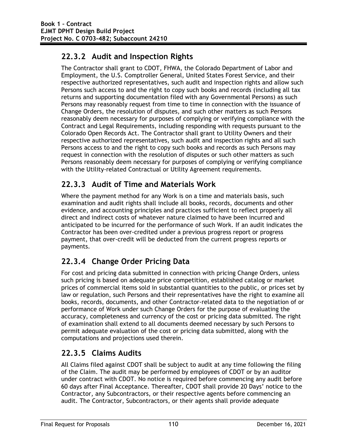## **22.3.2 Audit and Inspection Rights**

The Contractor shall grant to CDOT, FHWA, the Colorado Department of Labor and Employment, the U.S. Comptroller General, United States Forest Service, and their respective authorized representatives, such audit and inspection rights and allow such Persons such access to and the right to copy such books and records (including all tax returns and supporting documentation filed with any Governmental Persons) as such Persons may reasonably request from time to time in connection with the issuance of Change Orders, the resolution of disputes, and such other matters as such Persons reasonably deem necessary for purposes of complying or verifying compliance with the Contract and Legal Requirements, including responding with requests pursuant to the Colorado Open Records Act. The Contractor shall grant to Utility Owners and their respective authorized representatives, such audit and inspection rights and all such Persons access to and the right to copy such books and records as such Persons may request in connection with the resolution of disputes or such other matters as such Persons reasonably deem necessary for purposes of complying or verifying compliance with the Utility-related Contractual or Utility Agreement requirements.

### **22.3.3 Audit of Time and Materials Work**

Where the payment method for any Work is on a time and materials basis, such examination and audit rights shall include all books, records, documents and other evidence, and accounting principles and practices sufficient to reflect properly all direct and indirect costs of whatever nature claimed to have been incurred and anticipated to be incurred for the performance of such Work. If an audit indicates the Contractor has been over-credited under a previous progress report or progress payment, that over-credit will be deducted from the current progress reports or payments.

## **22.3.4 Change Order Pricing Data**

For cost and pricing data submitted in connection with pricing Change Orders, unless such pricing is based on adequate price competition, established catalog or market prices of commercial items sold in substantial quantities to the public, or prices set by law or regulation, such Persons and their representatives have the right to examine all books, records, documents, and other Contractor-related data to the negotiation of or performance of Work under such Change Orders for the purpose of evaluating the accuracy, completeness and currency of the cost or pricing data submitted. The right of examination shall extend to all documents deemed necessary by such Persons to permit adequate evaluation of the cost or pricing data submitted, along with the computations and projections used therein.

### **22.3.5 Claims Audits**

All Claims filed against CDOT shall be subject to audit at any time following the filing of the Claim. The audit may be performed by employees of CDOT or by an auditor under contract with CDOT. No notice is required before commencing any audit before 60 days after Final Acceptance. Thereafter, CDOT shall provide 20 Days' notice to the Contractor, any Subcontractors, or their respective agents before commencing an audit. The Contractor, Subcontractors, or their agents shall provide adequate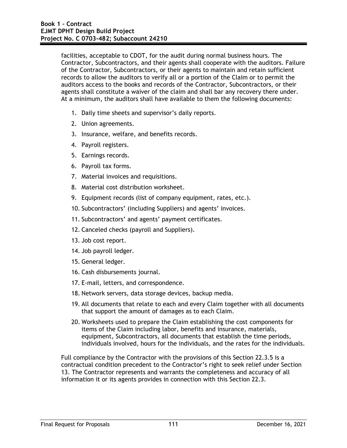facilities, acceptable to CDOT, for the audit during normal business hours. The Contractor, Subcontractors, and their agents shall cooperate with the auditors. Failure of the Contractor, Subcontractors, or their agents to maintain and retain sufficient records to allow the auditors to verify all or a portion of the Claim or to permit the auditors access to the books and records of the Contractor, Subcontractors, or their agents shall constitute a waiver of the claim and shall bar any recovery there under. At a minimum, the auditors shall have available to them the following documents:

- 1. Daily time sheets and supervisor's daily reports.
- 2. Union agreements.
- 3. Insurance, welfare, and benefits records.
- 4. Payroll registers.
- 5. Earnings records.
- 6. Payroll tax forms.
- 7. Material invoices and requisitions.
- 8. Material cost distribution worksheet.
- 9. Equipment records (list of company equipment, rates, etc.).
- 10. Subcontractors' (including Suppliers) and agents' invoices.
- 11. Subcontractors' and agents' payment certificates.
- 12. Canceled checks (payroll and Suppliers).
- 13. Job cost report.
- 14. Job payroll ledger.
- 15. General ledger.
- 16. Cash disbursements journal.
- 17. E-mail, letters, and correspondence.
- 18. Network servers, data storage devices, backup media.
- 19. All documents that relate to each and every Claim together with all documents that support the amount of damages as to each Claim.
- 20. Worksheets used to prepare the Claim establishing the cost components for items of the Claim including labor, benefits and insurance, materials, equipment, Subcontractors, all documents that establish the time periods, individuals involved, hours for the individuals, and the rates for the individuals.

Full compliance by the Contractor with the provisions of this Section 22.3.5 is a contractual condition precedent to the Contractor's right to seek relief under Section 13. The Contractor represents and warrants the completeness and accuracy of all information it or its agents provides in connection with this Section 22.3.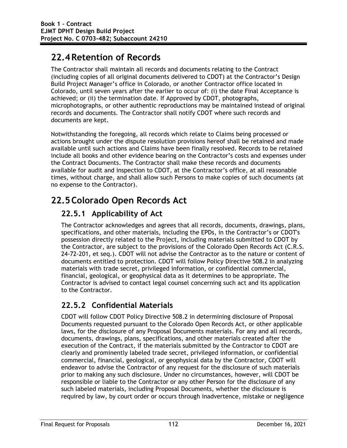## **22.4Retention of Records**

The Contractor shall maintain all records and documents relating to the Contract (including copies of all original documents delivered to CDOT) at the Contractor's Design Build Project Manager's office in Colorado, or another Contractor office located in Colorado, until seven years after the earlier to occur of: (i) the date Final Acceptance is achieved; or (ii) the termination date. If Approved by CDOT, photographs, microphotographs, or other authentic reproductions may be maintained instead of original records and documents. The Contractor shall notify CDOT where such records and documents are kept.

Notwithstanding the foregoing, all records which relate to Claims being processed or actions brought under the dispute resolution provisions hereof shall be retained and made available until such actions and Claims have been finally resolved. Records to be retained include all books and other evidence bearing on the Contractor's costs and expenses under the Contract Documents. The Contractor shall make these records and documents available for audit and inspection to CDOT, at the Contractor's office, at all reasonable times, without charge, and shall allow such Persons to make copies of such documents (at no expense to the Contractor).

# **22.5Colorado Open Records Act**

## **22.5.1 Applicability of Act**

The Contractor acknowledges and agrees that all records, documents, drawings, plans, specifications, and other materials, including the EPDs, in the Contractor's or CDOT's possession directly related to the Project, including materials submitted to CDOT by the Contractor, are subject to the provisions of the Colorado Open Records Act (C.R.S. 24-72-201, et seq.). CDOT will not advise the Contractor as to the nature or content of documents entitled to protection. CDOT will follow Policy Directive 508.2 in analyzing materials with trade secret, privileged information, or confidential commercial, financial, geological, or geophysical data as it determines to be appropriate. The Contractor is advised to contact legal counsel concerning such act and its application to the Contractor.

### **22.5.2 Confidential Materials**

CDOT will follow CDOT Policy Directive 508.2 in determining disclosure of Proposal Documents requested pursuant to the Colorado Open Records Act, or other applicable laws, for the disclosure of any Proposal Documents materials. For any and all records, documents, drawings, plans, specifications, and other materials created after the execution of the Contract, if the materials submitted by the Contractor to CDOT are clearly and prominently labeled trade secret, privileged information, or confidential commercial, financial, geological, or geophysical data by the Contractor, CDOT will endeavor to advise the Contractor of any request for the disclosure of such materials prior to making any such disclosure. Under no circumstances, however, will CDOT be responsible or liable to the Contractor or any other Person for the disclosure of any such labeled materials, including Proposal Documents, whether the disclosure is required by law, by court order or occurs through inadvertence, mistake or negligence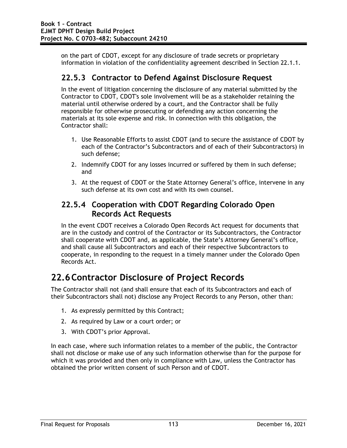on the part of CDOT, except for any disclosure of trade secrets or proprietary information in violation of the confidentiality agreement described in Section 22.1.1.

#### **22.5.3 Contractor to Defend Against Disclosure Request**

In the event of litigation concerning the disclosure of any material submitted by the Contractor to CDOT, CDOT's sole involvement will be as a stakeholder retaining the material until otherwise ordered by a court, and the Contractor shall be fully responsible for otherwise prosecuting or defending any action concerning the materials at its sole expense and risk. In connection with this obligation, the Contractor shall:

- 1. Use Reasonable Efforts to assist CDOT (and to secure the assistance of CDOT by each of the Contractor's Subcontractors and of each of their Subcontractors) in such defense;
- 2. Indemnify CDOT for any losses incurred or suffered by them in such defense; and
- 3. At the request of CDOT or the State Attorney General's office, intervene in any such defense at its own cost and with its own counsel.

#### **22.5.4 Cooperation with CDOT Regarding Colorado Open Records Act Requests**

In the event CDOT receives a Colorado Open Records Act request for documents that are in the custody and control of the Contractor or its Subcontractors, the Contractor shall cooperate with CDOT and, as applicable, the State's Attorney General's office, and shall cause all Subcontractors and each of their respective Subcontractors to cooperate, in responding to the request in a timely manner under the Colorado Open Records Act.

## **22.6Contractor Disclosure of Project Records**

The Contractor shall not (and shall ensure that each of its Subcontractors and each of their Subcontractors shall not) disclose any Project Records to any Person, other than:

- 1. As expressly permitted by this Contract;
- 2. As required by Law or a court order; or
- 3. With CDOT's prior Approval.

In each case, where such information relates to a member of the public, the Contractor shall not disclose or make use of any such information otherwise than for the purpose for which it was provided and then only in compliance with Law, unless the Contractor has obtained the prior written consent of such Person and of CDOT.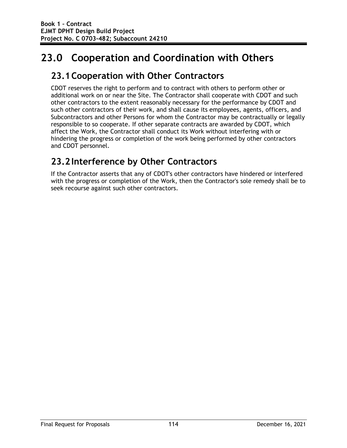# **23.0 Cooperation and Coordination with Others**

## **23.1Cooperation with Other Contractors**

CDOT reserves the right to perform and to contract with others to perform other or additional work on or near the Site. The Contractor shall cooperate with CDOT and such other contractors to the extent reasonably necessary for the performance by CDOT and such other contractors of their work, and shall cause its employees, agents, officers, and Subcontractors and other Persons for whom the Contractor may be contractually or legally responsible to so cooperate. If other separate contracts are awarded by CDOT, which affect the Work, the Contractor shall conduct its Work without interfering with or hindering the progress or completion of the work being performed by other contractors and CDOT personnel.

## **23.2Interference by Other Contractors**

If the Contractor asserts that any of CDOT's other contractors have hindered or interfered with the progress or completion of the Work, then the Contractor's sole remedy shall be to seek recourse against such other contractors.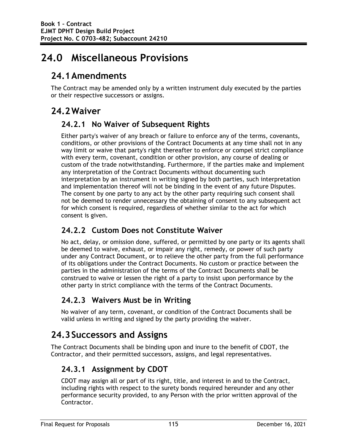# **24.0 Miscellaneous Provisions**

## **24.1Amendments**

The Contract may be amended only by a written instrument duly executed by the parties or their respective successors or assigns.

## **24.2Waiver**

#### **24.2.1 No Waiver of Subsequent Rights**

Either party's waiver of any breach or failure to enforce any of the terms, covenants, conditions, or other provisions of the Contract Documents at any time shall not in any way limit or waive that party's right thereafter to enforce or compel strict compliance with every term, covenant, condition or other provision, any course of dealing or custom of the trade notwithstanding. Furthermore, if the parties make and implement any interpretation of the Contract Documents without documenting such interpretation by an instrument in writing signed by both parties, such interpretation and implementation thereof will not be binding in the event of any future Disputes. The consent by one party to any act by the other party requiring such consent shall not be deemed to render unnecessary the obtaining of consent to any subsequent act for which consent is required, regardless of whether similar to the act for which consent is given.

### **24.2.2 Custom Does not Constitute Waiver**

No act, delay, or omission done, suffered, or permitted by one party or its agents shall be deemed to waive, exhaust, or impair any right, remedy, or power of such party under any Contract Document, or to relieve the other party from the full performance of its obligations under the Contract Documents. No custom or practice between the parties in the administration of the terms of the Contract Documents shall be construed to waive or lessen the right of a party to insist upon performance by the other party in strict compliance with the terms of the Contract Documents.

### **24.2.3 Waivers Must be in Writing**

No waiver of any term, covenant, or condition of the Contract Documents shall be valid unless in writing and signed by the party providing the waiver.

## **24.3Successors and Assigns**

The Contract Documents shall be binding upon and inure to the benefit of CDOT, the Contractor, and their permitted successors, assigns, and legal representatives.

## **24.3.1 Assignment by CDOT**

CDOT may assign all or part of its right, title, and interest in and to the Contract, including rights with respect to the surety bonds required hereunder and any other performance security provided, to any Person with the prior written approval of the Contractor.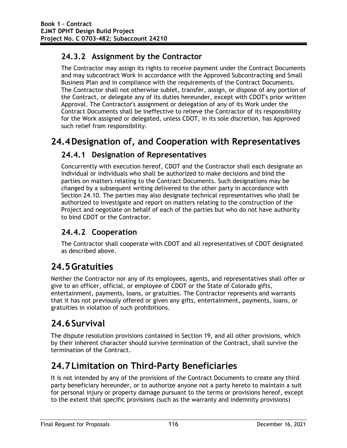### **24.3.2 Assignment by the Contractor**

The Contractor may assign its rights to receive payment under the Contract Documents and may subcontract Work in accordance with the Approved Subcontracting and Small Business Plan and in compliance with the requirements of the Contract Documents. The Contractor shall not otherwise sublet, transfer, assign, or dispose of any portion of the Contract, or delegate any of its duties hereunder, except with CDOT's prior written Approval. The Contractor's assignment or delegation of any of its Work under the Contract Documents shall be ineffective to relieve the Contractor of its responsibility for the Work assigned or delegated, unless CDOT, in its sole discretion, has Approved such relief from responsibility.

## **24.4Designation of, and Cooperation with Representatives**

#### **24.4.1 Designation of Representatives**

Concurrently with execution hereof, CDOT and the Contractor shall each designate an individual or individuals who shall be authorized to make decisions and bind the parties on matters relating to the Contract Documents. Such designations may be changed by a subsequent writing delivered to the other party in accordance with Section 24.10. The parties may also designate technical representatives who shall be authorized to investigate and report on matters relating to the construction of the Project and negotiate on behalf of each of the parties but who do not have authority to bind CDOT or the Contractor.

### **24.4.2 Cooperation**

The Contractor shall cooperate with CDOT and all representatives of CDOT designated as described above.

# **24.5Gratuities**

Neither the Contractor nor any of its employees, agents, and representatives shall offer or give to an officer, official, or employee of CDOT or the State of Colorado gifts, entertainment, payments, loans, or gratuities. The Contractor represents and warrants that it has not previously offered or given any gifts, entertainment, payments, loans, or gratuities in violation of such prohibitions.

## **24.6Survival**

The dispute resolution provisions contained in Section 19, and all other provisions, which by their inherent character should survive termination of the Contract, shall survive the termination of the Contract.

## **24.7Limitation on Third-Party Beneficiaries**

It is not intended by any of the provisions of the Contract Documents to create any third party beneficiary hereunder, or to authorize anyone not a party hereto to maintain a suit for personal injury or property damage pursuant to the terms or provisions hereof, except to the extent that specific provisions (such as the warranty and indemnity provisions)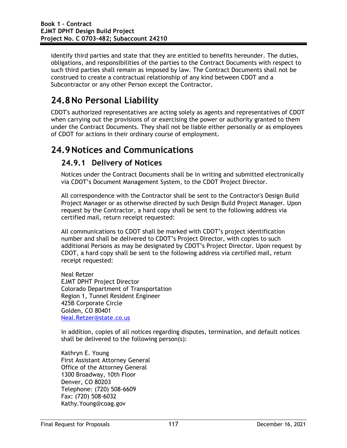identify third parties and state that they are entitled to benefits hereunder. The duties, obligations, and responsibilities of the parties to the Contract Documents with respect to such third parties shall remain as imposed by law. The Contract Documents shall not be construed to create a contractual relationship of any kind between CDOT and a Subcontractor or any other Person except the Contractor.

# **24.8No Personal Liability**

CDOT's authorized representatives are acting solely as agents and representatives of CDOT when carrying out the provisions of or exercising the power or authority granted to them under the Contract Documents. They shall not be liable either personally or as employees of CDOT for actions in their ordinary course of employment.

## **24.9Notices and Communications**

#### **24.9.1 Delivery of Notices**

Notices under the Contract Documents shall be in writing and submitted electronically via CDOT's Document Management System, to the CDOT Project Director.

All correspondence with the Contractor shall be sent to the Contractor's Design Build Project Manager or as otherwise directed by such Design Build Project Manager. Upon request by the Contractor, a hard copy shall be sent to the following address via certified mail, return receipt requested:

All communications to CDOT shall be marked with CDOT's project identification number and shall be delivered to CDOT's Project Director, with copies to such additional Persons as may be designated by CDOT's Project Director. Upon request by CDOT, a hard copy shall be sent to the following address via certified mail, return receipt requested:

Neal Retzer EJMT DPHT Project Director Colorado Department of Transportation Region 1, Tunnel Resident Engineer 425B Corporate Circle Golden, CO 80401 Neal.Retzer@state.co.us

In addition, copies of all notices regarding disputes, termination, and default notices shall be delivered to the following person(s):

Kathryn E. Young First Assistant Attorney General Office of the Attorney General 1300 Broadway, 10th Floor Denver, CO 80203 Telephone: (720) 508-6609 Fax: (720) 508-6032 Kathy.Young@coag.gov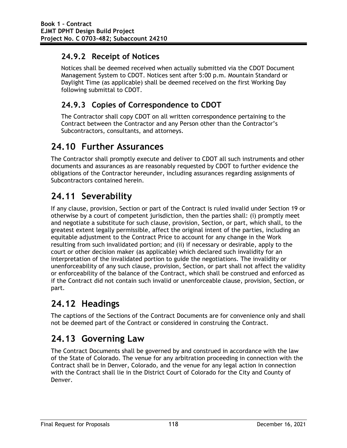### **24.9.2 Receipt of Notices**

Notices shall be deemed received when actually submitted via the CDOT Document Management System to CDOT. Notices sent after 5:00 p.m. Mountain Standard or Daylight Time (as applicable) shall be deemed received on the first Working Day following submittal to CDOT.

### **24.9.3 Copies of Correspondence to CDOT**

The Contractor shall copy CDOT on all written correspondence pertaining to the Contract between the Contractor and any Person other than the Contractor's Subcontractors, consultants, and attorneys.

## **24.10 Further Assurances**

The Contractor shall promptly execute and deliver to CDOT all such instruments and other documents and assurances as are reasonably requested by CDOT to further evidence the obligations of the Contractor hereunder, including assurances regarding assignments of Subcontractors contained herein.

# **24.11 Severability**

If any clause, provision, Section or part of the Contract is ruled invalid under Section 19 or otherwise by a court of competent jurisdiction, then the parties shall: (i) promptly meet and negotiate a substitute for such clause, provision, Section, or part, which shall, to the greatest extent legally permissible, affect the original intent of the parties, including an equitable adjustment to the Contract Price to account for any change in the Work resulting from such invalidated portion; and (ii) if necessary or desirable, apply to the court or other decision maker (as applicable) which declared such invalidity for an interpretation of the invalidated portion to guide the negotiations. The invalidity or unenforceability of any such clause, provision, Section, or part shall not affect the validity or enforceability of the balance of the Contract, which shall be construed and enforced as if the Contract did not contain such invalid or unenforceable clause, provision, Section, or part.

## **24.12 Headings**

The captions of the Sections of the Contract Documents are for convenience only and shall not be deemed part of the Contract or considered in construing the Contract.

## **24.13 Governing Law**

The Contract Documents shall be governed by and construed in accordance with the law of the State of Colorado. The venue for any arbitration proceeding in connection with the Contract shall be in Denver, Colorado, and the venue for any legal action in connection with the Contract shall lie in the District Court of Colorado for the City and County of Denver.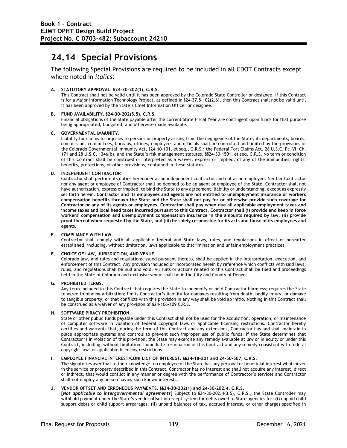## **24.14 Special Provisions**

The following Special Provisions are required to be included in all CDOT Contracts except where noted in *italics*:

#### **A. STATUTORY APPROVAL. §24-30-202(1), C.R.S.**

This Contract shall not be valid until it has been approved by the Colorado State Controller or designee. If this Contract is for a Major Information Technology Project, as defined in §24-37.5-102(2.6), then this Contract shall not be valid until it has been approved by the State's Chief Information Officer or designee.

#### **B. FUND AVAILABILITY. §24-30-202(5.5), C.R.S.**

Financial obligations of the State payable after the current State Fiscal Year are contingent upon funds for that purpose being appropriated, budgeted, and otherwise made available.

#### **C. GOVERNMENTAL IMMUNITY.**

Liability for claims for injuries to persons or property arising from the negligence of the State, its departments, boards, commissions committees, bureaus, offices, employees and officials shall be controlled and limited by the provisions of the Colorado Governmental Immunity Act, §24-10-101, et seq., C.R.S.; the Federal Tort Claims Act, 28 U.S.C. Pt. VI, Ch. 171 and 28 U.S.C. 1346(b), and the State's risk management statutes, §§24-30-1501, et seq. C.R.S. No term or condition of this Contract shall be construed or interpreted as a waiver, express or implied, of any of the immunities, rights, benefits, protections, or other provisions, contained in these statutes.

#### **D. INDEPENDENT CONTRACTOR**

Contractor shall perform its duties hereunder as an independent contractor and not as an employee. Neither Contractor nor any agent or employee of Contractor shall be deemed to be an agent or employee of the State. Contractor shall not have authorization, express or implied, to bind the State to any agreement, liability or understanding, except as expressly set forth herein. **Contractor and its employees and agents are not entitled to unemployment insurance or workers compensation benefits through the State and the State shall not pay for or otherwise provide such coverage for Contractor or any of its agents or employees. Contractor shall pay when due all applicable employment taxes and income taxes and local head taxes incurred pursuant to this Contract. Contractor shall (i) provide and keep in force workers' compensation and unemployment compensation insurance in the amounts required by law, (ii) provide proof thereof when requested by the State, and (iii) be solely responsible for its acts and those of its employees and agents.**

#### **E. COMPLIANCE WITH LAW.**

Contractor shall comply with all applicable federal and State laws, rules, and regulations in effect or hereafter established, including, without limitation, laws applicable to discrimination and unfair employment practices.

#### **F. CHOICE OF LAW, JURISDICTION, AND VENUE.**

Colorado law, and rules and regulations issued pursuant thereto, shall be applied in the interpretation, execution, and enforcement of this Contract. Any provision included or incorporated herein by reference which conflicts with said laws, rules, and regulations shall be null and void. All suits or actions related to this Contract shall be filed and proceedings held in the State of Colorado and exclusive venue shall be in the City and County of Denver.

#### **G. PROHIBITED TERMS.**

Any term included in this Contract that requires the State to indemnify or hold Contractor harmless; requires the State to agree to binding arbitration; limits Contractor's liability for damages resulting from death, bodily injury, or damage to tangible property; or that conflicts with this provision in any way shall be void ab initio. Nothing in this Contract shall be construed as a waiver of any provision of §24-106-109 C.R.S.

#### **H. SOFTWARE PIRACY PROHIBITION.**

State or other public funds payable under this Contract shall not be used for the acquisition, operation, or maintenance of computer software in violation of federal copyright laws or applicable licensing restrictions. Contractor hereby certifies and warrants that, during the term of this Contract and any extensions, Contractor has and shall maintain in place appropriate systems and controls to prevent such improper use of public funds. If the State determines that Contractor is in violation of this provision, the State may exercise any remedy available at law or in equity or under this Contract, including, without limitation, immediate termination of this Contract and any remedy consistent with federal copyright laws or applicable licensing restrictions.

#### **I. EMPLOYEE FINANCIAL INTEREST/CONFLICT OF INTEREST. §§24-18-201 and 24-50-507, C.R.S.**

The signatories aver that to their knowledge, no employee of the State has any personal or beneficial interest whatsoever in the service or property described in this Contract. Contractor has no interest and shall not acquire any interest, direct or indirect, that would conflict in any manner or degree with the performance of Contractor's services and Contractor shall not employ any person having such known interests.

#### **J. VENDOR OFFSET AND ERRONEOUS PAYMENTS. §§24-30-202(1) and 24-30-202.4, C.R.S.**

**[***Not applicable to intergovernmental agreements***]** Subject to §24-30-202.4(3.5), C.R.S., the State Controller may withhold payment under the State's vendor offset intercept system for debts owed to State agencies for: **(i)** unpaid child support debts or child support arrearages; **(ii)** unpaid balances of tax, accrued interest, or other charges specified in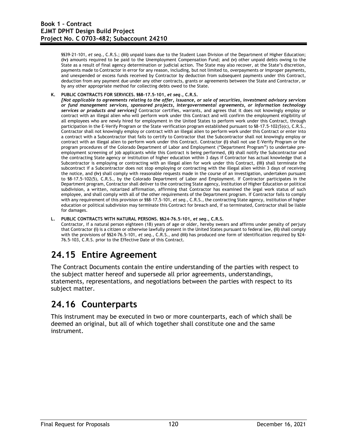§§39-21-101, *et seq.*, C.R.S.; **(iii)** unpaid loans due to the Student Loan Division of the Department of Higher Education; **(iv)** amounts required to be paid to the Unemployment Compensation Fund; and **(v)** other unpaid debts owing to the State as a result of final agency determination or judicial action. The State may also recover, at the State's discretion, payments made to Contractor in error for any reason, including, but not limited to, overpayments or improper payments, and unexpended or excess funds received by Contractor by deduction from subsequent payments under this Contract, deduction from any payment due under any other contracts, grants or agreements between the State and Contractor, or by any other appropriate method for collecting debts owed to the State.

**K. PUBLIC CONTRACTS FOR SERVICES. §§8-17.5-101,** *et seq.,* **C.R.S.** 

*[Not applicable to agreements relating to the offer, issuance, or sale of securities, investment advisory services or fund management services, sponsored projects, intergovernmental agreements, or information technology services or products and services]* Contractor certifies, warrants, and agrees that it does not knowingly employ or contract with an illegal alien who will perform work under this Contract and will confirm the employment eligibility of all employees who are newly hired for employment in the United States to perform work under this Contract, through participation in the E-Verify Program or the State verification program established pursuant to §8-17.5-102(5)(c), C.R.S., Contractor shall not knowingly employ or contract with an illegal alien to perform work under this Contract or enter into a contract with a Subcontractor that fails to certify to Contractor that the Subcontractor shall not knowingly employ or contract with an illegal alien to perform work under this Contract. Contractor **(i)** shall not use E-Verify Program or the program procedures of the Colorado Department of Labor and Employment ("Department Program") to undertake preemployment screening of job applicants while this Contract is being performed, **(ii)** shall notify the Subcontractor and the contracting State agency or institution of higher education within 3 days if Contractor has actual knowledge that a Subcontractor is employing or contracting with an illegal alien for work under this Contract, **(iii)** shall terminate the subcontract if a Subcontractor does not stop employing or contracting with the illegal alien within 3 days of receiving the notice, and **(iv)** shall comply with reasonable requests made in the course of an investigation, undertaken pursuant to §8-17.5-102(5), C.R.S., by the Colorado Department of Labor and Employment. If Contractor participates in the Department program, Contractor shall deliver to the contracting State agency, Institution of Higher Education or political subdivision, a written, notarized affirmation, affirming that Contractor has examined the legal work status of such employee, and shall comply with all of the other requirements of the Department program. If Contractor fails to comply with any requirement of this provision or §§8-17.5-101, *et seq.*, C.R.S., the contracting State agency, institution of higher education or political subdivision may terminate this Contract for breach and, if so terminated, Contractor shall be liable for damages.

#### **L. PUBLIC CONTRACTS WITH NATURAL PERSONS. §§24-76.5-101,** *et seq***., C.R.S.**

Contractor, if a natural person eighteen (18) years of age or older, hereby swears and affirms under penalty of perjury that Contractor **(i)** is a citizen or otherwise lawfully present in the United States pursuant to federal law, **(ii)** shall comply with the provisions of §§24-76.5-101, *et seq*., C.R.S., and **(iii)** has produced one form of identification required by §24- 76.5-103, C.R.S. prior to the Effective Date of this Contract.

## **24.15 Entire Agreement**

The Contract Documents contain the entire understanding of the parties with respect to the subject matter hereof and supersede all prior agreements, understandings, statements, representations, and negotiations between the parties with respect to its subject matter.

## **24.16 Counterparts**

This instrument may be executed in two or more counterparts, each of which shall be deemed an original, but all of which together shall constitute one and the same instrument.